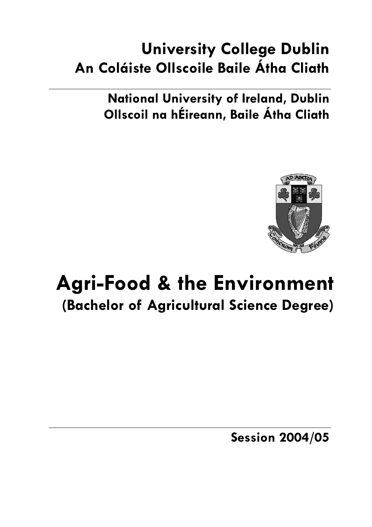# **University College Dublin An Coláiste Ollscoile Baile Átha Cliath**

**National University of Ireland, Dublin Ollscoil na hÉireann, Baile Átha Cliath** 



# **Agri-Food & the Environment (Bachelor of Agricultural Science Degree)**

**Session 2004/05**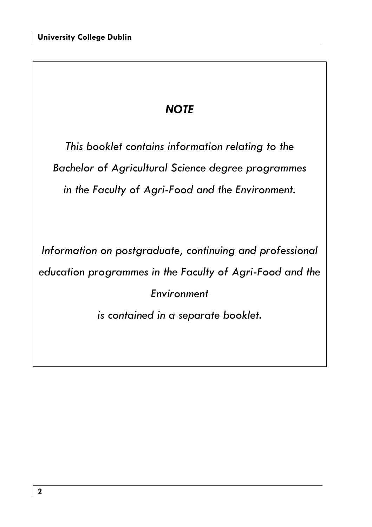## *NOTE*

*This booklet contains information relating to the Bachelor of Agricultural Science degree programmes in the Faculty of Agri-Food and the Environment.* 

*Information on postgraduate, continuing and professional education programmes in the Faculty of Agri-Food and the Environment* 

*is contained in a separate booklet.*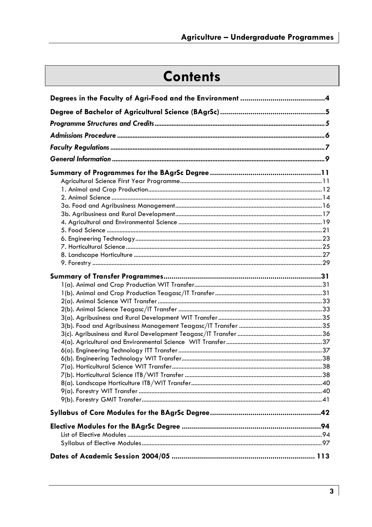# **Contents**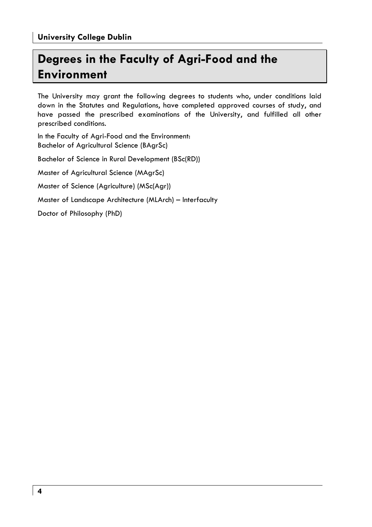## **Degrees in the Faculty of Agri-Food and the Environment**

The University may grant the following degrees to students who, under conditions laid down in the Statutes and Regulations, have completed approved courses of study, and have passed the prescribed examinations of the University, and fulfilled all other prescribed conditions.

In the Faculty of Agri-Food and the Environment: Bachelor of Agricultural Science (BAgrSc) Bachelor of Science in Rural Development (BSc(RD)) Master of Agricultural Science (MAgrSc) Master of Science (Agriculture) (MSc(Agr)) Master of Landscape Architecture (MLArch) – Interfaculty Doctor of Philosophy (PhD)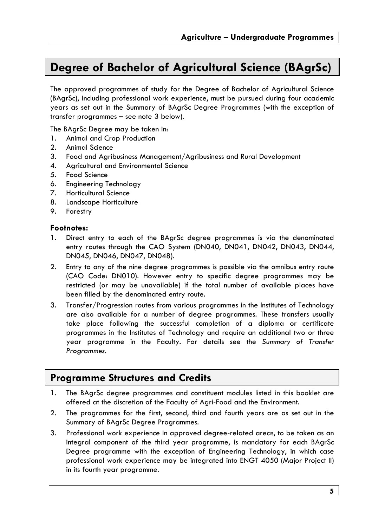### **Degree of Bachelor of Agricultural Science (BAgrSc)**

The approved programmes of study for the Degree of Bachelor of Agricultural Science (BAgrSc), including professional work experience, must be pursued during four academic years as set out in the Summary of BAgrSc Degree Programmes (with the exception of transfer programmes – see note 3 below).

The BAgrSc Degree may be taken in:

- 1. Animal and Crop Production
- 2. Animal Science
- 3. Food and Agribusiness Management/Agribusiness and Rural Development
- 4. Agricultural and Environmental Science
- 5. Food Science
- 6. Engineering Technology
- 7. Horticultural Science
- 8. Landscape Horticulture
- 9. Forestry

#### **Footnotes:**

- 1. Direct entry to each of the BAgrSc degree programmes is via the denominated entry routes through the CAO System (DN040, DN041, DN042, DN043, DN044, DN045, DN046, DN047, DN048).
- 2. Entry to any of the nine degree programmes is possible via the omnibus entry route (CAO Code: DN010). However entry to specific degree programmes may be restricted (or may be unavailable) if the total number of available places have been filled by the denominated entry route.
- 3. Transfer/Progression routes from various programmes in the Institutes of Technology are also available for a number of degree programmes. These transfers usually take place following the successful completion of a diploma or certificate programmes in the Institutes of Technology and require an additional two or three year programme in the Faculty. For details see the *Summary of Transfer Programmes.*

### **Programme Structures and Credits**

- 1. The BAgrSc degree programmes and constituent modules listed in this booklet are offered at the discretion of the Faculty of Agri-Food and the Environment.
- 2. The programmes for the first, second, third and fourth years are as set out in the Summary of BAgrSc Degree Programmes.
- 3. Professional work experience in approved degree-related areas, to be taken as an integral component of the third year programme, is mandatory for each BAgrSc Degree programme with the exception of Engineering Technology, in which case professional work experience may be integrated into ENGT 4050 (Major Project II) in its fourth year programme.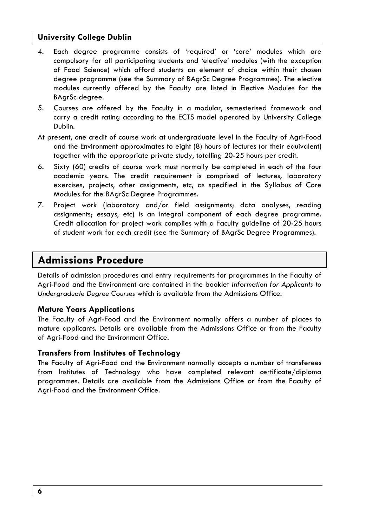- 4. Each degree programme consists of 'required' or 'core' modules which are compulsory for all participating students and 'elective' modules (with the exception of Food Science) which afford students an element of choice within their chosen degree programme (see the Summary of BAgrSc Degree Programmes). The elective modules currently offered by the Faculty are listed in Elective Modules for the BAgrSc degree.
- 5. Courses are offered by the Faculty in a modular, semesterised framework and carry a credit rating according to the ECTS model operated by University College Dublin.
- At present, one credit of course work at undergraduate level in the Faculty of Agri-Food and the Environment approximates to eight (8) hours of lectures (or their equivalent) together with the appropriate private study, totalling 20-25 hours per credit.
- 6. Sixty (60) credits of course work must normally be completed in each of the four academic years. The credit requirement is comprised of lectures, laboratory exercises, projects, other assignments, etc, as specified in the Syllabus of Core Modules for the BAgrSc Degree Programmes.
- 7. Project work (laboratory and/or field assignments; data analyses, reading assignments; essays, etc) is an integral component of each degree programme. Credit allocation for project work complies with a Faculty guideline of 20-25 hours of student work for each credit (see the Summary of BAgrSc Degree Programmes).

### **Admissions Procedure**

Details of admission procedures and entry requirements for programmes in the Faculty of Agri-Food and the Environment are contained in the booklet *Information for Applicants to Undergraduate Degree Courses* which is available from the Admissions Office.

#### **Mature Years Applications**

The Faculty of Agri-Food and the Environment normally offers a number of places to mature applicants. Details are available from the Admissions Office or from the Faculty of Agri-Food and the Environment Office.

#### **Transfers from Institutes of Technology**

The Faculty of Agri-Food and the Environment normally accepts a number of transferees from Institutes of Technology who have completed relevant certificate/diploma programmes. Details are available from the Admissions Office or from the Faculty of Agri-Food and the Environment Office.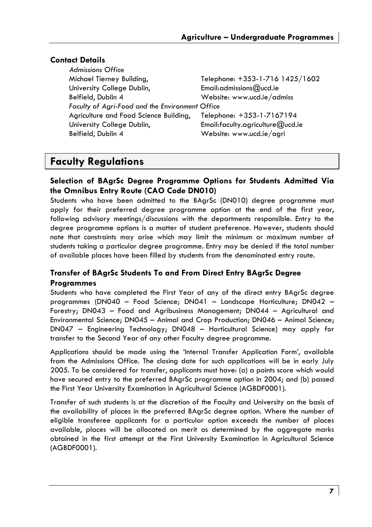### **Contact Details**

| <b>Admissions Office</b>                        |                                   |
|-------------------------------------------------|-----------------------------------|
| Michael Tierney Building,                       | Telephone: +353-1-716 1425/1602   |
| University College Dublin,                      | Email: admissions $@$ ucd. ie     |
| Belfield, Dublin 4                              | Website: www.ucd.ie/admiss        |
| Faculty of Agri-Food and the Environment Office |                                   |
| Agriculture and Food Science Building,          | Telephone: +353-1-7167194         |
| University College Dublin,                      | Email: faculty.agriculture@ucd.ie |
| Belfield, Dublin 4                              | Website: www.ucd.ie/agri          |
|                                                 |                                   |

### **Faculty Regulations**

### **Selection of BAgrSc Degree Programme Options for Students Admitted Via the Omnibus Entry Route (CAO Code DN010)**

Students who have been admitted to the BAgrSc (DN010) degree programme must apply for their preferred degree programme option at the end of the first year, following advisory meetings/discussions with the departments responsible. Entry to the degree programme options is a matter of student preference. However, students should note that constraints may arise which may limit the minimum or maximum number of students taking a particular degree programme. Entry may be denied if the total number of available places have been filled by students from the denominated entry route.

### **Transfer of BAgrSc Students To and From Direct Entry BAgrSc Degree Programmes**

Students who have completed the First Year of any of the direct entry BAgrSc degree programmes (DN040 – Food Science; DN041 – Landscape Horticulture; DN042 – Forestry; DN043 – Food and Agribusiness Management; DN044 – Agricultural and Environmental Science; DN045 – Animal and Crop Production; DN046 – Animal Science; DN047 – Engineering Technology; DN048 – Horticultural Science) may apply for transfer to the Second Year of any other Faculty degree programme.

Applications should be made using the 'Internal Transfer Application Form', available from the Admissions Office. The closing date for such applications will be in early July 2005. To be considered for transfer, applicants must have: (a) a points score which would have secured entry to the preferred BAgrSc programme option in 2004; and (b) passed the First Year University Examination in Agricultural Science (AGBDF0001).

Transfer of such students is at the discretion of the Faculty and University on the basis of the availability of places in the preferred BAgrSc degree option. Where the number of eligible transferee applicants for a particular option exceeds the number of places available, places will be allocated on merit as determined by the aggregate marks obtained in the first attempt at the First University Examination in Agricultural Science (AGBDF0001).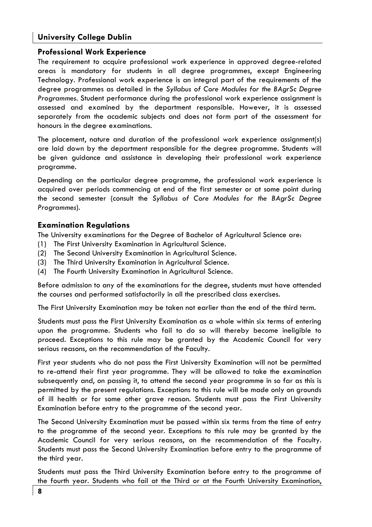#### **Professional Work Experience**

The requirement to acquire professional work experience in approved degree-related areas is mandatory for students in all degree programmes, except Engineering Technology. Professional work experience is an integral part of the requirements of the degree programmes as detailed in the *Syllabus of Core Modules for the BAgrSc Degree Programmes*. Student performance during the professional work experience assignment is assessed and examined by the department responsible. However, it is assessed separately from the academic subjects and does not form part of the assessment for honours in the degree examinations.

The placement, nature and duration of the professional work experience assignment(s) are laid down by the department responsible for the degree programme. Students will be given guidance and assistance in developing their professional work experience programme.

Depending on the particular degree programme, the professional work experience is acquired over periods commencing at end of the first semester or at some point during the second semester (consult the *Syllabus of Core Modules for the BAgrSc Degree Programmes*).

#### **Examination Regulations**

The University examinations for the Degree of Bachelor of Agricultural Science are:

- (1) The First University Examination in Agricultural Science.
- (2) The Second University Examination in Agricultural Science.
- (3) The Third University Examination in Agricultural Science.
- (4) The Fourth University Examination in Agricultural Science.

Before admission to any of the examinations for the degree, students must have attended the courses and performed satisfactorily in all the prescribed class exercises.

The First University Examination may be taken not earlier than the end of the third term.

Students must pass the First University Examination as a whole within six terms of entering upon the programme. Students who fail to do so will thereby become ineligible to proceed. Exceptions to this rule may be granted by the Academic Council for very serious reasons, on the recommendation of the Faculty.

First year students who do not pass the First University Examination will not be permitted to re-attend their first year programme. They will be allowed to take the examination subsequently and, on passing it, to attend the second year programme in so far as this is permitted by the present regulations. Exceptions to this rule will be made only on grounds of ill health or for some other grave reason. Students must pass the First University Examination before entry to the programme of the second year.

The Second University Examination must be passed within six terms from the time of entry to the programme of the second year. Exceptions to this rule may be granted by the Academic Council for very serious reasons, on the recommendation of the Faculty. Students must pass the Second University Examination before entry to the programme of the third year.

Students must pass the Third University Examination before entry to the programme of the fourth year. Students who fail at the Third or at the Fourth University Examination,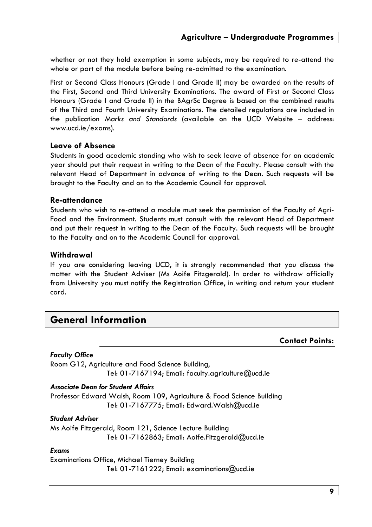whether or not they hold exemption in some subjects, may be required to re-attend the whole or part of the module before being re-admitted to the examination.

First or Second Class Honours (Grade I and Grade II) may be awarded on the results of the First, Second and Third University Examinations. The award of First or Second Class Honours (Grade I and Grade II) in the BAgrSc Degree is based on the combined results of the Third and Fourth University Examinations. The detailed regulations are included in the publication *Marks and Standards* (available on the UCD Website – address: www.ucd.ie/exams).

#### **Leave of Absence**

Students in good academic standing who wish to seek leave of absence for an academic year should put their request in writing to the Dean of the Faculty. Please consult with the relevant Head of Department in advance of writing to the Dean. Such requests will be brought to the Faculty and on to the Academic Council for approval.

#### **Re-attendance**

Students who wish to re-attend a module must seek the permission of the Faculty of Agri-Food and the Environment. Students must consult with the relevant Head of Department and put their request in writing to the Dean of the Faculty. Such requests will be brought to the Faculty and on to the Academic Council for approval.

### **Withdrawal**

If you are considering leaving UCD, it is strongly recommended that you discuss the matter with the Student Adviser (Ms Aoife Fitzgerald). In order to withdraw officially from University you must notify the Registration Office, in writing and return your student card.

### **General Information**

#### **Contact Points:**

#### *Faculty Office*

Room G12, Agriculture and Food Science Building, Tel: 01-7167194; Email: faculty.agriculture@ucd.ie

### *Associate Dean for Student Affairs*

Professor Edward Walsh, Room 109, Agriculture & Food Science Building Tel: 01-7167775; Email: Edward.Walsh@ucd.ie

#### *Student Adviser*

Ms Aoife Fitzgerald, Room 121, Science Lecture Building Tel: 01-7162863; Email: Aoife.Fitzgerald@ucd.ie

#### *Exams*

Examinations Office, Michael Tierney Building Tel: 01-7161222; Email: examinations@ucd.ie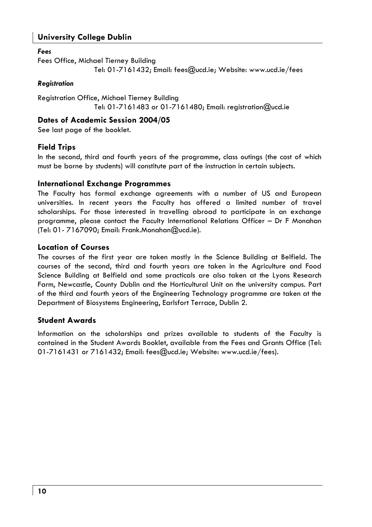#### *Fees*

Fees Office, Michael Tierney Building Tel: 01-7161432; Email: fees@ucd.ie; Website: www.ucd.ie/fees

#### *Registration*

Registration Office, Michael Tierney Building Tel: 01-7161483 or 01-7161480; Email: registration@ucd.ie

### **Dates of Academic Session 2004/05**

See last page of the booklet.

### **Field Trips**

In the second, third and fourth years of the programme, class outings (the cost of which must be borne by students) will constitute part of the instruction in certain subjects.

#### **International Exchange Programmes**

The Faculty has formal exchange agreements with a number of US and European universities. In recent years the Faculty has offered a limited number of travel scholarships. For those interested in travelling abroad to participate in an exchange programme, please contact the Faculty International Relations Officer – Dr F Monahan (Tel: 01- 7167090; Email: Frank.Monahan@ucd.ie).

#### **Location of Courses**

The courses of the first year are taken mostly in the Science Building at Belfield. The courses of the second, third and fourth years are taken in the Agriculture and Food Science Building at Belfield and some practicals are also taken at the Lyons Research Farm, Newcastle, County Dublin and the Horticultural Unit on the university campus. Part of the third and fourth years of the Engineering Technology programme are taken at the Department of Biosystems Engineering, Earlsfort Terrace, Dublin 2.

### **Student Awards**

Information on the scholarships and prizes available to students of the Faculty is contained in the Student Awards Booklet, available from the Fees and Grants Office (Tel: 01-7161431 or 7161432; Email: fees@ucd.ie; Website: www.ucd.ie/fees).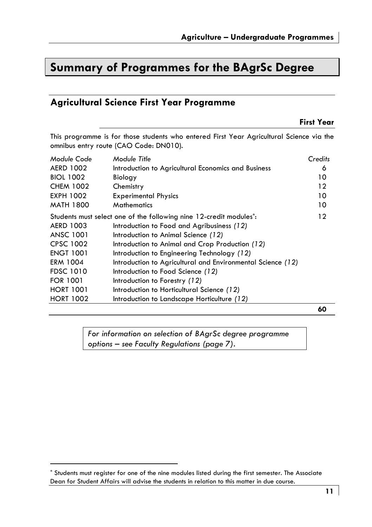## **Summary of Programmes for the BAgrSc Degree**

### **Agricultural Science First Year Programme**

### **First Year**

This programme is for those students who entered First Year Agricultural Science via the omnibus entry route (CAO Code: DN010).

| Module Code      | Module Title                                                                    | Credits |
|------------------|---------------------------------------------------------------------------------|---------|
| <b>AERD 1002</b> | Introduction to Agricultural Economics and Business                             | 6       |
| <b>BIOL 1002</b> | Biology                                                                         | 10      |
| <b>CHEM 1002</b> | Chemistry                                                                       | 12      |
| <b>EXPH 1002</b> | <b>Experimental Physics</b>                                                     | 10      |
| <b>MATH 1800</b> | <b>Mathematics</b>                                                              | 10      |
|                  | Students must select one of the following nine 12-credit modules <sup>*</sup> : | $12 \,$ |
| <b>AERD 1003</b> | Introduction to Food and Agribusiness (12)                                      |         |
| <b>ANSC 1001</b> | Introduction to Animal Science (12)                                             |         |
| <b>CPSC 1002</b> | Introduction to Animal and Crop Production (12)                                 |         |
| <b>ENGT 1001</b> | Introduction to Engineering Technology (12)                                     |         |
| ERM 1004         | Introduction to Agricultural and Environmental Science (12)                     |         |
| <b>FDSC 1010</b> | Introduction to Food Science (12)                                               |         |
| <b>FOR 1001</b>  | Introduction to Forestry (12)                                                   |         |
| <b>HORT 1001</b> | Introduction to Horticultural Science (12)                                      |         |
| <b>HORT 1002</b> | Introduction to Landscape Horticulture (12)                                     |         |

**60** 

*For information on selection of BAgrSc degree programme options – see Faculty Regulations (page 7).* 

<sup>\*</sup> Students must register for one of the nine modules listed during the first semester. The Associate Dean for Student Affairs will advise the students in relation to this matter in due course.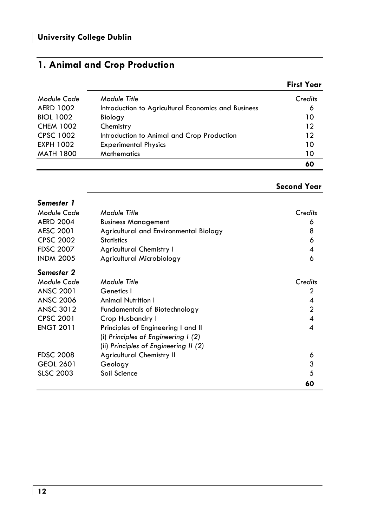### **1. Animal and Crop Production**

#### **First Year**

| <b>EXPH 1002</b><br><b>MATH 1800</b> | <b>Experimental Physics</b><br><b>Mathematics</b>   | 10<br>10 |
|--------------------------------------|-----------------------------------------------------|----------|
| <b>CPSC 1002</b>                     | Introduction to Animal and Crop Production          | 12       |
| <b>CHEM 1002</b>                     | Chemistry                                           | 12       |
| <b>BIOL 1002</b>                     | Biology                                             | 10       |
| <b>AERD 1002</b>                     | Introduction to Agricultural Economics and Business | 6        |
| Module Code                          | Module Title                                        | Credits  |

#### **Second Year**

### *Semester 1 Module Code Module Title Credits*  AERD 2004 Business Management 6 AESC 2001 Agricultural and Environmental Biology 8 CPSC 2002 Statistics 6 FDSC 2007 Agricultural Chemistry I 4 INDM 2005 Agricultural Microbiology 6 *Semester 2 Module Code Module Title Credits*  ANSC 2001 Genetics I 2 ANSC 2006 Animal Nutrition I 4 ANSC 3012 Fundamentals of Biotechnology 2 CPSC 2001 Crop Husbandry I 4 ENGT 2011 Principles of Engineering I and II 4 (i) *Principles of Engineering I (2)*  (ii) *Principles of Engineering II (2)* FDSC 2008 Agricultural Chemistry II 6 GEOL 2601 Geology 3 SLSC 2003 Soil Science 5 **60**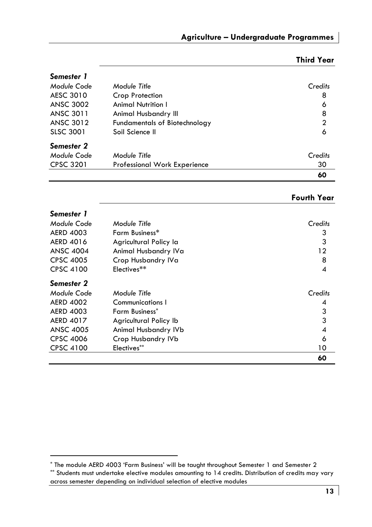| Semester 1       |                                     |              |
|------------------|-------------------------------------|--------------|
| Module Code      | Module Title                        | Credits      |
| AESC 3010        | Crop Protection                     | 8            |
| <b>ANSC 3002</b> | <b>Animal Nutrition I</b>           | 6            |
| ANSC 3011        | Animal Husbandry III                | 8            |
| <b>ANSC 3012</b> | Fundamentals of Biotechnology       | $\mathbf{2}$ |
| <b>SLSC 3001</b> | Soil Science II                     | 6            |
| Semester 2       |                                     |              |
| Module Code      | Module Title                        | Credits      |
| <b>CPSC 3201</b> | <b>Professional Work Experience</b> | 30           |
|                  |                                     | 60           |

### **Third Year**

| Semester 1       |                        |         |
|------------------|------------------------|---------|
| Module Code      | Module Title           | Credits |
| <b>AERD 4003</b> | Farm Business*         | 3       |
| <b>AERD 4016</b> | Agricultural Policy la | 3       |
| <b>ANSC 4004</b> | Animal Husbandry IVa   | 12      |
| <b>CPSC 4005</b> | Crop Husbandry IVa     | 8       |
| <b>CPSC 4100</b> | Electives**            | 4       |
| Semester 2       |                        |         |
| Module Code      | Module Title           | Credits |
| <b>AERD 4002</b> | Communications I       | 4       |
| <b>AERD 4003</b> | <b>Farm Business*</b>  | 3       |
| <b>AERD 4017</b> | Agricultural Policy Ib | 3       |
| <b>ANSC 4005</b> | Animal Husbandry IVb   | 4       |
| <b>CPSC 4006</b> | Crop Husbandry IVb     | 6       |
| <b>CPSC 4100</b> | Electives**            | 10      |
|                  |                        | 60      |

<sup>\*</sup> The module AERD 4003 'Farm Business' will be taught throughout Semester 1 and Semester 2

<sup>\*\*</sup> Students must undertake elective modules amounting to 14 credits. Distribution of credits may vary across semester depending on individual selection of elective modules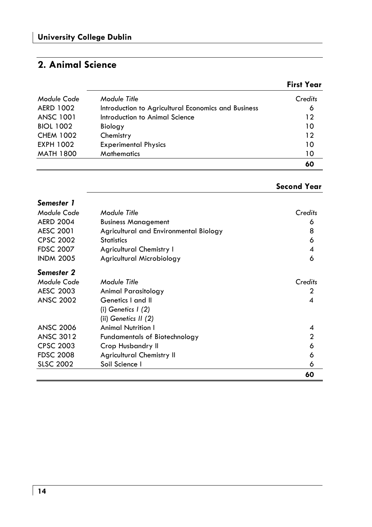### **2. Animal Science**

### **First Year**

| MATH 1800        | <b>Mathematics</b>                                  | 10<br>60 |
|------------------|-----------------------------------------------------|----------|
| EXPH 1002        | <b>Experimental Physics</b>                         | 10       |
|                  |                                                     |          |
| <b>CHEM 1002</b> | Chemistry                                           | 12       |
| <b>BIOL 1002</b> | Biology                                             | 10       |
| ANSC 1001        | Introduction to Animal Science                      | 12       |
| <b>AERD 1002</b> | Introduction to Agricultural Economics and Business | 6        |
| Module Code      | Module Title                                        | Credits  |

### **Second Year**

| Semester 1       |                                        |         |
|------------------|----------------------------------------|---------|
| Module Code      | Module Title                           | Credits |
| <b>AERD 2004</b> | <b>Business Management</b>             | 6       |
| <b>AESC 2001</b> | Agricultural and Environmental Biology | 8       |
| <b>CPSC 2002</b> | <b>Statistics</b>                      | 6       |
| <b>FDSC 2007</b> | <b>Agricultural Chemistry I</b>        | 4       |
| <b>INDM 2005</b> | Agricultural Microbiology              | 6       |
| Semester 2       |                                        |         |
| Module Code      | Module Title                           | Credits |
| AESC 2003        | Animal Parasitology                    | 2       |
| <b>ANSC 2002</b> | Genetics I and II                      | 4       |
|                  | (i) Genetics $\frac{1}{2}$             |         |
|                  | (ii) Genetics $II(2)$                  |         |
| <b>ANSC 2006</b> | <b>Animal Nutrition I</b>              |         |
| <b>ANSC 3012</b> | <b>Fundamentals of Biotechnology</b>   | 2       |
| <b>CPSC 2003</b> | Crop Husbandry II                      | 6       |
| <b>FDSC 2008</b> | <b>Agricultural Chemistry II</b>       | 6       |
| <b>SLSC 2002</b> | Soil Science I                         | 6       |
|                  |                                        | 60      |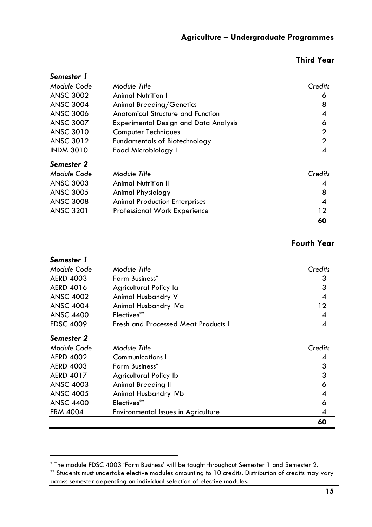### **Third Year**

| Semester 1       |                                              |                |
|------------------|----------------------------------------------|----------------|
| Module Code      | Module Title                                 | Credits        |
| <b>ANSC 3002</b> | Animal Nutrition I                           | 6              |
| <b>ANSC 3004</b> | Animal Breeding/Genetics                     | 8              |
| <b>ANSC 3006</b> | <b>Anatomical Structure and Function</b>     | 4              |
| <b>ANSC 3007</b> | <b>Experimental Design and Data Analysis</b> | 6              |
| ANSC 3010        | Computer Techniques                          | $\overline{2}$ |
| <b>ANSC 3012</b> | <b>Fundamentals of Biotechnology</b>         | $\mathfrak{p}$ |
| <b>INDM 3010</b> | Food Microbiology I                          | 4              |
| Semester 2       |                                              |                |
| Module Code      | Module Title                                 | Credits        |
| <b>ANSC 3003</b> | <b>Animal Nutrition II</b>                   | 4              |
| <b>ANSC 3005</b> | Animal Physiology                            | 8              |
| <b>ANSC 3008</b> | <b>Animal Production Enterprises</b>         | 4              |
| <b>ANSC 3201</b> | <b>Professional Work Experience</b>          | 12             |
|                  |                                              | 60             |

| Semester 1       |                                     |         |
|------------------|-------------------------------------|---------|
| Module Code      | Module Title                        | Credits |
| <b>AERD 4003</b> | <b>Farm Business*</b>               | 3       |
| <b>AERD 4016</b> | Agricultural Policy la              | 3       |
| <b>ANSC 4002</b> | Animal Husbandry V                  | 4       |
| <b>ANSC 4004</b> | Animal Husbandry IVa                | 12      |
| <b>ANSC 4400</b> | Electives**                         | 4       |
| <b>FDSC 4009</b> | Fresh and Processed Meat Products I | 4       |
| Semester 2       |                                     |         |
| Module Code      | Module Title                        | Credits |
| <b>AERD 4002</b> | Communications I                    | 4       |
| <b>AERD 4003</b> | <b>Farm Business*</b>               | 3       |
| <b>AERD 4017</b> | Agricultural Policy Ib              | 3       |
| <b>ANSC 4003</b> | Animal Breeding II                  | 6       |
| <b>ANSC 4005</b> | Animal Husbandry IVb                | 4       |
| <b>ANSC 4400</b> | Electives**                         | 6       |
| <b>ERM 4004</b>  | Environmental Issues in Agriculture | 4       |
|                  |                                     | 60      |

<sup>\*</sup> The module FDSC 4003 'Farm Business' will be taught throughout Semester 1 and Semester 2.

<sup>\*\*</sup> Students must undertake elective modules amounting to 10 credits. Distribution of credits may vary across semester depending on individual selection of elective modules.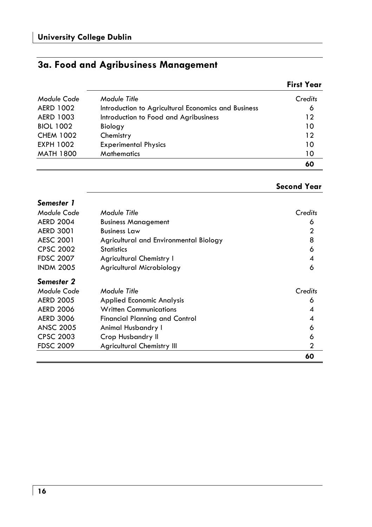### **3a. Food and Agribusiness Management**

| Module Code      | Module Title                                        | Credits |
|------------------|-----------------------------------------------------|---------|
| <b>AERD 1002</b> | Introduction to Agricultural Economics and Business | 6       |
| <b>AERD 1003</b> | Introduction to Food and Agribusiness               | 12      |
| <b>BIOL 1002</b> | Biology                                             | 10      |
| <b>CHEM 1002</b> | Chemistry                                           | 12      |
| <b>EXPH 1002</b> | <b>Experimental Physics</b>                         | 10      |
| <b>MATH 1800</b> | <b>Mathematics</b>                                  | 10      |
|                  |                                                     | 60      |

### **Second Year**

| Semester 1       |                                        |         |
|------------------|----------------------------------------|---------|
| Module Code      | Module Title                           | Credits |
| <b>AERD 2004</b> | <b>Business Management</b>             | 6       |
| <b>AERD 3001</b> | <b>Business Law</b>                    | 2       |
| <b>AESC 2001</b> | Agricultural and Environmental Biology | 8       |
| <b>CPSC 2002</b> | <b>Statistics</b>                      | 6       |
| <b>FDSC 2007</b> | <b>Agricultural Chemistry I</b>        | 4       |
| <b>INDM 2005</b> | Agricultural Microbiology              | 6       |
| Semester 2       |                                        |         |
| Module Code      | Module Title                           | Credits |
| <b>AERD 2005</b> | <b>Applied Economic Analysis</b>       | 6       |
| <b>AERD 2006</b> | <b>Written Communications</b>          | 4       |
| <b>AERD 3006</b> | <b>Financial Planning and Control</b>  | 4       |
| <b>ANSC 2005</b> | Animal Husbandry I                     | 6       |
| <b>CPSC 2003</b> | Crop Husbandry II                      | 6       |
| <b>FDSC 2009</b> | <b>Agricultural Chemistry III</b>      | 2       |
|                  |                                        | 60      |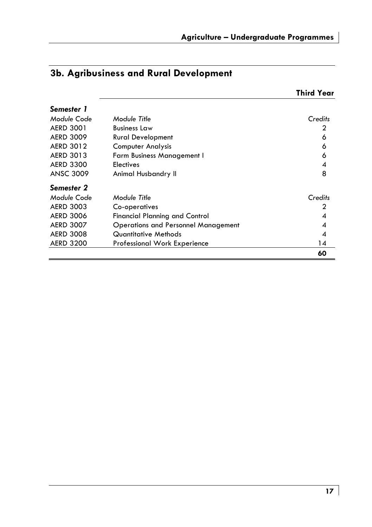|                  |                                            | Third Year |
|------------------|--------------------------------------------|------------|
| Semester 1       |                                            |            |
| Module Code      | Module Title                               | Credits    |
| <b>AERD 3001</b> | <b>Business Law</b>                        | 2          |
| <b>AERD 3009</b> | <b>Rural Development</b>                   | 6          |
| <b>AERD 3012</b> | <b>Computer Analysis</b>                   | 6          |
| <b>AERD 3013</b> | <b>Farm Business Management I</b>          | 6          |
| <b>AERD 3300</b> | <b>Electives</b>                           | 4          |
| <b>ANSC 3009</b> | Animal Husbandry II                        | 8          |
| Semester 2       |                                            |            |
| Module Code      | Module Title                               | Credits    |
| <b>AERD 3003</b> | Co-operatives                              | 2          |
| <b>AERD 3006</b> | Financial Planning and Control             | 4          |
| <b>AERD 3007</b> | <b>Operations and Personnel Management</b> | 4          |
| <b>AERD 3008</b> | Quantitative Methods                       | 4          |
| <b>AERD 3200</b> | Professional Work Experience               | 14         |
|                  |                                            | 60         |

### **3b. Agribusiness and Rural Development**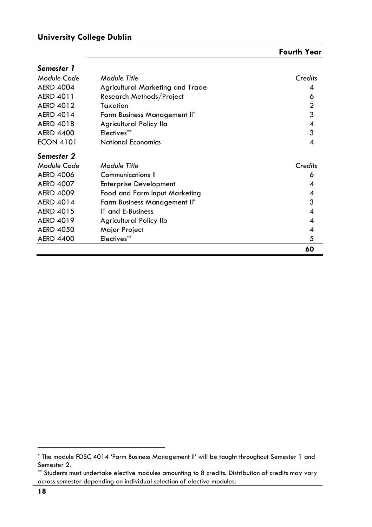| <b>Fourth Year</b> |  |
|--------------------|--|
|--------------------|--|

| Semester 1       |                                  |                |
|------------------|----------------------------------|----------------|
| Module Code      | Module Title                     | Credits        |
| <b>AERD 4004</b> | Agricultural Marketing and Trade | 4              |
| <b>AERD 4011</b> | Research Methods/Project         | 6              |
| <b>AERD 4012</b> | Taxation                         | $\overline{2}$ |
| <b>AERD 4014</b> | Farm Business Management II*     | 3              |
| <b>AERD 4018</b> | Agricultural Policy Ila          | 4              |
| <b>AERD 4400</b> | Electives**                      | 3              |
| <b>ECON 4101</b> | <b>National Economics</b>        | 4              |
| Semester 2       |                                  |                |
| Module Code      | Module Title                     | Credits        |
| <b>AERD 4006</b> | <b>Communications II</b>         | 6              |
| <b>AERD 4007</b> | <b>Enterprise Development</b>    | 4              |
| <b>AERD 4009</b> | Food and Farm Input Marketing    | 4              |
| <b>AERD 4014</b> | Farm Business Management II*     | 3              |
| <b>AERD 4015</b> | IT and E-Business                | 4              |
| <b>AERD 4019</b> | Agricultural Policy IIb          | 4              |
| <b>AERD 4050</b> | Major Project                    | 4              |
| <b>AERD 4400</b> | Electives**                      | 5              |
|                  |                                  | 60             |

<sup>\*</sup> The module FDSC 4014 'Farm Business Management II' will be taught throughout Semester 1 and Semester 2.

<sup>\*\*</sup> Students must undertake elective modules amounting to 8 credits. Distribution of credits may vary across semester depending on individual selection of elective modules.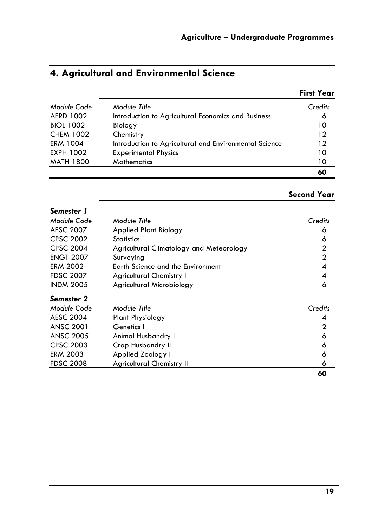### **4. Agricultural and Environmental Science**

|                  |                                                        | <b>First Year</b> |
|------------------|--------------------------------------------------------|-------------------|
| Module Code      | Module Title                                           | Credits           |
| <b>AERD 1002</b> | Introduction to Agricultural Economics and Business    | 6                 |
| <b>BIOL 1002</b> | Biology                                                | 10                |
| <b>CHEM 1002</b> | Chemistry                                              | 12                |
| <b>ERM 1004</b>  | Introduction to Agricultural and Environmental Science | 12                |
| <b>EXPH 1002</b> | <b>Experimental Physics</b>                            | 10                |
| <b>MATH 1800</b> | <b>Mathematics</b>                                     | 10                |
|                  |                                                        | 60                |

### **Second Year**

| Semester 1       |                                          |                |
|------------------|------------------------------------------|----------------|
| Module Code      | Module Title                             | Credits        |
| <b>AESC 2007</b> | Applied Plant Biology                    | 6              |
| <b>CPSC 2002</b> | <b>Statistics</b>                        | 6              |
| <b>CPSC 2004</b> | Agricultural Climatology and Meteorology | $\overline{2}$ |
| <b>ENGT 2007</b> | Surveying                                | $\overline{2}$ |
| <b>ERM 2002</b>  | Earth Science and the Environment        | 4              |
| <b>FDSC 2007</b> | <b>Agricultural Chemistry I</b>          | 4              |
| <b>INDM 2005</b> | Agricultural Microbiology                | 6              |
| Semester 2       |                                          |                |
| Module Code      | Module Title                             | Credits        |
| <b>AESC 2004</b> | <b>Plant Physiology</b>                  | 4              |
| <b>ANSC 2001</b> | Genetics I                               | 2              |
| <b>ANSC 2005</b> | Animal Husbandry I                       | 6              |
| <b>CPSC 2003</b> | Crop Husbandry II                        | 6              |
| <b>ERM 2003</b>  | Applied Zoology I                        | 6              |
| <b>FDSC 2008</b> | <b>Agricultural Chemistry II</b>         | 6              |
|                  |                                          | 60             |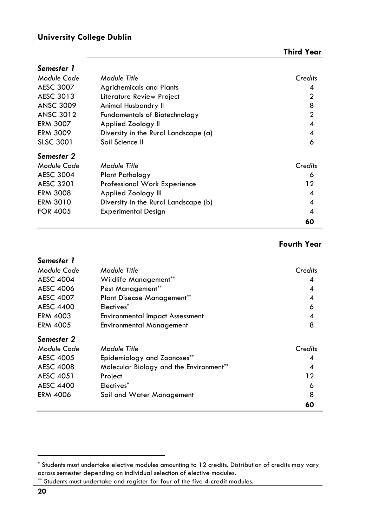*Semester 1* 

|                  |                                      | 60             |
|------------------|--------------------------------------|----------------|
| <b>FOR 4005</b>  | <b>Experimental Design</b>           | 4              |
| <b>ERM 3010</b>  | Diversity in the Rural Landscape (b) | 4              |
| <b>ERM 3008</b>  | Applied Zoology III                  | 4              |
| <b>AESC 3201</b> | Professional Work Experience         | 12             |
| <b>AESC 3004</b> | Plant Pathology                      | 6              |
| Module Code      | Module Title                         | Credits        |
| Semester 2       |                                      |                |
| <b>SLSC 3001</b> | Soil Science II                      | 6              |
| <b>ERM 3009</b>  | Diversity in the Rural Landscape (a) | 4              |
| <b>ERM 3007</b>  | Applied Zoology II                   | 4              |
| <b>ANSC 3012</b> | <b>Fundamentals of Biotechnology</b> | $\overline{2}$ |
| <b>ANSC 3009</b> | Animal Husbandry II                  | 8              |
| AESC 3013        | Literature Review Project            | $\mathbf{c}$   |
| <b>AESC 3007</b> | <b>Agrichemicals and Plants</b>      | 4              |
| Module Code      | Module Title                         | Credits        |
|                  |                                      |                |

| Semester 1       |                                         |         |
|------------------|-----------------------------------------|---------|
| Module Code      | Module Title                            | Credits |
| <b>AESC 4004</b> | Wildlife Management**                   | 4       |
| <b>AESC 4006</b> | Pest Management**                       | 4       |
| <b>AESC 4007</b> | <b>Plant Disease Management**</b>       | 4       |
| <b>AESC 4400</b> | Electives <sup>*</sup>                  | 6       |
| <b>ERM 4003</b>  | <b>Environmental Impact Assessment</b>  | 4       |
| <b>ERM 4005</b>  | <b>Environmental Management</b>         | 8       |
| Semester 2       |                                         |         |
| Module Code      | Module Title                            | Credits |
| <b>AESC 4005</b> | Epidemiology and Zoonoses**             | 4       |
| <b>AESC 4008</b> | Molecular Biology and the Environment** | 4       |
| <b>AESC 4051</b> | Project                                 | 12      |
| <b>AESC 4400</b> | Electives*                              | 6       |
| <b>ERM 4006</b>  | Soil and Water Management               | 8       |
|                  |                                         | 60      |

<sup>\*</sup> Students must undertake elective modules amounting to 12 credits. Distribution of credits may vary across semester depending on individual selection of elective modules.

<sup>\*\*</sup> Students must undertake and register for four of the five 4-credit modules.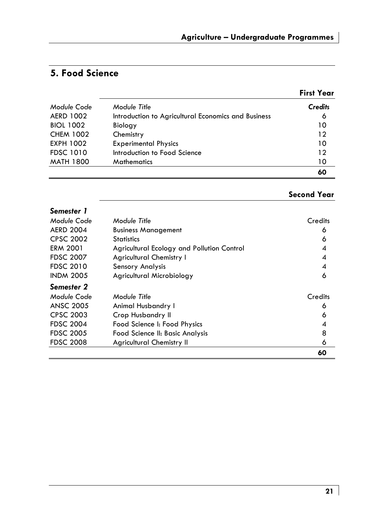### **5. Food Science**

|                  |                                                     | <b>First Year</b> |
|------------------|-----------------------------------------------------|-------------------|
| Module Code      | Module Title                                        | <b>Credits</b>    |
| <b>AERD 1002</b> | Introduction to Agricultural Economics and Business | 6                 |
| <b>BIOL 1002</b> | Biology                                             | 10                |
| <b>CHEM 1002</b> | Chemistry                                           | 12                |
| <b>EXPH 1002</b> | <b>Experimental Physics</b>                         | 10                |
| <b>FDSC 1010</b> | Introduction to Food Science                        | 12                |
| <b>MATH 1800</b> | <b>Mathematics</b>                                  | 10                |
|                  |                                                     | 60                |

### **Second Year**

| Semester 1       |                                            |         |
|------------------|--------------------------------------------|---------|
| Module Code      | Module Title                               | Credits |
| <b>AERD 2004</b> | <b>Business Management</b>                 | 6       |
| <b>CPSC 2002</b> | <b>Statistics</b>                          | 6       |
| <b>ERM 2001</b>  | Agricultural Ecology and Pollution Control | 4       |
| <b>FDSC 2007</b> | <b>Agricultural Chemistry I</b>            | 4       |
| <b>FDSC 2010</b> | Sensory Analysis                           | 4       |
| <b>INDM 2005</b> | Agricultural Microbiology                  | 6       |
| Semester 2       |                                            |         |
| Module Code      | Module Title                               | Credits |
| <b>ANSC 2005</b> | Animal Husbandry I                         | 6       |
| <b>CPSC 2003</b> | <b>Crop Husbandry II</b>                   | 6       |
| <b>FDSC 2004</b> | Food Science I: Food Physics               | 4       |
| <b>FDSC 2005</b> | Food Science II: Basic Analysis            | 8       |
| <b>FDSC 2008</b> | <b>Agricultural Chemistry II</b>           | 6       |
|                  |                                            | 60      |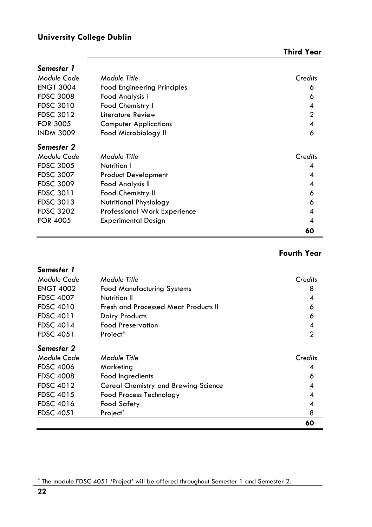| Semester 1       |                                     |                |
|------------------|-------------------------------------|----------------|
| Module Code      | Module Title                        | Credits        |
| <b>ENGT 3004</b> | <b>Food Engineering Principles</b>  | 6              |
| <b>FDSC 3008</b> | Food Analysis I                     | 6              |
| <b>FDSC 3010</b> | Food Chemistry I                    | 4              |
| <b>FDSC 3012</b> | Literature Review                   | $\overline{2}$ |
| <b>FOR 3005</b>  | <b>Computer Applications</b>        | 4              |
| <b>INDM 3009</b> | Food Microbiology II                | 6              |
| Semester 2       |                                     |                |
| Module Code      | Module Title                        | Credits        |
| <b>FDSC 3005</b> | Nutrition I                         | 4              |
| <b>FDSC 3007</b> | <b>Product Development</b>          | 4              |
| <b>FDSC 3009</b> | Food Analysis II                    | 4              |
| <b>FDSC 3011</b> | <b>Food Chemistry II</b>            | 6              |
| <b>FDSC 3013</b> | Nutritional Physiology              | 6              |
| <b>FDSC 3202</b> | <b>Professional Work Experience</b> | 4              |
| <b>FOR 4005</b>  | <b>Experimental Design</b>          | 4              |
|                  |                                     | 60             |

| Semester 1       |                                      |         |
|------------------|--------------------------------------|---------|
| Module Code      | Module Title                         | Credits |
| <b>ENGT 4002</b> | <b>Food Manufacturing Systems</b>    | 8       |
| <b>FDSC 4007</b> | Nutrition II                         | 4       |
| <b>FDSC 4010</b> | Fresh and Processed Meat Products II | 6       |
| <b>FDSC 4011</b> | Dairy Products                       | 6       |
| <b>FDSC 4014</b> | <b>Food Preservation</b>             | 4       |
| <b>FDSC 4051</b> | Project*                             | 2       |
| Semester 2       |                                      |         |
| Module Code      | Module Title                         | Credits |
| <b>FDSC 4006</b> | Marketing                            | 4       |
| <b>FDSC 4008</b> | Food Ingredients                     | 6       |
| <b>FDSC 4012</b> | Cereal Chemistry and Brewing Science | 4       |
| <b>FDSC 4015</b> | Food Process Technology              | 4       |
| <b>FDSC 4016</b> | Food Safety                          | 4       |
| <b>FDSC 4051</b> | Project*                             | 8       |
|                  |                                      | 60      |

<sup>\*</sup> The module FDSC 4051 'Project' will be offered throughout Semester 1 and Semester 2.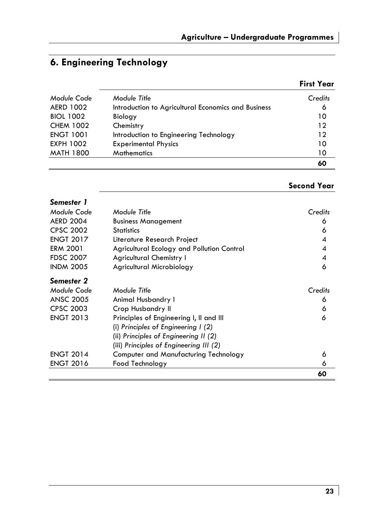### **6. Engineering Technology**

|                  |                                                     | <b>First Year</b> |
|------------------|-----------------------------------------------------|-------------------|
| Module Code      | Module Title                                        | Credits           |
| <b>AERD 1002</b> | Introduction to Agricultural Economics and Business | 6                 |
| <b>BIOL 1002</b> | Biology                                             | 10                |
| <b>CHEM 1002</b> | Chemistry                                           | 12                |
| <b>ENGT 1001</b> | Introduction to Engineering Technology              | 12                |
| EXPH 1002        | <b>Experimental Physics</b>                         | 10                |
| <b>MATH 1800</b> | <b>Mathematics</b>                                  | 10                |
|                  |                                                     | 60                |

### **Second Year**

| Semester 1       |                                            |         |
|------------------|--------------------------------------------|---------|
| Module Code      | Module Title                               | Credits |
| <b>AERD 2004</b> | <b>Business Management</b>                 | 6       |
| <b>CPSC 2002</b> | <b>Statistics</b>                          | 6       |
| <b>ENGT 2017</b> | Literature Research Project                | 4       |
| <b>ERM 2001</b>  | Agricultural Ecology and Pollution Control | 4       |
| <b>FDSC 2007</b> | <b>Agricultural Chemistry I</b>            | 4       |
| <b>INDM 2005</b> | Agricultural Microbiology                  | 6       |
| Semester 2       |                                            |         |
| Module Code      | Module Title                               | Credits |
| <b>ANSC 2005</b> | Animal Husbandry I                         | 6       |
| <b>CPSC 2003</b> | Crop Husbandry II                          | 6       |
| <b>ENGT 2013</b> | Principles of Engineering I, II and III    | 6       |
|                  | (i) Principles of Engineering $(2)$        |         |
|                  | (ii) Principles of Engineering II (2)      |         |
|                  | (iii) Principles of Engineering III (2)    |         |
| <b>ENGT 2014</b> | Computer and Manufacturing Technology      | 6       |
| <b>ENGT 2016</b> | Food Technology                            | 6       |
|                  |                                            | 60      |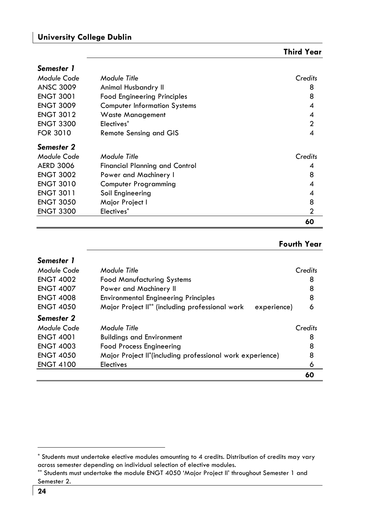*Semester 1* 

|                  |                                       | 60             |
|------------------|---------------------------------------|----------------|
| <b>ENGT 3300</b> | Electives*                            | $\overline{2}$ |
| <b>ENGT 3050</b> | Major Project I                       | 8              |
| <b>ENGT 3011</b> | Soil Engineering                      | 4              |
| <b>ENGT 3010</b> | <b>Computer Programming</b>           | 4              |
| <b>ENGT 3002</b> | Power and Machinery I                 | 8              |
| <b>AERD 3006</b> | <b>Financial Planning and Control</b> | 4              |
| Module Code      | Module Title                          | Credits        |
| Semester 2       |                                       |                |
| <b>FOR 3010</b>  | Remote Sensing and GIS                | 4              |
| <b>ENGT 3300</b> | Electives <sup>*</sup>                | $\overline{2}$ |
| <b>ENGT 3012</b> | <b>Waste Management</b>               | 4              |
| <b>ENGT 3009</b> | <b>Computer Information Systems</b>   | 4              |
| <b>ENGT 3001</b> | <b>Food Engineering Principles</b>    | 8              |
| <b>ANSC 3009</b> | Animal Husbandry II                   | 8              |
| Module Code      | Module Title                          | Credits        |
|                  |                                       |                |

| Semester 1       |                                                                |         |
|------------------|----------------------------------------------------------------|---------|
| Module Code      | Module Title                                                   | Credits |
| <b>ENGT 4002</b> | <b>Food Manufacturing Systems</b>                              | 8       |
| <b>ENGT 4007</b> | Power and Machinery II                                         | 8       |
| <b>ENGT 4008</b> | <b>Environmental Engineering Principles</b>                    | 8       |
| <b>ENGT 4050</b> | Major Project II** (including professional work<br>experience) | 6       |
| Semester 2       |                                                                |         |
| Module Code      | Module Title                                                   | Credits |
| <b>ENGT 4001</b> | <b>Buildings and Environment</b>                               | 8       |
| <b>ENGT 4003</b> | <b>Food Process Engineering</b>                                | 8       |
| <b>ENGT 4050</b> | Major Project II*(including professional work experience)      | 8       |
| <b>ENGT 4100</b> | Electives                                                      | 6       |
|                  |                                                                | 60      |

<sup>\*</sup> Students must undertake elective modules amounting to 4 credits. Distribution of credits may vary across semester depending on individual selection of elective modules.

<sup>\*\*</sup> Students must undertake the module ENGT 4050 'Major Project II' throughout Semester 1 and Semester 2.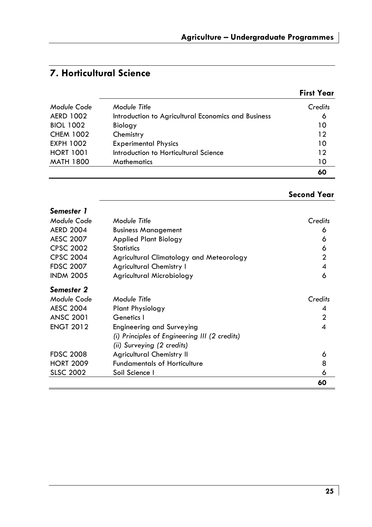|                  |                                                     | <b>First Year</b> |
|------------------|-----------------------------------------------------|-------------------|
| Module Code      | Module Title                                        | Credits           |
| <b>AERD 1002</b> | Introduction to Agricultural Economics and Business | 6                 |
| <b>BIOL 1002</b> | Biology                                             | 10                |
| <b>CHEM 1002</b> | Chemistry                                           | 12                |
| <b>EXPH 1002</b> | <b>Experimental Physics</b>                         | 10                |
| <b>HORT 1001</b> | Introduction to Horticultural Science               | 12                |
| <b>MATH 1800</b> | <b>Mathematics</b>                                  | 10                |
|                  |                                                     | 60                |

| Semester 1       |                                               |              |
|------------------|-----------------------------------------------|--------------|
| Module Code      | Module Title                                  | Credits      |
| <b>AERD 2004</b> | <b>Business Management</b>                    | 6            |
| <b>AESC 2007</b> | Applied Plant Biology                         | 6            |
| <b>CPSC 2002</b> | <b>Statistics</b>                             | 6            |
| <b>CPSC 2004</b> | Agricultural Climatology and Meteorology      | $\mathbf{2}$ |
| <b>FDSC 2007</b> | <b>Agricultural Chemistry I</b>               | 4            |
| <b>INDM 2005</b> | Agricultural Microbiology                     | 6            |
| Semester 2       |                                               |              |
| Module Code      | Module Title                                  | Credits      |
| <b>AESC 2004</b> | <b>Plant Physiology</b>                       | 4            |
| <b>ANSC 2001</b> | Genetics I                                    | $\mathbf{2}$ |
| <b>ENGT 2012</b> | Engineering and Surveying                     | 4            |
|                  | (i) Principles of Engineering III (2 credits) |              |
|                  | (ii) Surveying (2 credits)                    |              |
| <b>FDSC 2008</b> | <b>Agricultural Chemistry II</b>              | 6            |
| <b>HORT 2009</b> | <b>Fundamentals of Horticulture</b>           | 8            |
| <b>SLSC 2002</b> | Soil Science I                                | 6            |
|                  |                                               | 60           |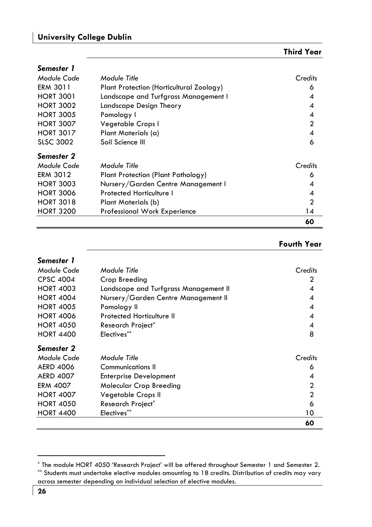| Semester 1       |                                          |                |
|------------------|------------------------------------------|----------------|
| Module Code      | Module Title                             | Credits        |
| <b>ERM 3011</b>  | Plant Protection (Horticultural Zoology) | 6              |
| <b>HORT 3001</b> | Landscape and Turfgrass Management I     | 4              |
| <b>HORT 3002</b> | Landscape Design Theory                  | 4              |
| <b>HORT 3005</b> | Pomology I                               | 4              |
| <b>HORT 3007</b> | Vegetable Crops I                        | $\overline{2}$ |
| <b>HORT 3017</b> | Plant Materials (a)                      | 4              |
| <b>SLSC 3002</b> | Soil Science III                         | 6              |
| Semester 2       |                                          |                |
| Module Code      | Module Title                             | Credits        |
| <b>ERM 3012</b>  | Plant Protection (Plant Pathology)       | 6              |
| <b>HORT 3003</b> | Nursery/Garden Centre Management I       | 4              |
| <b>HORT 3006</b> | Protected Horticulture I                 | 4              |
| <b>HORT 3018</b> | Plant Materials (b)                      | $\mathbf{c}$   |
| <b>HORT 3200</b> | <b>Professional Work Experience</b>      | 14             |
|                  |                                          | 60             |

| Semester 1       |                                       |                |
|------------------|---------------------------------------|----------------|
| Module Code      | Module Title                          | Credits        |
| <b>CPSC 4004</b> | Crop Breeding                         | 2              |
| <b>HORT 4003</b> | Landscape and Turfgrass Management II | 4              |
| <b>HORT 4004</b> | Nursery/Garden Centre Management II   | 4              |
| <b>HORT 4005</b> | Pomology II                           | 4              |
| <b>HORT 4006</b> | Protected Horticulture II             | 4              |
| <b>HORT 4050</b> | Research Project <sup>*</sup>         | 4              |
| <b>HORT 4400</b> | Electives**                           | 8              |
| Semester 2       |                                       |                |
| Module Code      | Module Title                          | Credits        |
| <b>AERD 4006</b> | Communications II                     | 6              |
| <b>AERD 4007</b> | <b>Enterprise Development</b>         | 4              |
| <b>ERM 4007</b>  | <b>Molecular Crop Breeding</b>        | 2              |
| <b>HORT 4007</b> | Vegetable Crops II                    | $\overline{2}$ |
| <b>HORT 4050</b> | Research Project <sup>*</sup>         | 6              |
| <b>HORT 4400</b> | Electives**                           | 10             |
|                  |                                       | 60             |

<sup>\*</sup> The module HORT 4050 'Research Project' will be offered throughout Semester 1 and Semester 2. \*\* Students must undertake elective modules amounting to 18 credits. Distribution of credits may vary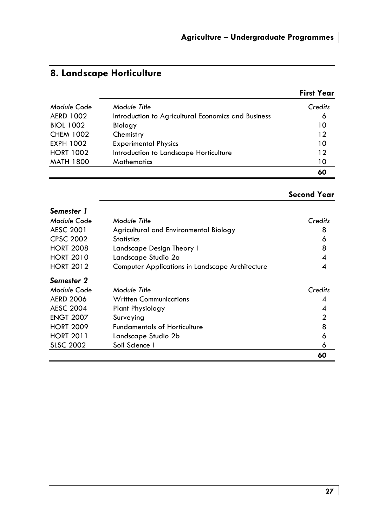| 8. Landscape Horticulture |  |  |  |
|---------------------------|--|--|--|
|---------------------------|--|--|--|

|                  |                                                     | <b>First Year</b> |
|------------------|-----------------------------------------------------|-------------------|
| Module Code      | Module Title                                        | Credits           |
| <b>AERD 1002</b> | Introduction to Agricultural Economics and Business | 6                 |
| <b>BIOL 1002</b> | Biology                                             | 10                |
| <b>CHEM 1002</b> | Chemistry                                           | 12                |
| EXPH 1002        | <b>Experimental Physics</b>                         | 10                |
| <b>HORT 1002</b> | Introduction to Landscape Horticulture              | 12                |
| <b>MATH 1800</b> | <b>Mathematics</b>                                  | 10                |
|                  |                                                     | 60                |

### **Second Year**

| Semester 1       |                                                 |         |
|------------------|-------------------------------------------------|---------|
| Module Code      | Module Title                                    | Credits |
| AESC 2001        | Agricultural and Environmental Biology          | 8       |
| <b>CPSC 2002</b> | <b>Statistics</b>                               | 6       |
| <b>HORT 2008</b> | Landscape Design Theory I                       | 8       |
| <b>HORT 2010</b> | Landscape Studio 2a                             | 4       |
| <b>HORT 2012</b> | Computer Applications in Landscape Architecture | 4       |
| Semester 2       |                                                 |         |
| Module Code      | Module Title                                    | Credits |
| <b>AERD 2006</b> | <b>Written Communications</b>                   | 4       |
| <b>AESC 2004</b> | <b>Plant Physiology</b>                         | 4       |
| <b>ENGT 2007</b> | Surveying                                       | 2       |
| <b>HORT 2009</b> | <b>Fundamentals of Horticulture</b>             | 8       |
| <b>HORT 2011</b> | Landscape Studio 2b                             | 6       |
| <b>SLSC 2002</b> | Soil Science I                                  | 6       |
|                  |                                                 | 60      |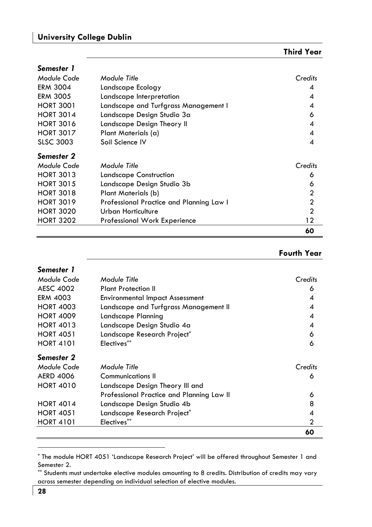| Semester 1       |                                          |                  |
|------------------|------------------------------------------|------------------|
| Module Code      | Module Title                             | Credits          |
| <b>ERM 3004</b>  | Landscape Ecology                        | 4                |
| <b>ERM 3005</b>  | Landscape Interpretation                 | 4                |
| <b>HORT 3001</b> | Landscape and Turfgrass Management I     | 4                |
| <b>HORT 3014</b> | Landscape Design Studio 3a               | 6                |
| <b>HORT 3016</b> | Landscape Design Theory II               | $\boldsymbol{A}$ |
| <b>HORT 3017</b> | Plant Materials (a)                      | 4                |
| <b>SLSC 3003</b> | Soil Science IV                          | 4                |
| Semester 2       |                                          |                  |
| Module Code      | Module Title                             | Credits          |
| <b>HORT 3013</b> | Landscape Construction                   | 6                |
| <b>HORT 3015</b> | Landscape Design Studio 3b               | 6                |
| <b>HORT 3018</b> | Plant Materials (b)                      | $\mathbf{2}$     |
| <b>HORT 3019</b> | Professional Practice and Planning Law I | $\overline{2}$   |
| <b>HORT 3020</b> | Urban Horticulture                       | $\overline{2}$   |
| <b>HORT 3202</b> | Professional Work Experience             | 12               |
|                  |                                          | 60               |

| Semester 1       |                                           |         |
|------------------|-------------------------------------------|---------|
| Module Code      | Module Title                              | Credits |
| <b>AESC 4002</b> | <b>Plant Protection II</b>                | 6       |
| <b>ERM 4003</b>  | <b>Environmental Impact Assessment</b>    | 4       |
| <b>HORT 4003</b> | Landscape and Turfgrass Management II     | 4       |
| <b>HORT 4009</b> | Landscape Planning                        | 4       |
| <b>HORT 4013</b> | Landscape Design Studio 4a                | 4       |
| <b>HORT 4051</b> | Landscape Research Project*               | 6       |
| <b>HORT 4101</b> | Electives**                               | 6       |
| Semester 2       |                                           |         |
| Module Code      | Module Title                              | Credits |
| <b>AERD 4006</b> | Communications II                         | 6       |
| <b>HORT 4010</b> | Landscape Design Theory III and           |         |
|                  | Professional Practice and Planning Law II | 6       |
| <b>HORT 4014</b> | Landscape Design Studio 4b                | 8       |
| <b>HORT 4051</b> | Landscape Research Project*               | 4       |
| <b>HORT 4101</b> | Electives**                               | 2       |
|                  |                                           | 60      |

<sup>\*</sup> The module HORT 4051 'Landscape Research Project' will be offered throughout Semester 1 and Semester 2.

<sup>\*\*</sup> Students must undertake elective modules amounting to 8 credits. Distribution of credits may vary across semester depending on individual selection of elective modules.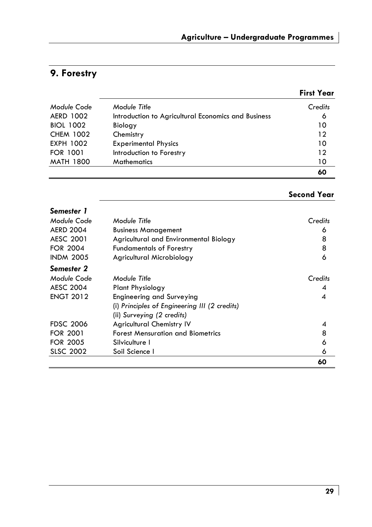### **9. Forestry**

|                  |                                                     | <b>First Year</b> |
|------------------|-----------------------------------------------------|-------------------|
| Module Code      | Module Title                                        | Credits           |
| AERD 1002        | Introduction to Agricultural Economics and Business | 6                 |
| <b>BIOL 1002</b> | Biology                                             | 10                |
| <b>CHEM 1002</b> | Chemistry                                           | 12                |
| EXPH 1002        | <b>Experimental Physics</b>                         | 10                |
| <b>FOR 1001</b>  | Introduction to Forestry                            | 12                |
| <b>MATH 1800</b> | <b>Mathematics</b>                                  | 10                |
|                  |                                                     | 60                |

| Second Year |
|-------------|
|-------------|

|                  |                                                                | 60      |
|------------------|----------------------------------------------------------------|---------|
| <b>SLSC 2002</b> | Soil Science I                                                 | 6       |
| <b>FOR 2005</b>  | Silviculture I                                                 | 6       |
| <b>FOR 2001</b>  | <b>Forest Mensuration and Biometrics</b>                       | 8       |
| <b>FDSC 2006</b> | (ii) Surveying (2 credits)<br><b>Agricultural Chemistry IV</b> | 4       |
|                  | (i) Principles of Engineering III (2 credits)                  |         |
| <b>ENGT 2012</b> | Engineering and Surveying                                      | 4       |
| <b>AESC 2004</b> | Plant Physiology                                               | 4       |
| Module Code      | Module Title                                                   | Credits |
| Semester 2       |                                                                |         |
| <b>INDM 2005</b> | Agricultural Microbiology                                      | 6       |
| <b>FOR 2004</b>  | <b>Fundamentals of Forestry</b>                                | 8       |
| AESC 2001        | Agricultural and Environmental Biology                         | 8       |
| <b>AERD 2004</b> | <b>Business Management</b>                                     | 6       |
| Module Code      | Module Title                                                   | Credits |
| Semester 1       |                                                                |         |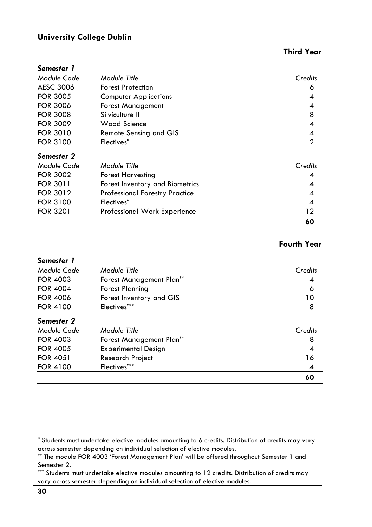| Third Year |  |
|------------|--|
|------------|--|

| Semester 1      |                                       |         |
|-----------------|---------------------------------------|---------|
| Module Code     | Module Title                          | Credits |
| AESC 3006       | <b>Forest Protection</b>              | 6       |
| <b>FOR 3005</b> | <b>Computer Applications</b>          | 4       |
| <b>FOR 3006</b> | <b>Forest Management</b>              | 4       |
| <b>FOR 3008</b> | Silviculture II                       | 8       |
| <b>FOR 3009</b> | Wood Science                          | 4       |
| <b>FOR 3010</b> | Remote Sensing and GIS                | 4       |
| <b>FOR 3100</b> | Electives*                            | 2       |
| Semester 2      |                                       |         |
| Module Code     | Module Title                          | Credits |
| <b>FOR 3002</b> | Forest Harvesting                     | 4       |
| <b>FOR 3011</b> | Forest Inventory and Biometrics       | 4       |
| <b>FOR 3012</b> | <b>Professional Forestry Practice</b> | 4       |
| <b>FOR 3100</b> | Electives <sup>*</sup>                | 4       |
| <b>FOR 3201</b> | <b>Professional Work Experience</b>   | 12      |
|                 |                                       | 60      |

| Semester 1      |                            |         |
|-----------------|----------------------------|---------|
| Module Code     | Module Title               | Credits |
| <b>FOR 4003</b> | Forest Management Plan**   | 4       |
| <b>FOR 4004</b> | <b>Forest Planning</b>     | 6       |
| <b>FOR 4006</b> | Forest Inventory and GIS   | 10      |
| <b>FOR 4100</b> | Electives***               | 8       |
| Semester 2      |                            |         |
| Module Code     | Module Title               | Credits |
| <b>FOR 4003</b> | Forest Management Plan**   | 8       |
| <b>FOR 4005</b> | <b>Experimental Design</b> | 4       |
| <b>FOR 4051</b> | <b>Research Project</b>    | 16      |
| <b>FOR 4100</b> | Electives***               | 4       |
|                 |                            | 60      |

<sup>\*</sup> Students must undertake elective modules amounting to 6 credits. Distribution of credits may vary across semester depending on individual selection of elective modules.

<sup>\*\*</sup> The module FOR 4003 'Forest Management Plan' will be offered throughout Semester 1 and Semester 2.

<sup>\*\*\*</sup> Students must undertake elective modules amounting to 12 credits. Distribution of credits may vary across semester depending on individual selection of elective modules.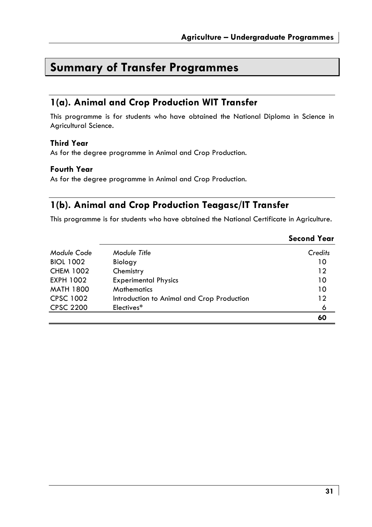## **Summary of Transfer Programmes**

### **1(a). Animal and Crop Production WIT Transfer**

This programme is for students who have obtained the National Diploma in Science in Agricultural Science.

#### **Third Year**

As for the degree programme in Animal and Crop Production.

#### **Fourth Year**

As for the degree programme in Animal and Crop Production.

### **1(b). Animal and Crop Production Teagasc/IT Transfer**

This programme is for students who have obtained the National Certificate in Agriculture.

|                  |                                            | <b>Second Year</b> |
|------------------|--------------------------------------------|--------------------|
| Module Code      | Module Title                               | Credits            |
| <b>BIOL 1002</b> | Biology                                    | 10                 |
| <b>CHEM 1002</b> | Chemistry                                  | 12                 |
| <b>EXPH 1002</b> | <b>Experimental Physics</b>                | 10                 |
| <b>MATH 1800</b> | <b>Mathematics</b>                         | 10                 |
| <b>CPSC 1002</b> | Introduction to Animal and Crop Production | 12                 |
| <b>CPSC 2200</b> | Electives*                                 | 6                  |
|                  |                                            | 60                 |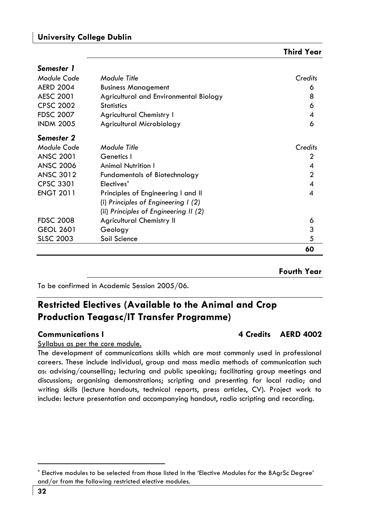*Semester 1* 

|                  |                                        | 60             |
|------------------|----------------------------------------|----------------|
| <b>SLSC 2003</b> | Soil Science                           | 5              |
| <b>GEOL 2601</b> | Geology                                | 3              |
| <b>FDSC 2008</b> | <b>Agricultural Chemistry II</b>       | 6              |
|                  | (ii) Principles of Engineering II (2)  |                |
|                  | (i) Principles of Engineering $(2)$    |                |
| <b>ENGT 2011</b> | Principles of Engineering I and II     | 4              |
| <b>CPSC 3301</b> | Electives <sup>*</sup>                 | 4              |
| <b>ANSC 3012</b> | <b>Fundamentals of Biotechnology</b>   | $\overline{2}$ |
| <b>ANSC 2006</b> | <b>Animal Nutrition I</b>              | 4              |
| <b>ANSC 2001</b> | Genetics I                             | 2              |
| Module Code      | Module Title                           | Credits        |
| Semester 2       |                                        |                |
| <b>INDM 2005</b> | Agricultural Microbiology              | 6              |
| <b>FDSC 2007</b> | <b>Agricultural Chemistry I</b>        | 4              |
| <b>CPSC 2002</b> | <b>Statistics</b>                      | 6              |
| <b>AESC 2001</b> | Agricultural and Environmental Biology | 8              |
| <b>AERD 2004</b> | <b>Business Management</b>             | 6              |
| Module Code      | Module Title                           | Credits        |
|                  |                                        |                |

#### **Fourth Year**

To be confirmed in Academic Session 2005/06.

### **Restricted Electives (Available to the Animal and Crop Production Teagasc/IT Transfer Programme)**

Syllabus as per the core module.

The development of communications skills which are most commonly used in professional careers. These include individual, group and mass media methods of communication such as: advising/counselling; lecturing and public speaking; facilitating group meetings and discussions; organising demonstrations; scripting and presenting for local radio; and writing skills (lecture handouts, technical reports, press articles, CV). Project work to include: lecture presentation and accompanying handout, radio scripting and recording.

### **Communications I 4 Credits AERD 4002**

**Third Year** 

<sup>\*</sup> Elective modules to be selected from those listed in the 'Elective Modules for the BAgrSc Degree' and/or from the following restricted elective modules.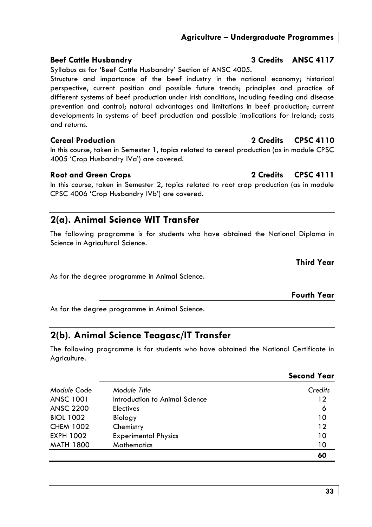### **Beef Cattle Husbandry 3 Credits ANSC 4117**

Syllabus as for 'Beef Cattle Husbandry' Section of ANSC 4005.

Structure and importance of the beef industry in the national economy; historical perspective, current position and possible future trends; principles and practice of different systems of beef production under Irish conditions, including feeding and disease prevention and control; natural advantages and limitations in beef production; current developments in systems of beef production and possible implications for Ireland; costs and returns.

**Cereal Production 2 Credits CPSC 4110** 

In this course, taken in Semester 1, topics related to cereal production (as in module CPSC 4005 'Crop Husbandry IVa') are covered.

### Root and Green Crops 2 Credits CPSC 4111

In this course, taken in Semester 2, topics related to root crop production (as in module CPSC 4006 'Crop Husbandry IVb') are covered.

### **2(a). Animal Science WIT Transfer**

The following programme is for students who have obtained the National Diploma in Science in Agricultural Science.

**Third Year** 

As for the degree programme in Animal Science.

**Fourth Year** 

As for the degree programme in Animal Science.

### **2(b). Animal Science Teagasc/IT Transfer**

The following programme is for students who have obtained the National Certificate in Agriculture.

|                  |                                | <b>Second Year</b> |
|------------------|--------------------------------|--------------------|
| Module Code      | Module Title                   | Credits            |
| <b>ANSC 1001</b> | Introduction to Animal Science | 12                 |
| <b>ANSC 2200</b> | <b>Electives</b>               | 6                  |
| <b>BIOL 1002</b> | Biology                        | 10                 |
| <b>CHEM 1002</b> | Chemistry                      | 12                 |
| <b>EXPH 1002</b> | <b>Experimental Physics</b>    | 10                 |
| <b>MATH 1800</b> | <b>Mathematics</b>             | 10                 |
|                  |                                | 60                 |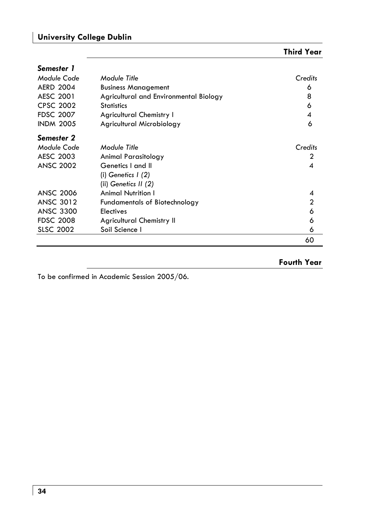| Third Year |  |
|------------|--|
|------------|--|

| Semester 1       |                                        |         |
|------------------|----------------------------------------|---------|
| Module Code      | Module Title                           | Credits |
| <b>AERD 2004</b> | <b>Business Management</b>             | 6       |
| <b>AESC 2001</b> | Agricultural and Environmental Biology | 8       |
| <b>CPSC 2002</b> | <b>Statistics</b>                      | 6       |
| <b>FDSC 2007</b> | <b>Agricultural Chemistry I</b>        | 4       |
| <b>INDM 2005</b> | Agricultural Microbiology              | 6       |
| Semester 2       |                                        |         |
| Module Code      | Module Title                           | Credits |
| AESC 2003        | Animal Parasitology                    | 2       |
| <b>ANSC 2002</b> | Genetics I and II                      | 4       |
|                  | (i) Genetics I (2)                     |         |
|                  | (ii) Genetics II (2)                   |         |
| <b>ANSC 2006</b> | <b>Animal Nutrition I</b>              | 4       |
| <b>ANSC 3012</b> | <b>Fundamentals of Biotechnology</b>   | 2       |
| <b>ANSC 3300</b> | <b>Electives</b>                       | 6       |
| <b>FDSC 2008</b> | <b>Agricultural Chemistry II</b>       | 6       |
| <b>SLSC 2002</b> | Soil Science I                         | 6       |
|                  |                                        | 60      |

**Fourth Year** 

To be confirmed in Academic Session 2005/06.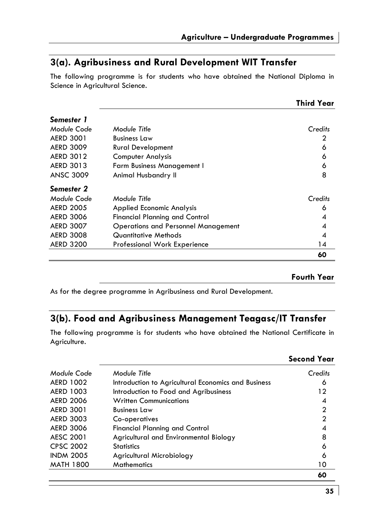### **3(a). Agribusiness and Rural Development WIT Transfer**

The following programme is for students who have obtained the National Diploma in Science in Agricultural Science.

|                  |                                            | <b>Third Year</b> |
|------------------|--------------------------------------------|-------------------|
| Semester 1       |                                            |                   |
| Module Code      | Module Title                               | Credits           |
| <b>AERD 3001</b> | <b>Business Law</b>                        | 2                 |
| <b>AERD 3009</b> | <b>Rural Development</b>                   | 6                 |
| <b>AERD 3012</b> | <b>Computer Analysis</b>                   | 6                 |
| AERD 3013        | <b>Farm Business Management I</b>          | 6                 |
| <b>ANSC 3009</b> | Animal Husbandry II                        | 8                 |
| Semester 2       |                                            |                   |
| Module Code      | Module Title                               | Credits           |
| <b>AERD 2005</b> | <b>Applied Economic Analysis</b>           | 6                 |
| <b>AERD 3006</b> | <b>Financial Planning and Control</b>      | 4                 |
| <b>AERD 3007</b> | <b>Operations and Personnel Management</b> | 4                 |
| <b>AERD 3008</b> | Quantitative Methods                       | 4                 |
| <b>AERD 3200</b> | <b>Professional Work Experience</b>        | 14                |
|                  |                                            | 60                |

**Fourth Year** 

As for the degree programme in Agribusiness and Rural Development.

### **3(b). Food and Agribusiness Management Teagasc/IT Transfer**

The following programme is for students who have obtained the National Certificate in Agriculture.

|                  |                                                     | <b>Second Year</b> |
|------------------|-----------------------------------------------------|--------------------|
| Module Code      | Module Title                                        | Credits            |
| <b>AERD 1002</b> | Introduction to Agricultural Economics and Business | 6                  |
| <b>AERD 1003</b> | Introduction to Food and Agribusiness               | 12                 |
| <b>AERD 2006</b> | <b>Written Communications</b>                       | 4                  |
| <b>AERD 3001</b> | <b>Business Law</b>                                 | 2                  |
| <b>AERD 3003</b> | Co-operatives                                       | $\mathbf{2}$       |
| <b>AERD 3006</b> | <b>Financial Planning and Control</b>               | 4                  |
| AESC 2001        | Agricultural and Environmental Biology              | 8                  |
| <b>CPSC 2002</b> | <b>Statistics</b>                                   | 6                  |
| <b>INDM 2005</b> | Agricultural Microbiology                           | 6                  |
| <b>MATH 1800</b> | <b>Mathematics</b>                                  | 10                 |
|                  |                                                     | 60                 |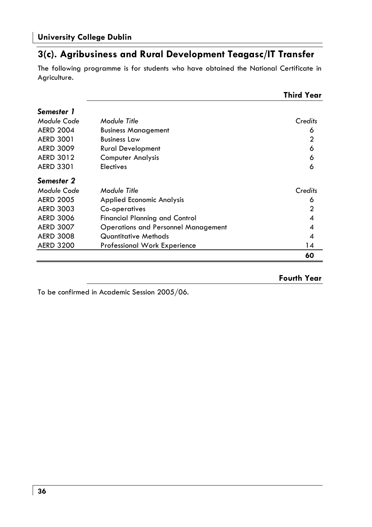### **3(c). Agribusiness and Rural Development Teagasc/IT Transfer**

The following programme is for students who have obtained the National Certificate in Agriculture.

|                  |                                            | <b>Third Year</b> |
|------------------|--------------------------------------------|-------------------|
| Semester 1       |                                            |                   |
| Module Code      | Module Title                               | Credits           |
| <b>AERD 2004</b> | <b>Business Management</b>                 | 6                 |
| <b>AERD 3001</b> | <b>Business Law</b>                        | 2                 |
| <b>AERD 3009</b> | <b>Rural Development</b>                   | 6                 |
| <b>AERD 3012</b> | <b>Computer Analysis</b>                   | 6                 |
| <b>AERD 3301</b> | <b>Electives</b>                           | 6                 |
| Semester 2       |                                            |                   |
| Module Code      | Module Title                               | Credits           |
| <b>AERD 2005</b> | <b>Applied Economic Analysis</b>           | 6                 |
| <b>AERD 3003</b> | Co-operatives                              | 2                 |
| <b>AERD 3006</b> | Financial Planning and Control             | 4                 |
| <b>AERD 3007</b> | <b>Operations and Personnel Management</b> | 4                 |
| <b>AERD 3008</b> | Quantitative Methods                       | 4                 |
| <b>AERD 3200</b> | <b>Professional Work Experience</b>        | 14                |
|                  |                                            | 60                |

**Fourth Year** 

To be confirmed in Academic Session 2005/06.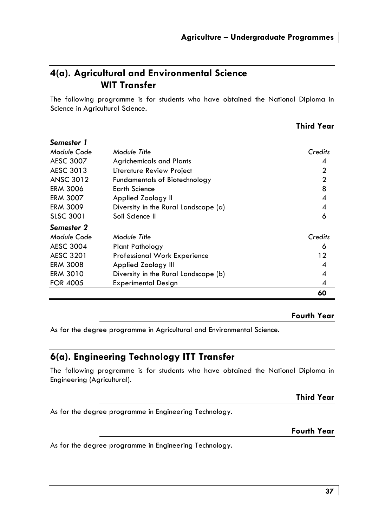# **4(a). Agricultural and Environmental Science WIT Transfer**

The following programme is for students who have obtained the National Diploma in Science in Agricultural Science.

| Semester 1      |                                      |                |
|-----------------|--------------------------------------|----------------|
|                 |                                      |                |
| Module Code     | Module Title                         | Credits        |
| AESC 3007       | <b>Agrichemicals and Plants</b>      | 4              |
| AESC 3013       | Literature Review Project            | $\mathbf{2}$   |
| ANSC 3012       | <b>Fundamentals of Biotechnology</b> | $\mathbf{2}$   |
| ERM 3006        | <b>Earth Science</b>                 | 8              |
| ERM 3007        | Applied Zoology II                   | $\overline{4}$ |
| ERM 3009        | Diversity in the Rural Landscape (a) | 4              |
| SLSC 3001       | Soil Science II                      | 6              |
| Semester 2      |                                      |                |
| Module Code     | Module Title                         | Credits        |
| AESC 3004       | Plant Pathology                      | 6              |
| AESC 3201       | <b>Professional Work Experience</b>  | 12             |
| ERM 3008        | Applied Zoology III                  | 4              |
| ERM 3010        | Diversity in the Rural Landscape (b) | 4              |
| <b>FOR 4005</b> | <b>Experimental Design</b>           | 4              |
|                 |                                      | 60             |

# **Fourth Year**

**Third Year**

As for the degree programme in Agricultural and Environmental Science.

# **6(a). Engineering Technology ITT Transfer**

The following programme is for students who have obtained the National Diploma in Engineering (Agricultural).

**Third Year** 

As for the degree programme in Engineering Technology.

**Fourth Year** 

As for the degree programme in Engineering Technology.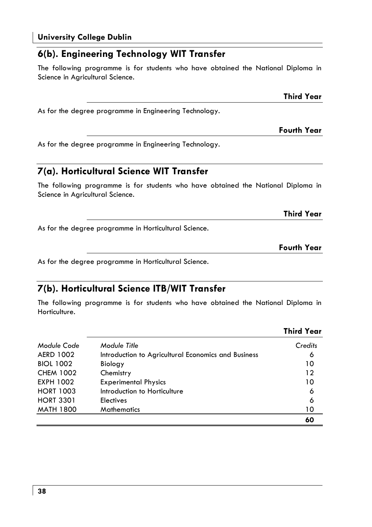# **6(b). Engineering Technology WIT Transfer**

The following programme is for students who have obtained the National Diploma in Science in Agricultural Science.

As for the degree programme in Engineering Technology.

As for the degree programme in Engineering Technology.

# **7(a). Horticultural Science WIT Transfer**

The following programme is for students who have obtained the National Diploma in Science in Agricultural Science.

As for the degree programme in Horticultural Science.

**Fourth Year** 

**Third Year** 

As for the degree programme in Horticultural Science.

# **7(b). Horticultural Science ITB/WIT Transfer**

The following programme is for students who have obtained the National Diploma in Horticulture.

| Module Code      | Module Title                                        | Credits |
|------------------|-----------------------------------------------------|---------|
| <b>AERD 1002</b> | Introduction to Agricultural Economics and Business | 6       |
| <b>BIOL 1002</b> | Biology                                             | 10      |
| <b>CHEM 1002</b> | Chemistry                                           | 12      |
| <b>EXPH 1002</b> | <b>Experimental Physics</b>                         | 10      |
| <b>HORT 1003</b> | Introduction to Horticulture                        | 6       |
| <b>HORT 3301</b> | <b>Electives</b>                                    | 6       |
| <b>MATH 1800</b> | <b>Mathematics</b>                                  | 10      |
|                  |                                                     | 60      |

# **Third Year**

**Fourth Year** 

**Third Year**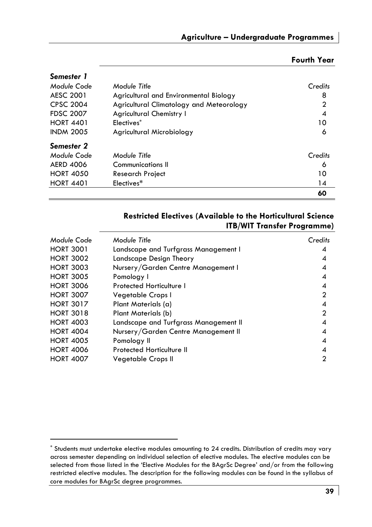| Semester 1       |                                          |                |
|------------------|------------------------------------------|----------------|
| Module Code      | Module Title                             | Credits        |
| AESC 2001        | Agricultural and Environmental Biology   | 8              |
| <b>CPSC 2004</b> | Agricultural Climatology and Meteorology | $\overline{2}$ |
| <b>FDSC 2007</b> | <b>Agricultural Chemistry I</b>          | 4              |
| <b>HORT 4401</b> | Electives*                               | 10             |
| <b>INDM 2005</b> | Agricultural Microbiology                | 6              |
| Semester 2       |                                          |                |
| Module Code      | Module Title                             | Credits        |
| <b>AERD 4006</b> | Communications II                        | 6              |
| <b>HORT 4050</b> | <b>Research Project</b>                  | 10             |
| <b>HORT 4401</b> | Electives*                               | 14             |
|                  |                                          | 60             |

# **Fourth Year**

# **Restricted Electives (Available to the Horticultural Science ITB/WIT Transfer Programme)**

| Module Code      | Module Title                          | Credits        |
|------------------|---------------------------------------|----------------|
| <b>HORT 3001</b> | Landscape and Turfgrass Management I  | 4              |
| <b>HORT 3002</b> | Landscape Design Theory               | 4              |
| <b>HORT 3003</b> | Nursery/Garden Centre Management I    | 4              |
| <b>HORT 3005</b> | Pomology I                            | 4              |
| <b>HORT 3006</b> | Protected Horticulture I              | 4              |
| <b>HORT 3007</b> | Vegetable Crops I                     | $\overline{2}$ |
| <b>HORT 3017</b> | Plant Materials (a)                   | 4              |
| <b>HORT 3018</b> | Plant Materials (b)                   | 2              |
| <b>HORT 4003</b> | Landscape and Turfgrass Management II | 4              |
| <b>HORT 4004</b> | Nursery/Garden Centre Management II   | 4              |
| <b>HORT 4005</b> | Pomology II                           | 4              |
| <b>HORT 4006</b> | Protected Horticulture II             | 4              |
| <b>HORT 4007</b> | Vegetable Crops II                    | 2              |

<sup>\*</sup> Students must undertake elective modules amounting to 24 credits. Distribution of credits may vary across semester depending on individual selection of elective modules. The elective modules can be selected from those listed in the 'Elective Modules for the BAgrSc Degree' and/or from the following restricted elective modules. The description for the following modules can be found in the syllabus of core modules for BAgrSc degree programmes.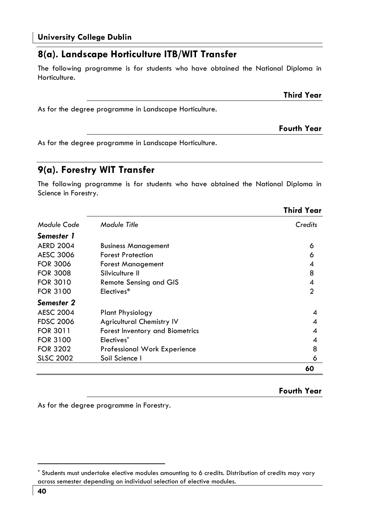# **8(a). Landscape Horticulture ITB/WIT Transfer**

The following programme is for students who have obtained the National Diploma in Horticulture.

As for the degree programme in Landscape Horticulture.

As for the degree programme in Landscape Horticulture.

# **9(a). Forestry WIT Transfer**

The following programme is for students who have obtained the National Diploma in Science in Forestry.

|                  |                                     | <b>Third Year</b> |
|------------------|-------------------------------------|-------------------|
| Module Code      | Module Title                        | Credits           |
| Semester 1       |                                     |                   |
| <b>AERD 2004</b> | <b>Business Management</b>          | 6                 |
| AESC 3006        | <b>Forest Protection</b>            | 6                 |
| <b>FOR 3006</b>  | <b>Forest Management</b>            | 4                 |
| <b>FOR 3008</b>  | Silviculture II                     | 8                 |
| <b>FOR 3010</b>  | Remote Sensing and GIS              | 4                 |
| <b>FOR 3100</b>  | Electives*                          | 2                 |
| Semester 2       |                                     |                   |
| <b>AESC 2004</b> | Plant Physiology                    | 4                 |
| <b>FDSC 2006</b> | <b>Agricultural Chemistry IV</b>    | 4                 |
| <b>FOR 3011</b>  | Forest Inventory and Biometrics     | 4                 |
| <b>FOR 3100</b>  | Electives*                          | 4                 |
| <b>FOR 3202</b>  | <b>Professional Work Experience</b> | 8                 |
| <b>SLSC 2002</b> | Soil Science I                      | 6                 |
|                  |                                     | 60                |

### **Fourth Year**

**Third Year** 

**Fourth Year** 

As for the degree programme in Forestry.

<sup>\*</sup> Students must undertake elective modules amounting to 6 credits. Distribution of credits may vary across semester depending on individual selection of elective modules.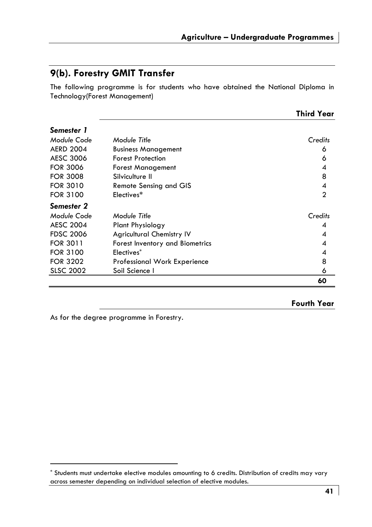# **9(b). Forestry GMIT Transfer**

The following programme is for students who have obtained the National Diploma in Technology(Forest Management)

|                  |                                     | <b>Third Year</b> |
|------------------|-------------------------------------|-------------------|
| Semester 1       |                                     |                   |
| Module Code      | Module Title                        | Credits           |
| <b>AERD 2004</b> | <b>Business Management</b>          | 6                 |
| <b>AESC 3006</b> | <b>Forest Protection</b>            | 6                 |
| <b>FOR 3006</b>  | <b>Forest Management</b>            | 4                 |
| <b>FOR 3008</b>  | Silviculture II                     | 8                 |
| <b>FOR 3010</b>  | <b>Remote Sensing and GIS</b>       | 4                 |
| <b>FOR 3100</b>  | Electives*                          | $\mathbf{2}$      |
| Semester 2       |                                     |                   |
| Module Code      | Module Title                        | Credits           |
| <b>AESC 2004</b> | <b>Plant Physiology</b>             | 4                 |
| <b>FDSC 2006</b> | <b>Agricultural Chemistry IV</b>    | 4                 |
| <b>FOR 3011</b>  | Forest Inventory and Biometrics     | 4                 |
| <b>FOR 3100</b>  | Electives*                          | 4                 |
| <b>FOR 3202</b>  | <b>Professional Work Experience</b> | 8                 |
| <b>SLSC 2002</b> | Soil Science I                      | 6                 |
|                  |                                     | 60                |

### **Fourth Year**

As for the degree programme in Forestry.

<sup>\*</sup> Students must undertake elective modules amounting to 6 credits. Distribution of credits may vary across semester depending on individual selection of elective modules.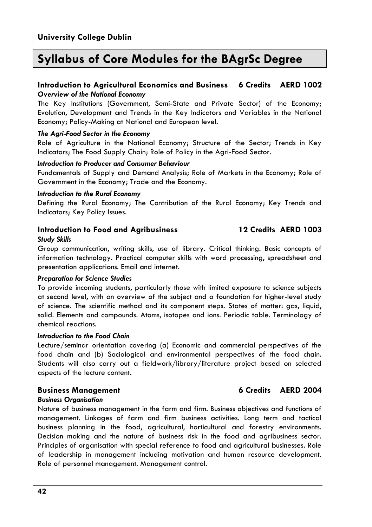# **Syllabus of Core Modules for the BAgrSc Degree**

### **Introduction to Agricultural Economics and Business 6 Credits AERD 1002**  *Overview of the National Economy*

The Key Institutions (Government, Semi-State and Private Sector) of the Economy; Evolution, Development and Trends in the Key Indicators and Variables in the National Economy; Policy-Making at National and European level.

### *The Agri-Food Sector in the Economy*

Role of Agriculture in the National Economy; Structure of the Sector; Trends in Key Indicators; The Food Supply Chain; Role of Policy in the Agri-Food Sector.

### *Introduction to Producer and Consumer Behaviour*

Fundamentals of Supply and Demand Analysis; Role of Markets in the Economy; Role of Government in the Economy; Trade and the Economy.

### *Introduction to the Rural Economy*

Defining the Rural Economy; The Contribution of the Rural Economy; Key Trends and Indicators; Key Policy Issues.

### **Introduction to Food and Agribusiness 12 Credits AERD 1003**  *Study Skills*

Group communication, writing skills, use of library. Critical thinking. Basic concepts of information technology. Practical computer skills with word processing, spreadsheet and presentation applications. Email and internet.

### *Preparation for Science Studies*

To provide incoming students, particularly those with limited exposure to science subjects at second level, with an overview of the subject and a foundation for higher-level study of science. The scientific method and its component steps. States of matter: gas, liquid, solid. Elements and compounds. Atoms, isotopes and ions. Periodic table. Terminology of chemical reactions.

### *Introduction to the Food Chain*

Lecture/seminar orientation covering (a) Economic and commercial perspectives of the food chain and (b) Sociological and environmental perspectives of the food chain. Students will also carry out a fieldwork/library/literature project based on selected aspects of the lecture content.

### **Business Management 6 Credits AERD 2004**

### *Business Organisation*

Nature of business management in the farm and firm. Business objectives and functions of management. Linkages of farm and firm business activities. Long term and tactical business planning in the food, agricultural, horticultural and forestry environments. Decision making and the nature of business risk in the food and agribusiness sector. Principles of organisation with special reference to food and agricultural businesses. Role of leadership in management including motivation and human resource development. Role of personnel management. Management control.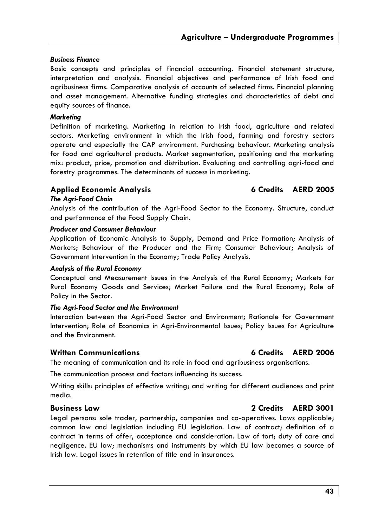### *Business Finance*

Basic concepts and principles of financial accounting. Financial statement structure, interpretation and analysis. Financial objectives and performance of Irish food and agribusiness firms. Comparative analysis of accounts of selected firms. Financial planning and asset management. Alternative funding strategies and characteristics of debt and equity sources of finance.

### *Marketing*

Definition of marketing. Marketing in relation to Irish food, agriculture and related sectors. Marketing environment in which the Irish food, farming and forestry sectors operate and especially the CAP environment. Purchasing behaviour. Marketing analysis for food and agricultural products. Market segmentation, positioning and the marketing mix: product, price, promotion and distribution. Evaluating and controlling agri-food and forestry programmes. The determinants of success in marketing.

### **Applied Economic Analysis 6 Credits AERD 2005**

### *The Agri-Food Chain*

Analysis of the contribution of the Agri-Food Sector to the Economy. Structure, conduct and performance of the Food Supply Chain.

### *Producer and Consumer Behaviour*

Application of Economic Analysis to Supply, Demand and Price Formation; Analysis of Markets; Behaviour of the Producer and the Firm; Consumer Behaviour; Analysis of Government Intervention in the Economy; Trade Policy Analysis.

### *Analysis of the Rural Economy*

Conceptual and Measurement Issues in the Analysis of the Rural Economy; Markets for Rural Economy Goods and Services; Market Failure and the Rural Economy; Role of Policy in the Sector.

### *The Agri-Food Sector and the Environment*

Interaction between the Agri-Food Sector and Environment; Rationale for Government Intervention; Role of Economics in Agri-Environmental Issues; Policy Issues for Agriculture and the Environment.

### **Written Communications 6 Credits AERD 2006**

The meaning of communication and its role in food and agribusiness organisations.

The communication process and factors influencing its success.

Writing skills: principles of effective writing; and writing for different audiences and print media.

### **Business Law 2 Credits AERD 3001**

Legal persons: sole trader, partnership, companies and co-operatives. Laws applicable; common law and legislation including EU legislation. Law of contract; definition of a contract in terms of offer, acceptance and consideration. Law of tort; duty of care and negligence. EU law; mechanisms and instruments by which EU law becomes a source of Irish law. Legal issues in retention of title and in insurances.

### **43**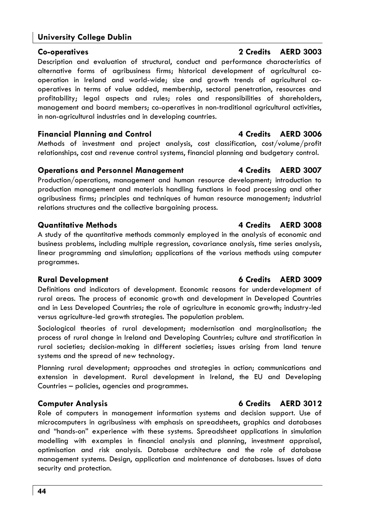**Co-operatives 2 Credits AERD 3003**  Description and evaluation of structural, conduct and performance characteristics of alternative forms of agribusiness firms; historical development of agricultural cooperation in Ireland and world-wide; size and growth trends of agricultural cooperatives in terms of value added, membership, sectoral penetration, resources and profitability; legal aspects and rules; roles and responsibilities of shareholders, management and board members; co-operatives in non-traditional agricultural activities, in non-agricultural industries and in developing countries.

## **Financial Planning and Control 4 Credits AERD 3006**

Methods of investment and project analysis, cost classification, cost/volume/profit relationships, cost and revenue control systems, financial planning and budgetary control.

## **Operations and Personnel Management 4 Credits AERD 3007**

Production/operations, management and human resource development; introduction to production management and materials handling functions in food processing and other agribusiness firms; principles and techniques of human resource management; industrial relations structures and the collective bargaining process.

## **Quantitative Methods 4 Credits AERD 3008**

A study of the quantitative methods commonly employed in the analysis of economic and business problems, including multiple regression, covariance analysis, time series analysis, linear programming and simulation; applications of the various methods using computer programmes.

# **Rural Development 6 Credits AERD 3009**

Definitions and indicators of development. Economic reasons for underdevelopment of rural areas. The process of economic growth and development in Developed Countries and in Less Developed Countries; the role of agriculture in economic growth; industry-led versus agriculture-led growth strategies. The population problem.

Sociological theories of rural development; modernisation and marginalisation; the process of rural change in Ireland and Developing Countries; culture and stratification in rural societies; decision-making in different societies; issues arising from land tenure systems and the spread of new technology.

Planning rural development; approaches and strategies in action; communications and extension in development. Rural development in Ireland, the EU and Developing Countries – policies, agencies and programmes.

# **Computer Analysis 6 Credits AERD 3012**

Role of computers in management information systems and decision support. Use of microcomputers in agribusiness with emphasis on spreadsheets, graphics and databases and "hands-on" experience with these systems. Spreadsheet applications in simulation modelling with examples in financial analysis and planning, investment appraisal, optimisation and risk analysis. Database architecture and the role of database management systems. Design, application and maintenance of databases. Issues of data security and protection.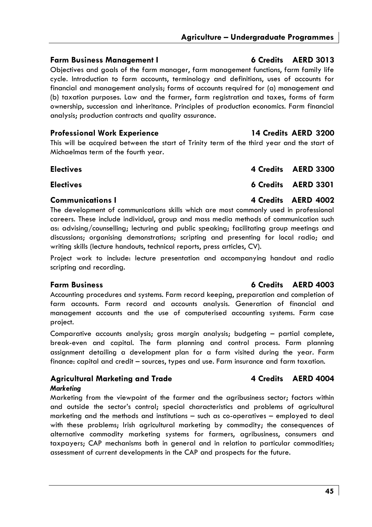# **Farm Business Management I 6 Credits AERD 3013**

Objectives and goals of the farm manager, farm management functions, farm family life cycle. Introduction to farm accounts, terminology and definitions, uses of accounts for financial and management analysis; forms of accounts required for (a) management and (b) taxation purposes. Law and the farmer, farm registration and taxes, forms of farm ownership, succession and inheritance. Principles of production economics. Farm financial analysis; production contracts and quality assurance.

### **Professional Work Experience 14 Credits AERD 3200**

This will be acquired between the start of Trinity term of the third year and the start of Michaelmas term of the fourth year.

| <b>Electives</b> | 4 Credits AERD 3300 |
|------------------|---------------------|
| <b>Electives</b> | 6 Credits AERD 3301 |
| Communications I | 4 Credits AERD 4002 |

# The development of communications skills which are most commonly used in professional careers. These include individual, group and mass media methods of communication such as: advising/counselling; lecturing and public speaking; facilitating group meetings and discussions; organising demonstrations; scripting and presenting for local radio; and writing skills (lecture handouts, technical reports, press articles, CV).

Project work to include: lecture presentation and accompanying handout and radio scripting and recording.

Accounting procedures and systems. Farm record keeping, preparation and completion of farm accounts. Farm record and accounts analysis. Generation of financial and management accounts and the use of computerised accounting systems. Farm case project.

Comparative accounts analysis; gross margin analysis; budgeting – partial complete, break-even and capital. The farm planning and control process. Farm planning assignment detailing a development plan for a farm visited during the year. Farm finance: capital and credit – sources, types and use. Farm insurance and farm taxation.

### Agricultural Marketing and Trade **4 Credits** AERD 4004 *Marketing*

Marketing from the viewpoint of the farmer and the agribusiness sector; factors within and outside the sector's control; special characteristics and problems of agricultural marketing and the methods and institutions – such as co-operatives – employed to deal with these problems; Irish agricultural marketing by commodity; the consequences of alternative commodity marketing systems for farmers, agribusiness, consumers and taxpayers; CAP mechanisms both in general and in relation to particular commodities; assessment of current developments in the CAP and prospects for the future.

### **Farm Business 6 Credits AERD 4003**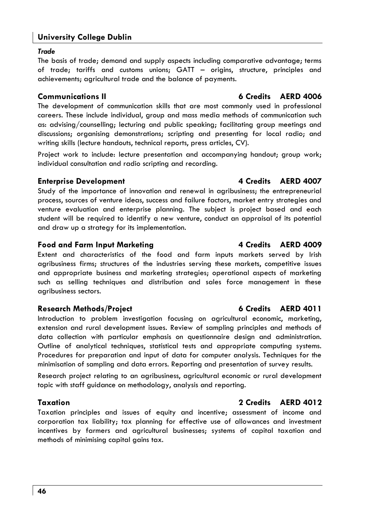### *Trade*

The basis of trade; demand and supply aspects including comparative advantage; terms of trade; tariffs and customs unions; GATT – origins, structure, principles and achievements; agricultural trade and the balance of payments.

The development of communication skills that are most commonly used in professional careers. These include individual, group and mass media methods of communication such as: advising/counselling; lecturing and public speaking; facilitating group meetings and discussions; organising demonstrations; scripting and presenting for local radio; and writing skills (lecture handouts, technical reports, press articles, CV).

Project work to include: lecture presentation and accompanying handout; group work; individual consultation and radio scripting and recording.

## **Enterprise Development 12 Credits AERD 4007**

Study of the importance of innovation and renewal in agribusiness; the entrepreneurial process, sources of venture ideas, success and failure factors, market entry strategies and venture evaluation and enterprise planning. The subject is project based and each student will be required to identify a new venture, conduct an appraisal of its potential and draw up a strategy for its implementation.

# Food and Farm Input Marketing **4 Credits** AERD 4009

Extent and characteristics of the food and farm inputs markets served by Irish agribusiness firms; structures of the industries serving these markets, competitive issues and appropriate business and marketing strategies; operational aspects of marketing such as selling techniques and distribution and sales force management in these agribusiness sectors.

# **Research Methods/Project 6 Credits AERD 4011**

Introduction to problem investigation focusing on agricultural economic, marketing, extension and rural development issues. Review of sampling principles and methods of data collection with particular emphasis on questionnaire design and administration. Outline of analytical techniques, statistical tests and appropriate computing systems. Procedures for preparation and input of data for computer analysis. Techniques for the minimisation of sampling and data errors. Reporting and presentation of survey results.

Research project relating to an agribusiness, agricultural economic or rural development topic with staff guidance on methodology, analysis and reporting.

# **Taxation 2 Credits AERD 4012**

Taxation principles and issues of equity and incentive; assessment of income and corporation tax liability; tax planning for effective use of allowances and investment incentives by farmers and agricultural businesses; systems of capital taxation and methods of minimising capital gains tax.

# **Communications II 6 Credits AERD 4006**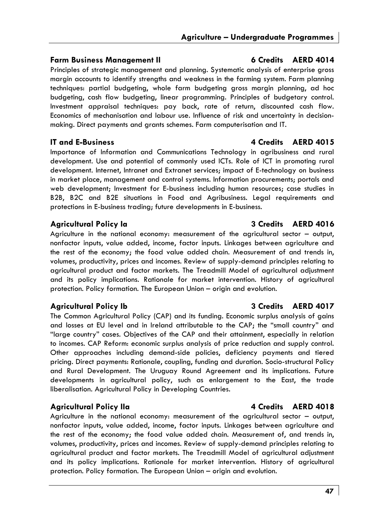# **Farm Business Management II 6 Credits AERD 4014**

Principles of strategic management and planning. Systematic analysis of enterprise gross margin accounts to identify strengths and weakness in the farming system. Farm planning techniques: partial budgeting, whole farm budgeting gross margin planning, ad hoc budgeting, cash flow budgeting, linear programming. Principles of budgetary control. Investment appraisal techniques: pay back, rate of return, discounted cash flow. Economics of mechanisation and labour use. Influence of risk and uncertainty in decisionmaking. Direct payments and grants schemes. Farm computerisation and IT.

Importance of Information and Communications Technology in agribusiness and rural development. Use and potential of commonly used ICTs. Role of ICT in promoting rural development. Internet, Intranet and Extranet services; impact of E-technology on business in market place, management and control systems. Information procurements; portals and web development; Investment for E-business including human resources; case studies in B2B, B2C and B2E situations in Food and Agribusiness. Legal requirements and protections in E-business trading; future developments in E-business.

Agriculture in the national economy: measurement of the agricultural sector – output, nonfactor inputs, value added, income, factor inputs. Linkages between agriculture and the rest of the economy; the food value added chain. Measurement of and trends in, volumes, productivity, prices and incomes. Review of supply-demand principles relating to agricultural product and factor markets. The Treadmill Model of agricultural adjustment and its policy implications. Rationale for market intervention. History of agricultural protection. Policy formation. The European Union – origin and evolution.

The Common Agricultural Policy (CAP) and its funding. Economic surplus analysis of gains and losses at EU level and in Ireland attributable to the CAP; the "small country" and "large country" cases. Objectives of the CAP and their attainment, especially in relation to incomes. CAP Reform: economic surplus analysis of price reduction and supply control. Other approaches including demand-side policies, deficiency payments and tiered pricing. Direct payments: Rationale, coupling, funding and duration. Socio-structural Policy and Rural Development. The Uruguay Round Agreement and its implications. Future developments in agricultural policy, such as enlargement to the East, the trade liberalisation. Agricultural Policy in Developing Countries.

# **Agricultural Policy IIa 4 Credits AERD 4018**

Agriculture in the national economy: measurement of the agricultural sector – output, nonfactor inputs, value added, income, factor inputs. Linkages between agriculture and the rest of the economy; the food value added chain. Measurement of, and trends in, volumes, productivity, prices and incomes. Review of supply-demand principles relating to agricultural product and factor markets. The Treadmill Model of agricultural adjustment and its policy implications. Rationale for market intervention. History of agricultural protection. Policy formation. The European Union – origin and evolution.

# **IT and E-Business 4 Credits AERD 4015**

# **Agricultural Policy Ia 3 Credits AERD 4016**

# **Agricultural Policy Ib 3 Credits AERD 4017**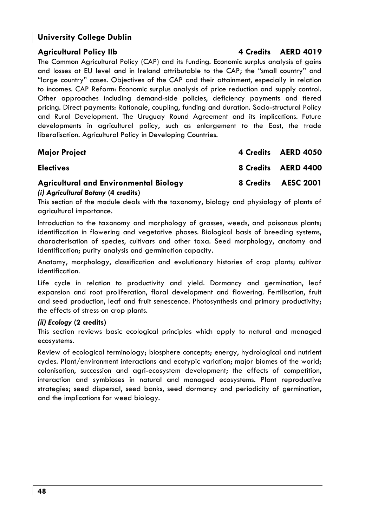# Agricultural Policy IIb **4 Credits** AERD 4019

The Common Agricultural Policy (CAP) and its funding. Economic surplus analysis of gains and losses at EU level and in Ireland attributable to the CAP; the "small country" and "large country" cases. Objectives of the CAP and their attainment, especially in relation to incomes. CAP Reform: Economic surplus analysis of price reduction and supply control. Other approaches including demand-side policies, deficiency payments and tiered pricing. Direct payments: Rationale, coupling, funding and duration. Socio-structural Policy and Rural Development. The Uruguay Round Agreement and its implications. Future developments in agricultural policy, such as enlargement to the East, the trade liberalisation. Agricultural Policy in Developing Countries.

| <b>Major Project</b>                                                                 | 4 Credits AERD 4050 |
|--------------------------------------------------------------------------------------|---------------------|
| <b>Electives</b>                                                                     | 8 Credits AERD 4400 |
| <b>Agricultural and Environmental Biology</b><br>(i) Agricultural Botany (4 credits) | 8 Credits AESC 2001 |

This section of the module deals with the taxonomy, biology and physiology of plants of agricultural importance.

Introduction to the taxonomy and morphology of grasses, weeds, and poisonous plants; identification in flowering and vegetative phases. Biological basis of breeding systems, characterisation of species, cultivars and other taxa. Seed morphology, anatomy and identification; purity analysis and germination capacity.

Anatomy, morphology, classification and evolutionary histories of crop plants; cultivar identification.

Life cycle in relation to productivity and yield. Dormancy and germination, leaf expansion and root proliferation, floral development and flowering. Fertilisation, fruit and seed production, leaf and fruit senescence. Photosynthesis and primary productivity; the effects of stress on crop plants.

### *(ii) Ecology* **(2 credits)**

This section reviews basic ecological principles which apply to natural and managed ecosystems.

Review of ecological terminology; biosphere concepts; energy, hydrological and nutrient cycles. Plant/environment interactions and ecotypic variation; major biomes of the world; colonisation, succession and agri-ecosystem development; the effects of competition, interaction and symbioses in natural and managed ecosystems. Plant reproductive strategies; seed dispersal, seed banks, seed dormancy and periodicity of germination, and the implications for weed biology.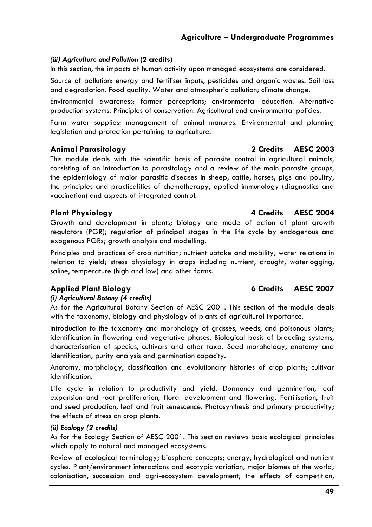# *(iii) Agriculture and Pollution* **(2 credits)**

In this section, the impacts of human activity upon managed ecosystems are considered.

Source of pollution: energy and fertiliser inputs, pesticides and organic wastes. Soil loss and degradation. Food quality. Water and atmospheric pollution; climate change.

Environmental awareness: farmer perceptions; environmental education. Alternative production systems. Principles of conservation. Agricultural and environmental policies.

Farm water supplies: management of animal manures. Environmental and planning legislation and protection pertaining to agriculture.

# **Animal Parasitology 2 Credits AESC 2003**

This module deals with the scientific basis of parasite control in agricultural animals, consisting of an introduction to parasitology and a review of the main parasite groups, the epidemiology of major parasitic diseases in sheep, cattle, horses, pigs and poultry, the principles and practicalities of chemotherapy, applied immunology (diagnostics and vaccination) and aspects of integrated control.

# **Plant Physiology 4 Credits AESC 2004**

Growth and development in plants; biology and mode of action of plant growth regulators (PGR); regulation of principal stages in the life cycle by endogenous and exogenous PGRs; growth analysis and modelling.

Principles and practices of crop nutrition; nutrient uptake and mobility; water relations in relation to yield; stress physiology in crops including nutrient, drought, waterlogging, saline, temperature (high and low) and other forms.

# *(i) Agricultural Botany (4 credits)*

As for the Agricultural Botany Section of AESC 2001. This section of the module deals with the taxonomy, biology and physiology of plants of agricultural importance.

Introduction to the taxonomy and morphology of grasses, weeds, and poisonous plants; identification in flowering and vegetative phases. Biological basis of breeding systems, characterisation of species, cultivars and other taxa. Seed morphology, anatomy and identification; purity analysis and germination capacity.

Anatomy, morphology, classification and evolutionary histories of crop plants; cultivar identification.

Life cycle in relation to productivity and yield. Dormancy and germination, leaf expansion and root proliferation, floral development and flowering. Fertilisation, fruit and seed production, leaf and fruit senescence. Photosynthesis and primary productivity; the effects of stress on crop plants.

# *(ii) Ecology (2 credits)*

As for the Ecology Section of AESC 2001. This section reviews basic ecological principles which apply to natural and managed ecosystems.

Review of ecological terminology; biosphere concepts; energy, hydrological and nutrient cycles. Plant/environment interactions and ecotypic variation; major biomes of the world; colonisation, succession and agri-ecosystem development; the effects of competition,

# **Applied Plant Biology 6 Credits AESC 2007**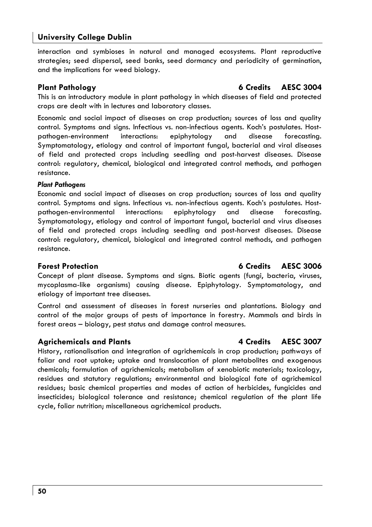interaction and symbioses in natural and managed ecosystems. Plant reproductive strategies; seed dispersal, seed banks, seed dormancy and periodicity of germination, and the implications for weed biology.

# **Plant Pathology 6 Credits AESC 3004**

This is an introductory module in plant pathology in which diseases of field and protected crops are dealt with in lectures and laboratory classes.

Economic and social impact of diseases on crop production; sources of loss and quality control. Symptoms and signs. Infectious vs. non-infectious agents. Koch's postulates. Hostpathogen-environment interactions: epiphytology and disease forecasting. Symptomatology, etiology and control of important fungal, bacterial and viral diseases of field and protected crops including seedling and post-harvest diseases. Disease control: regulatory, chemical, biological and integrated control methods, and pathogen resistance.

### *Plant Pathogens*

Economic and social impact of diseases on crop production; sources of loss and quality control. Symptoms and signs. Infectious vs. non-infectious agents. Koch's postulates. Hostpathogen-environmental interactions: epiphytology and disease forecasting. Symptomatology, etiology and control of important fungal, bacterial and virus diseases of field and protected crops including seedling and post-harvest diseases. Disease control: regulatory, chemical, biological and integrated control methods, and pathogen resistance.

Concept of plant disease. Symptoms and signs. Biotic agents (fungi, bacteria, viruses, mycoplasma-like organisms) causing disease. Epiphytology. Symptomatology, and etiology of important tree diseases.

Control and assessment of diseases in forest nurseries and plantations. Biology and control of the major groups of pests of importance in forestry. Mammals and birds in forest areas – biology, pest status and damage control measures.

# **Agrichemicals and Plants 4 Credits AESC 3007**

History, rationalisation and integration of agrichemicals in crop production; pathways of foliar and root uptake; uptake and translocation of plant metabolites and exogenous chemicals; formulation of agrichemicals; metabolism of xenobiotic materials; toxicology, residues and statutory regulations; environmental and biological fate of agrichemical residues; basic chemical properties and modes of action of herbicides, fungicides and insecticides; biological tolerance and resistance; chemical regulation of the plant life cycle, foliar nutrition; miscellaneous agrichemical products.

# **Forest Protection 6 Credits AESC 3006**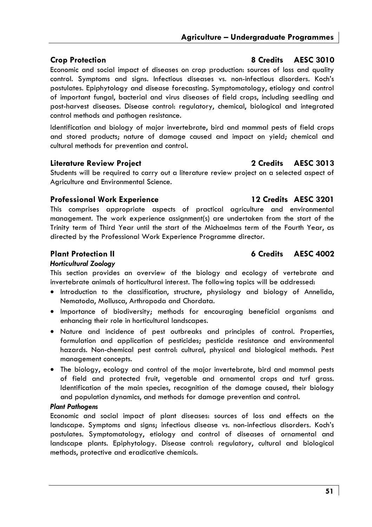Economic and social impact of diseases on crop production: sources of loss and quality control. Symptoms and signs. Infectious diseases vs. non-infectious disorders. Koch's postulates. Epiphytology and disease forecasting. Symptomatology, etiology and control of important fungal, bacterial and virus diseases of field crops, including seedling and post-harvest diseases. Disease control: regulatory, chemical, biological and integrated control methods and pathogen resistance.

Identification and biology of major invertebrate, bird and mammal pests of field crops and stored products; nature of damage caused and impact on yield; chemical and cultural methods for prevention and control.

## **Literature Review Project 2 Credits AESC 3013**

Students will be required to carry out a literature review project on a selected aspect of Agriculture and Environmental Science.

# **Professional Work Experience 12 Credits AESC 3201**

This comprises appropriate aspects of practical agriculture and environmental management. The work experience assignment(s) are undertaken from the start of the Trinity term of Third Year until the start of the Michaelmas term of the Fourth Year, as directed by the Professional Work Experience Programme director.

# **Plant Protection II 6 Credits AESC 4002**

# *Horticultural Zoology*

This section provides an overview of the biology and ecology of vertebrate and invertebrate animals of horticultural interest. The following topics will be addressed:

- Introduction to the classification, structure, physiology and biology of Annelida, Nematoda, Mollusca, Arthropoda and Chordata.
- Importance of biodiversity; methods for encouraging beneficial organisms and enhancing their role in horticultural landscapes.
- Nature and incidence of pest outbreaks and principles of control. Properties, formulation and application of pesticides; pesticide resistance and environmental hazards. Non-chemical pest control: cultural, physical and biological methods. Pest management concepts.
- The biology, ecology and control of the major invertebrate, bird and mammal pests of field and protected fruit, vegetable and ornamental crops and turf grass. Identification of the main species, recognition of the damage caused, their biology and population dynamics, and methods for damage prevention and control.

### *Plant Pathogens*

Economic and social impact of plant diseases: sources of loss and effects on the landscape. Symptoms and signs; infectious disease vs. non-infectious disorders. Koch's postulates. Symptomatology, etiology and control of diseases of ornamental and landscape plants. Epiphytology. Disease control: regulatory, cultural and biological methods, protective and eradicative chemicals.

# **Crop Protection 8 Credits AESC 3010**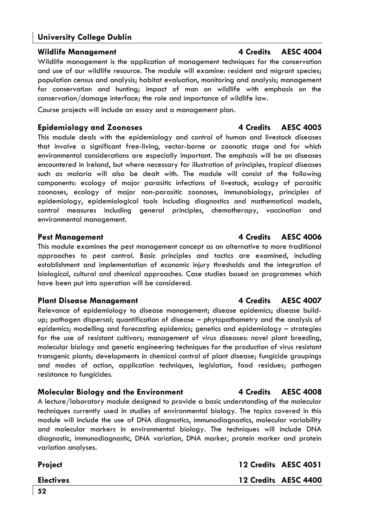**Wildlife Management 4 Credits AESC 4004** 

Wildlife management is the application of management techniques for the conservation and use of our wildlife resource. The module will examine: resident and migrant species; population census and analysis; habitat evaluation, monitoring and analysis; management for conservation and hunting; impact of man on wildlife with emphasis on the conservation/damage interface; the role and importance of wildlife law.

Course projects will include an essay and a management plan.

# **Epidemiology and Zoonoses 4 Credits AESC 4005**

This module deals with the epidemiology and control of human and livestock diseases that involve a significant free-living, vector-borne or zoonotic stage and for which environmental considerations are especially important. The emphasis will be on diseases encountered in Ireland, but where necessary for illustration of principles, tropical diseases such as malaria will also be dealt with. The module will consist of the following components: ecology of major parasitic infections of livestock, ecology of parasitic zoonoses, ecology of major non-parasitic zoonoses, immunobiology, principles of epidemiology, epidemiological tools including diagnostics and mathematical models, control measures including general principles, chemotherapy, vaccination and environmental management.

This module examines the pest management concept as an alternative to more traditional approaches to pest control. Basic principles and tactics are examined, including establishment and implementation of economic injury thresholds and the integration of biological, cultural and chemical approaches. Case studies based on programmes which have been put into operation will be considered.

# Plant Disease Management **4 Credits AESC 4007**

Relevance of epidemiology to disease management; disease epidemics; disease buildup; pathogen dispersal; quantification of disease – phytopathometry and the analysis of epidemics; modelling and forecasting epidemics; genetics and epidemiology – strategies for the use of resistant cultivars; management of virus diseases: novel plant breeding, molecular biology and genetic engineering techniques for the production of virus resistant transgenic plants; developments in chemical control of plant disease; fungicide groupings and modes of action, application techniques, legislation, food residues; pathogen resistance to fungicides.

# **Molecular Biology and the Environment 4 Credits AESC 4008**

A lecture/laboratory module designed to provide a basic understanding of the molecular techniques currently used in studies of environmental biology. The topics covered in this module will include the use of DNA diagnostics, immunodiagnostics, molecular variability and molecular markers in environmental biology. The techniques will include DNA diagnostic, immunodiagnostic, DNA variation, DNA marker, protein marker and protein variation analyses.

# Project **Project 2006 Project** 2006 **12 Credits AESC 4051**

# **Pest Management 4 Credits AESC 4006**

**Electives 12 Credits AESC 4400**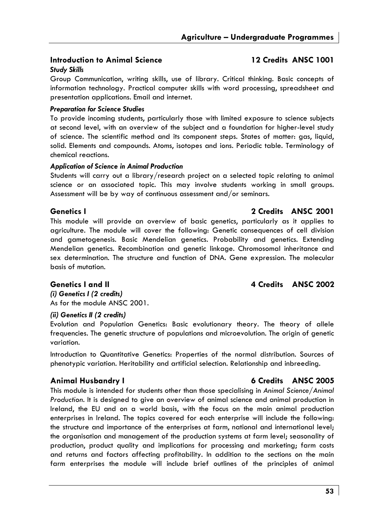# **Introduction to Animal Science 12 Credits ANSC 1001**

### *Study Skills*

Group Communication, writing skills, use of library. Critical thinking. Basic concepts of information technology. Practical computer skills with word processing, spreadsheet and presentation applications. Email and internet.

### *Preparation for Science Studies*

To provide incoming students, particularly those with limited exposure to science subjects at second level, with an overview of the subject and a foundation for higher-level study of science. The scientific method and its component steps. States of matter: gas, liquid, solid. Elements and compounds. Atoms, isotopes and ions. Periodic table. Terminology of chemical reactions.

### *Application of Science in Animal Production*

Students will carry out a library/research project on a selected topic relating to animal science or an associated topic. This may involve students working in small groups. Assessment will be by way of continuous assessment and/or seminars.

## **Genetics I 2 Credits ANSC 2001**

This module will provide an overview of basic genetics, particularly as it applies to agriculture. The module will cover the following: Genetic consequences of cell division and gametogenesis. Basic Mendelian genetics. Probability and genetics. Extending Mendelian genetics. Recombination and genetic linkage. Chromosomal inheritance and sex determination. The structure and function of DNA. Gene expression. The molecular basis of mutation.

## **Genetics I and II 4 Credits ANSC 2002**

*(i) Genetics I (2 credits)*  As for the module ANSC 2001.

### *(ii) Genetics II (2 credits)*

Evolution and Population Genetics: Basic evolutionary theory. The theory of allele frequencies. The genetic structure of populations and microevolution. The origin of genetic variation.

Introduction to Quantitative Genetics: Properties of the normal distribution. Sources of phenotypic variation. Heritability and artificial selection. Relationship and inbreeding.

# **Animal Husbandry I 6 Credits ANSC 2005**

This module is intended for students other than those specialising in *Animal Science/Animal Production.* It is designed to give an overview of animal science and animal production in Ireland, the EU and on a world basis, with the focus on the main animal production enterprises in Ireland. The topics covered for each enterprise will include the following: the structure and importance of the enterprises at farm, national and international level; the organisation and management of the production systems at farm level; seasonality of production, product quality and implications for processing and marketing; farm costs and returns and factors affecting profitability. In addition to the sections on the main farm enterprises the module will include brief outlines of the principles of animal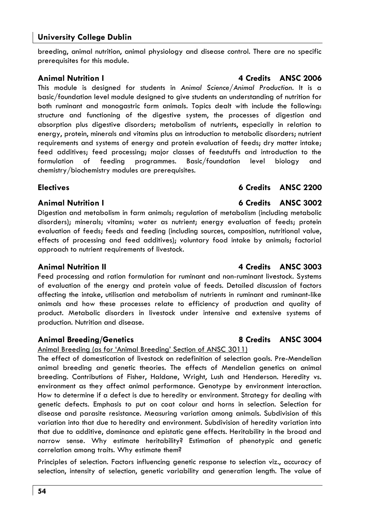breeding, animal nutrition, animal physiology and disease control. There are no specific prerequisites for this module.

This module is designed for students in *Animal Science/Animal Production*. It is a basic/foundation level module designed to give students an understanding of nutrition for both ruminant and monogastric farm animals. Topics dealt with include the following: structure and functioning of the digestive system, the processes of digestion and absorption plus digestive disorders; metabolism of nutrients, especially in relation to energy, protein, minerals and vitamins plus an introduction to metabolic disorders; nutrient requirements and systems of energy and protein evaluation of feeds; dry matter intake; feed additives; feed processing; major classes of feedstuffs and introduction to the formulation of feeding programmes. Basic/foundation level biology and chemistry/biochemistry modules are prerequisites.

Digestion and metabolism in farm animals; regulation of metabolism (including metabolic disorders); minerals; vitamins; water as nutrient; energy evaluation of feeds; protein evaluation of feeds; feeds and feeding (including sources, composition, nutritional value, effects of processing and feed additives); voluntary food intake by animals; factorial approach to nutrient requirements of livestock.

# **Animal Nutrition II 4 Credits ANSC 3003**

Feed processing and ration formulation for ruminant and non-ruminant livestock. Systems of evaluation of the energy and protein value of feeds. Detailed discussion of factors affecting the intake, utilisation and metabolism of nutrients in ruminant and ruminant-like animals and how these processes relate to efficiency of production and quality of product. Metabolic disorders in livestock under intensive and extensive systems of production. Nutrition and disease.

# **Animal Breeding/Genetics 8 Credits ANSC 3004**

Animal Breeding (as for 'Animal Breeding' Section of ANSC 3011)

The effect of domestication of livestock on redefinition of selection goals. Pre-Mendelian animal breeding and genetic theories. The effects of Mendelian genetics on animal breeding. Contributions of Fisher, Haldane, Wright, Lush and Henderson. Heredity vs. environment as they affect animal performance. Genotype by environment interaction. How to determine if a defect is due to heredity or environment. Strategy for dealing with genetic defects. Emphasis to put on coat colour and horns in selection. Selection for disease and parasite resistance. Measuring variation among animals. Subdivision of this variation into that due to heredity and environment. Subdivision of heredity variation into that due to additive, dominance and epistatic gene effects. Heritability in the broad and narrow sense. Why estimate heritability? Estimation of phenotypic and genetic correlation among traits. Why estimate them?

Principles of selection. Factors influencing genetic response to selection viz., accuracy of selection, intensity of selection, genetic variability and generation length. The value of

# **Animal Nutrition I 6 Credits ANSC 3002**

# **Electives 6 Credits ANSC 2200**

# **Animal Nutrition I 4 Credits ANSC 2006**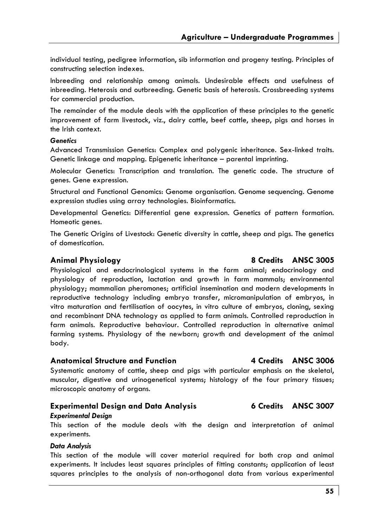**Agriculture – Undergraduate Programmes** 

individual testing, pedigree information, sib information and progeny testing. Principles of constructing selection indexes.

Inbreeding and relationship among animals. Undesirable effects and usefulness of inbreeding. Heterosis and outbreeding. Genetic basis of heterosis. Crossbreeding systems for commercial production.

The remainder of the module deals with the application of these principles to the genetic improvement of farm livestock, viz., dairy cattle, beef cattle, sheep, pigs and horses in the Irish context.

### *Genetics*

Advanced Transmission Genetics: Complex and polygenic inheritance. Sex-linked traits. Genetic linkage and mapping. Epigenetic inheritance – parental imprinting.

Molecular Genetics: Transcription and translation. The genetic code. The structure of genes. Gene expression.

Structural and Functional Genomics: Genome organisation. Genome sequencing. Genome expression studies using array technologies. Bioinformatics.

Developmental Genetics: Differential gene expression. Genetics of pattern formation. Homeotic genes.

The Genetic Origins of Livestock: Genetic diversity in cattle, sheep and pigs. The genetics of domestication.

### **Animal Physiology 8 Credits ANSC 3005**

Physiological and endocrinological systems in the farm animal; endocrinology and physiology of reproduction, lactation and growth in farm mammals; environmental physiology; mammalian pheromones; artificial insemination and modern developments in reproductive technology including embryo transfer, micromanipulation of embryos, in vitro maturation and fertilisation of oocytes, in vitro culture of embryos, cloning, sexing and recombinant DNA technology as applied to farm animals. Controlled reproduction in farm animals. Reproductive behaviour. Controlled reproduction in alternative animal farming systems. Physiology of the newborn; growth and development of the animal body.

### **Anatomical Structure and Function 4 Credits ANSC 3006**

Systematic anatomy of cattle, sheep and pigs with particular emphasis on the skeletal, muscular, digestive and urinogenetical systems; histology of the four primary tissues; microscopic anatomy of organs.

### **Experimental Design and Data Analysis 6 Credits ANSC 3007**  *Experimental Design*

This section of the module deals with the design and interpretation of animal experiments.

### *Data Analysis*

This section of the module will cover material required for both crop and animal experiments. It includes least squares principles of fitting constants; application of least squares principles to the analysis of non-orthogonal data from various experimental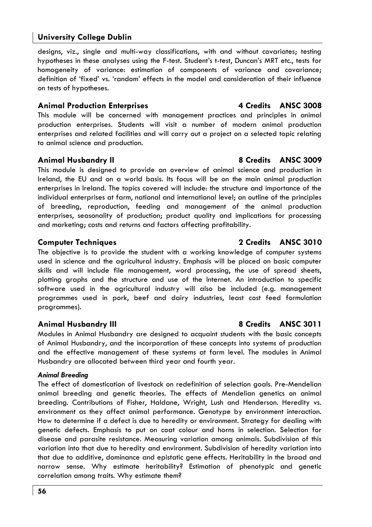designs, viz., single and multi-way classifications, with and without covariates; testing hypotheses in these analyses using the F-test. Student's t-test, Duncan's MRT etc., tests for homogeneity of variance: estimation of components of variance and covariance; definition of 'fixed' vs. 'random' effects in the model and consideration of their influence on tests of hypotheses.

## Animal Production Enterprises **4 Credits** ANSC 3008

This module will be concerned with management practices and principles in animal production enterprises. Students will visit a number of modern animal production enterprises and related facilities and will carry out a project on a selected topic relating to animal science and production.

### Animal Husbandry II 8 Credits ANSC 3009

This module is designed to provide an overview of animal science and production in Ireland, the EU and on a world basis. Its focus will be on the main animal production enterprises in Ireland. The topics covered will include: the structure and importance of the individual enterprises at farm, national and international level; an outline of the principles of breeding, reproduction, feeding and management of the animal production enterprises, seasonality of production; product quality and implications for processing and marketing; costs and returns and factors affecting profitability.

The objective is to provide the student with a working knowledge of computer systems used in science and the agricultural industry. Emphasis will be placed on basic computer skills and will include file management, word processing, the use of spread sheets, plotting graphs and the structure and use of the Internet. An introduction to specific software used in the agricultural industry will also be included (e.g. management programmes used in pork, beef and dairy industries, least cost feed formulation programmes).

### **Animal Husbandry III 8 Credits ANSC 3011**

Modules in Animal Husbandry are designed to acquaint students with the basic concepts of Animal Husbandry, and the incorporation of these concepts into systems of production and the effective management of these systems at farm level. The modules in Animal Husbandry are allocated between third year and fourth year.

### *Animal Breeding*

The effect of domestication of livestock on redefinition of selection goals. Pre-Mendelian animal breeding and genetic theories. The effects of Mendelian genetics on animal breeding. Contributions of Fisher, Haldane, Wright, Lush and Henderson. Heredity vs. environment as they affect animal performance. Genotype by environment interaction. How to determine if a defect is due to heredity or environment. Strategy for dealing with genetic defects. Emphasis to put on coat colour and horns in selection. Selection for disease and parasite resistance. Measuring variation among animals. Subdivision of this variation into that due to heredity and environment. Subdivision of heredity variation into that due to additive, dominance and epistatic gene effects. Heritability in the broad and narrow sense. Why estimate heritability? Estimation of phenotypic and genetic correlation among traits. Why estimate them?

## **Computer Techniques 2 Credits ANSC 3010**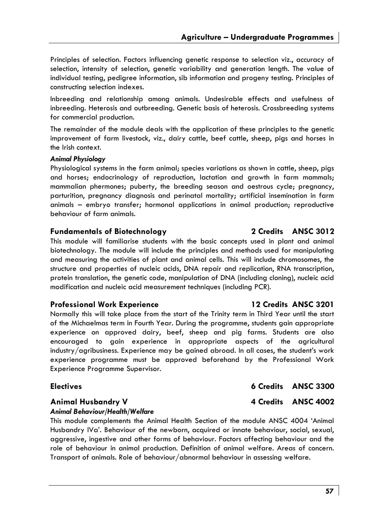Principles of selection. Factors influencing genetic response to selection viz., accuracy of selection, intensity of selection, genetic variability and generation length. The value of individual testing, pedigree information, sib information and progeny testing. Principles of constructing selection indexes.

Inbreeding and relationship among animals. Undesirable effects and usefulness of inbreeding. Heterosis and outbreeding. Genetic basis of heterosis. Crossbreeding systems for commercial production.

The remainder of the module deals with the application of these principles to the genetic improvement of farm livestock, viz., dairy cattle, beef cattle, sheep, pigs and horses in the Irish context.

### *Animal Physiology*

Physiological systems in the farm animal; species variations as shown in cattle, sheep, pigs and horses; endocrinology of reproduction, lactation and growth in farm mammals; mammalian phermones; puberty, the breeding season and oestrous cycle; pregnancy, parturition, pregnancy diagnosis and perinatal mortality; artificial insemination in farm animals – embryo transfer; hormonal applications in animal production; reproductive behaviour of farm animals.

# **Fundamentals of Biotechnology 2 Credits ANSC 3012**

This module will familiarise students with the basic concepts used in plant and animal biotechnology. The module will include the principles and methods used for manipulating and measuring the activities of plant and animal cells. This will include chromosomes, the structure and properties of nucleic acids, DNA repair and replication, RNA transcription, protein translation, the genetic code, manipulation of DNA (including cloning), nucleic acid modification and nucleic acid measurement techniques (including PCR).

### **Professional Work Experience 12 Credits ANSC 3201**

Normally this will take place from the start of the Trinity term in Third Year until the start of the Michaelmas term in Fourth Year. During the programme, students gain appropriate experience on approved dairy, beef, sheep and pig farms. Students are also encouraged to gain experience in appropriate aspects of the agricultural industry/agribusiness. Experience may be gained abroad. In all cases, the student's work experience programme must be approved beforehand by the Professional Work Experience Programme Supervisor.

# Animal Husbandry V **4 Credits** ANSC 4002

### *Animal Behaviour/Health/Welfare*

This module complements the Animal Health Section of the module ANSC 4004 'Animal Husbandry IVa'. Behaviour of the newborn, acquired or innate behaviour, social, sexual, aggressive, ingestive and other forms of behaviour. Factors affecting behaviour and the role of behaviour in animal production. Definition of animal welfare. Areas of concern. Transport of animals. Role of behaviour/abnormal behaviour in assessing welfare.

**Electives 6 Credits ANSC 3300**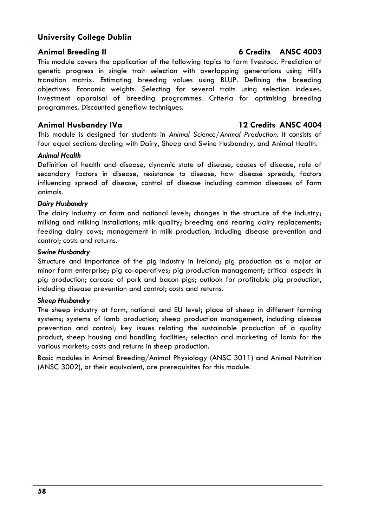This module covers the application of the following topics to farm livestock. Prediction of genetic progress in single trait selection with overlapping generations using Hill's transition matrix. Estimating breeding values using BLUP. Defining the breeding objectives. Economic weights. Selecting for several traits using selection indexes. Investment appraisal of breeding programmes. Criteria for optimising breeding programmes. Discounted geneflow techniques.

## **Animal Husbandry IVa 12 Credits ANSC 4004**

This module is designed for students in *Animal Science/Animal Production*. It consists of four equal sections dealing with Dairy, Sheep and Swine Husbandry, and Animal Health.

### *Animal Health*

Definition of health and disease, dynamic state of disease, causes of disease, role of secondary factors in disease, resistance to disease, how disease spreads, factors influencing spread of disease, control of disease including common diseases of farm animals.

### *Dairy Husbandry*

The dairy industry at farm and national levels; changes in the structure of the industry; milking and milking installations; milk quality; breeding and rearing dairy replacements; feeding dairy cows; management in milk production, including disease prevention and control; costs and returns.

### *Swine Husbandry*

Structure and importance of the pig industry in Ireland; pig production as a major or minor farm enterprise; pig co-operatives; pig production management; critical aspects in pig production; carcase of pork and bacon pigs; outlook for profitable pig production, including disease prevention and control; costs and returns.

### *Sheep Husbandry*

The sheep industry at farm, national and EU level; place of sheep in different farming systems; systems of lamb production; sheep production management, including disease prevention and control; key issues relating the sustainable production of a quality product, sheep housing and handling facilities; selection and marketing of lamb for the various markets; costs and returns in sheep production.

Basic modules in Animal Breeding/Animal Physiology (ANSC 3011) and Animal Nutrition (ANSC 3002), or their equivalent, are prerequisites for this module.

## **Animal Breeding II 6 Credits ANSC 4003**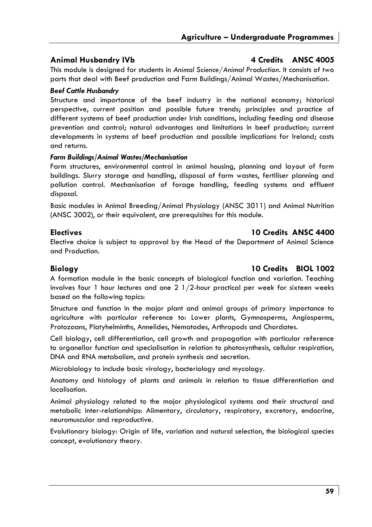# Animal Husbandry IVb **4 Credits** ANSC 4005

This module is designed for students in *Animal Science/Animal Production*. It consists of two parts that deal with Beef production and Farm Buildings/Animal Wastes/Mechanisation.

## *Beef Cattle Husbandry*

Structure and importance of the beef industry in the national economy; historical perspective, current position and possible future trends; principles and practice of different systems of beef production under Irish conditions, including feeding and disease prevention and control; natural advantages and limitations in beef production; current developments in systems of beef production and possible implications for Ireland; costs and returns.

## *Farm Buildings/Animal Wastes/Mechanisation*

Farm structures, environmental control in animal housing, planning and layout of farm buildings. Slurry storage and handling, disposal of farm wastes, fertiliser planning and pollution control. Mechanisation of forage handling, feeding systems and effluent disposal.

Basic modules in Animal Breeding/Animal Physiology (ANSC 3011) and Animal Nutrition (ANSC 3002), or their equivalent, are prerequisites for this module.

# **Electives 10 Credits ANSC 4400**

Elective choice is subject to approval by the Head of the Department of Animal Science and Production.

# **Biology 10 Credits BIOL 1002**

A formation module in the basic concepts of biological function and variation. Teaching involves four 1 hour lectures and one  $2 \frac{1}{2}$ -hour practical per week for sixteen weeks based on the following topics:

Structure and function in the major plant and animal groups of primary importance to agriculture with particular reference to: Lower plants, Gymnosperms, Angiosperms, Protozoans, Platyhelminths, Annelides, Nematodes, Arthropods and Chordates.

Cell biology, cell differentiation, cell growth and propagation with particular reference to organellar function and specialisation in relation to photosynthesis, cellular respiration, DNA and RNA metabolism, and protein synthesis and secretion.

Microbiology to include basic virology, bacteriology and mycology.

Anatomy and histology of plants and animals in relation to tissue differentiation and localisation.

Animal physiology related to the major physiological systems and their structural and metabolic inter-relationships: Alimentary, circulatory, respiratory, excretory, endocrine, neuromuscular and reproductive.

Evolutionary biology: Origin of life, variation and natural selection, the biological species concept, evolutionary theory.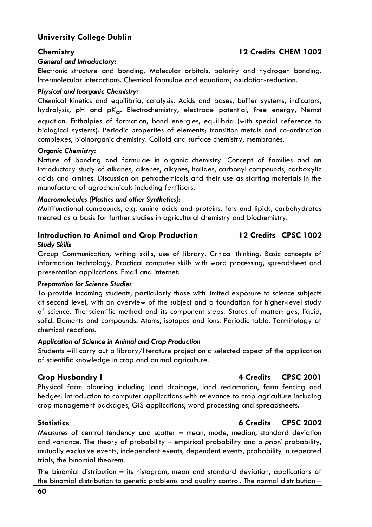# **Chemistry 12 Credits CHEM 1002**

### *General and Introductory:*

Electronic structure and bonding. Molecular orbitals, polarity and hydrogen bonding. Intermolecular interactions. Chemical formulae and equations; oxidation-reduction.

### *Physical and Inorganic Chemistry:*

Chemical kinetics and equilibria, catalysis. Acids and bases, buffer systems, indicators, hydrolysis, pH and  $pK_{\alpha}$ . Electrochemistry, electrode potential, free energy, Nernst equation. Enthalpies of formation, bond energies, equilibria (with special reference to biological systems). Periodic properties of elements; transition metals and co-ordination complexes, bioinorganic chemistry. Colloid and surface chemistry, membranes.

### *Organic Chemistry:*

Nature of bonding and formulae in organic chemistry. Concept of families and an introductory study of alkanes, alkenes, alkynes, halides, carbonyl compounds, carboxylic acids and amines. Discussion on petrochemicals and their use as starting materials in the manufacture of agrochemicals including fertilisers.

### *Macromolecules (Plastics and other Synthetics):*

Multifunctional compounds, e.g. amino acids and proteins, fats and lipids, carbohydrates treated as a basis for further studies in agricultural chemistry and biochemistry.

# **Introduction to Animal and Crop Production 12 Credits CPSC 1002**  *Study Skills*

Group Communication, writing skills, use of library. Critical thinking. Basic concepts of information technology. Practical computer skills with word processing, spreadsheet and presentation applications. Email and internet.

### *Preparation for Science Studies*

To provide incoming students, particularly those with limited exposure to science subjects at second level, with an overview of the subject and a foundation for higher-level study of science. The scientific method and its component steps. States of matter: gas, liquid, solid. Elements and compounds. Atoms, isotopes and ions. Periodic table. Terminology of chemical reactions.

### *Application of Science in Animal and Crop Production*

Students will carry out a library/literature project on a selected aspect of the application of scientific knowledge in crop and animal agriculture.

# **Crop Husbandry I 4 Credits CPSC 2001**

Physical farm planning including land drainage, land reclamation, farm fencing and hedges. Introduction to computer applications with relevance to crop agriculture including crop management packages, GIS applications, word processing and spreadsheets.

Measures of central tendency and scatter – mean, mode, median, standard deviation and variance. The theory of probability – empirical probability and *a priori* probability, mutually exclusive events, independent events, dependent events, probability in repeated trials, the binomial theorem.

The binomial distribution – its histogram, mean and standard deviation, applications of the binomial distribution to genetic problems and quality control. The normal distribution –

# **Statistics 6 Credits CPSC 2002**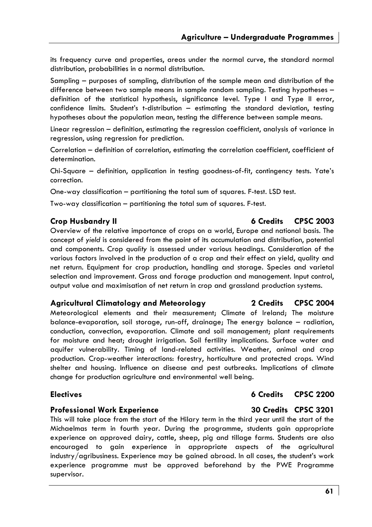its frequency curve and properties, areas under the normal curve, the standard normal distribution, probabilities in a normal distribution.

Sampling – purposes of sampling, distribution of the sample mean and distribution of the difference between two sample means in sample random sampling. Testing hypotheses – definition of the statistical hypothesis, significance level. Type I and Type II error, confidence limits. Student's t-distribution – estimating the standard deviation, testing hypotheses about the population mean, testing the difference between sample means.

Linear regression – definition, estimating the regression coefficient, analysis of variance in regression, using regression for prediction.

Correlation – definition of correlation, estimating the correlation coefficient, coefficient of determination.

Chi-Square – definition, application in testing goodness-of-fit, contingency tests. Yate's correction.

One-way classification – partitioning the total sum of squares. F-test. LSD test.

Two-way classification – partitioning the total sum of squares. F-test.

Overview of the relative importance of crops on a world, Europe and national basis. The concept of *yield* is considered from the point of its accumulation and distribution, potential and components. Crop *quality* is assessed under various headings. Consideration of the various factors involved in the production of a crop and their effect on yield, quality and net return. Equipment for crop production, handling and storage. Species and varietal selection and improvement. Grass and forage production and management. Input control, output value and maximisation of net return in crop and grassland production systems.

### **Agricultural Climatology and Meteorology 2 Credits CPSC 2004**

Meteorological elements and their measurement; Climate of Ireland; The moisture balance-evaporation, soil storage, run-off, drainage; The energy balance – radiation, conduction, convection, evaporation. Climate and soil management; plant requirements for moisture and heat; drought irrigation. Soil fertility implications. Surface water and aquifer vulnerability. Timing of land-related activities. Weather, animal and crop production. Crop-weather interactions: forestry, horticulture and protected crops. Wind shelter and housing. Influence on disease and pest outbreaks. Implications of climate change for production agriculture and environmental well being.

## **Professional Work Experience 30 Credits CPSC 3201**

This will take place from the start of the Hilary term in the third year until the start of the Michaelmas term in fourth year. During the programme, students gain appropriate experience on approved dairy, cattle, sheep, pig and tillage farms. Students are also encouraged to gain experience in appropriate aspects of the agricultural industry/agribusiness. Experience may be gained abroad. In all cases, the student's work experience programme must be approved beforehand by the PWE Programme supervisor.

### **Crop Husbandry II 6 Credits CPSC 2003**

# **Electives 6 Credits CPSC 2200**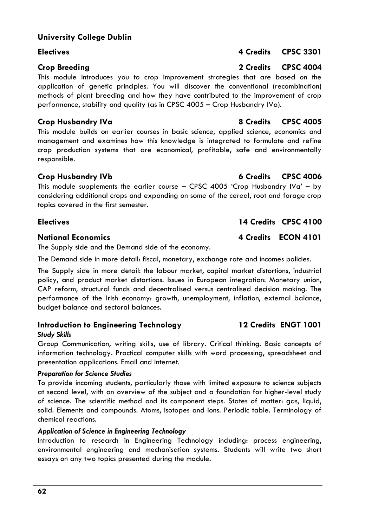# **Electives A** Credits CPSC 3301

# **Crop Breeding 2 Credits CPSC 4004**

This module introduces you to crop improvement strategies that are based on the application of genetic principles. You will discover the conventional (recombination) methods of plant breeding and how they have contributed to the improvement of crop performance, stability and quality (as in CPSC 4005 – Crop Husbandry IVa).

This module builds on earlier courses in basic science, applied science, economics and management and examines how this knowledge is integrated to formulate and refine crop production systems that are economical, profitable, safe and environmentally responsible.

# **Crop Husbandry IVb 6 Credits CPSC 4006**

This module supplements the earlier course – CPSC 4005 'Crop Husbandry IVa' – by considering additional crops and expanding on some of the cereal, root and forage crop topics covered in the first semester.

# **Electives 14 Credits CPSC 4100**

# **National Economics 4 Credits ECON 4101**

The Supply side and the Demand side of the economy.

The Demand side in more detail: fiscal, monetary, exchange rate and incomes policies.

The Supply side in more detail: the labour market, capital market distortions, industrial policy, and product market distortions. Issues in European integration: Monetary union, CAP reform, structural funds and decentralised versus centralised decision making. The performance of the Irish economy: growth, unemployment, inflation, external balance, budget balance and sectoral balances.

# **Introduction to Engineering Technology 12 Credits ENGT 1001**  *Study Skills*

Group Communication, writing skills, use of library. Critical thinking. Basic concepts of information technology. Practical computer skills with word processing, spreadsheet and presentation applications. Email and internet.

### *Preparation for Science Studies*

To provide incoming students, particularly those with limited exposure to science subjects at second level, with an overview of the subject and a foundation for higher-level study of science. The scientific method and its component steps. States of matter: gas, liquid, solid. Elements and compounds. Atoms, isotopes and ions. Periodic table. Terminology of chemical reactions.

### *Application of Science in Engineering Technology*

Introduction to research in Engineering Technology including: process engineering, environmental engineering and mechanisation systems. Students will write two short essays on any two topics presented during the module.

# **Crop Husbandry IVa 8 Credits CPSC 4005**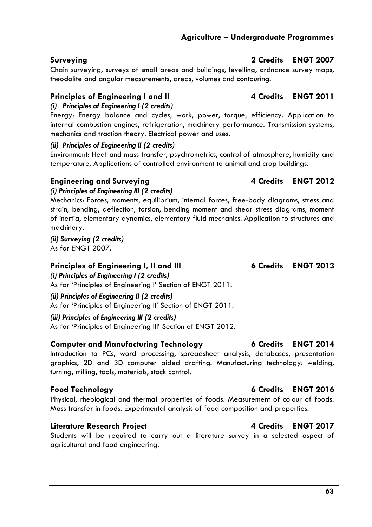Chain surveying, surveys of small areas and buildings, levelling, ordnance survey maps, theodolite and angular measurements, areas, volumes and contouring.

# **Principles of Engineering I and II 4 Credits ENGT 2011**

*(i) Principles of Engineering I (2 credits)* 

Energy: Energy balance and cycles, work, power, torque, efficiency. Application to internal combustion engines, refrigeration, machinery performance. Transmission systems, mechanics and traction theory. Electrical power and uses.

# *(ii) Principles of Engineering II (2 credits)*

Environment: Heat and mass transfer, psychrometrics, control of atmosphere, humidity and temperature. Applications of controlled environment to animal and crop buildings.

# **Engineering and Surveying 19th Constraining 12012**

*(i) Principles of Engineering III (2 credits)*  Mechanics: Forces, moments, equilibrium, internal forces, free-body diagrams, stress and strain, bending, deflection, torsion, bending moment and shear stress diagrams, moment of inertia, elementary dynamics, elementary fluid mechanics. Application to structures and machinery.

*(ii) Surveying (2 credits)*  As for ENGT 2007.

# Principles of Engineering I, II and III **6** Credits ENGT 2013

*(i) Principles of Engineering I (2 credits)*  As for 'Principles of Engineering I' Section of ENGT 2011.

# *(ii) Principles of Engineering II (2 credits)*

As for 'Principles of Engineering II' Section of ENGT 2011.

*(iii) Principles of Engineering III (2 credits)* 

As for 'Principles of Engineering III' Section of ENGT 2012.

# **Computer and Manufacturing Technology 6 Credits ENGT 2014**

Introduction to PCs, word processing, spreadsheet analysis, databases, presentation graphics, 2D and 3D computer aided drafting. Manufacturing technology: welding, turning, milling, tools, materials, stock control.

# **Food Technology 6 Credits ENGT 2016**

Physical, rheological and thermal properties of foods. Measurement of colour of foods. Mass transfer in foods. Experimental analysis of food composition and properties.

# **Literature Research Project 4 Credits ENGT 2017**

Students will be required to carry out a literature survey in a selected aspect of agricultural and food engineering.

# **Surveying 2 Credits ENGT 2007**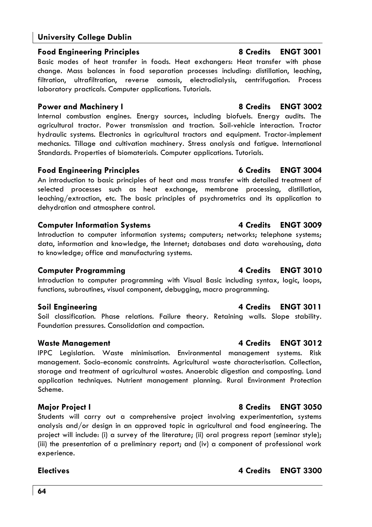# **Food Engineering Principles 8 Credits ENGT 3001**

Basic modes of heat transfer in foods. Heat exchangers: Heat transfer with phase change. Mass balances in food separation processes including: distillation, leaching, filtration, ultrafiltration, reverse osmosis, electrodialysis, centrifugation. Process laboratory practicals. Computer applications. Tutorials.

# **Power and Machinery I 8 Credits ENGT 3002**

Internal combustion engines. Energy sources, including biofuels. Energy audits. The agricultural tractor. Power transmission and traction. Soil-vehicle interaction. Tractor hydraulic systems. Electronics in agricultural tractors and equipment. Tractor-implement mechanics. Tillage and cultivation machinery. Stress analysis and fatigue. International Standards. Properties of biomaterials. Computer applications. Tutorials.

# **Food Engineering Principles 6 Credits ENGT 3004**

An introduction to basic principles of heat and mass transfer with detailed treatment of selected processes such as heat exchange, membrane processing, distillation, leaching/extraction, etc. The basic principles of psychrometrics and its application to dehydration and atmosphere control.

# **Computer Information Systems 6 2009 120 3009 4 Credits ENGT 3009**

Introduction to computer information systems; computers; networks; telephone systems; data, information and knowledge, the Internet; databases and data warehousing, data to knowledge; office and manufacturing systems.

# **Computer Programming Computer Programming 4 Credits ENGT 3010**

Introduction to computer programming with Visual Basic including syntax, logic, loops, functions, subroutines, visual component, debugging, macro programming.

# **Soil Engineering 4 Credits ENGT 3011**

Soil classification. Phase relations. Failure theory. Retaining walls. Slope stability. Foundation pressures. Consolidation and compaction.

# **Waste Management 4 Credits ENGT 3012**

IPPC Legislation. Waste minimisation. Environmental management systems. Risk management. Socio-economic constraints. Agricultural waste characterisation. Collection, storage and treatment of agricultural wastes. Anaerobic digestion and composting. Land application techniques. Nutrient management planning. Rural Environment Protection Scheme.

Students will carry out a comprehensive project involving experimentation, systems analysis and/or design in an approved topic in agricultural and food engineering. The project will include: (i) a survey of the literature; (ii) oral progress report (seminar style); (iii) the presentation of a preliminary report; and (iv) a component of professional work experience.

# **Major Project I 8 Credits ENGT 3050**

### **Electives 4 Credits ENGT 3300**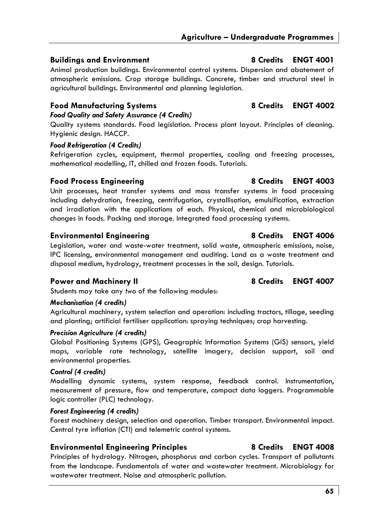# **Buildings and Environment** 8 Credits ENGT 4001

Animal production buildings. Environmental control systems. Dispersion and abatement of atmospheric emissions. Crop storage buildings. Concrete, timber and structural steel in agricultural buildings. Environmental and planning legislation.

# **Food Manufacturing Systems 8 Credits ENGT 4002**

# *Food Quality and Safety Assurance (4 Credits)*

Quality systems standards. Food legislation. Process plant layout. Principles of cleaning. Hygienic design. HACCP.

### *Food Refrigeration (4 Credits)*

Refrigeration cycles, equipment, thermal properties, cooling and freezing processes, mathematical modelling, IT, chilled and frozen foods. Tutorials.

## **Food Process Engineering 8 Credits ENGT 4003**

Unit processes, heat transfer systems and mass transfer systems in food processing including dehydration, freezing, centrifugation, crystallisation, emulsification, extraction and irradiation with the applications of each. Physical, chemical and microbiological changes in foods. Packing and storage. Integrated food processing systems.

# **Environmental Engineering 8 Credits ENGT 4006**

Legislation, water and waste-water treatment, solid waste, atmospheric emissions, noise, IPC licensing, environmental management and auditing. Land as a waste treatment and disposal medium, hydrology, treatment processes in the soil, design. Tutorials.

# Power and Machinery II 8 Credits ENGT 4007

Students may take any *two* of the following modules:

### *Mechanisation (4 credits)*

Agricultural machinery, system selection and operation: including tractors, tillage, seeding and planting; artificial fertiliser application: spraying techniques; crop harvesting.

### *Precision Agriculture (4 credits)*

Global Positioning Systems (GPS), Geographic Information Systems (GIS) sensors, yield maps, variable rate technology, satellite imagery, decision support, soil and environmental properties.

### *Control (4 credits)*

Modelling dynamic systems, system response, feedback control. Instrumentation, measurement of pressure, flow and temperature, compact data loggers. Programmable logic controller (PLC) technology.

### *Forest Engineering (4 credits)*

Forest machinery design, selection and operation. Timber transport. Environmental impact. Central tyre inflation (CTI) and telemetric control systems.

# **Environmental Engineering Principles 8 Credits ENGT 4008**

Principles of hydrology. Nitrogen, phosphorus and carbon cycles. Transport of pollutants from the landscape. Fundamentals of water and wastewater treatment. Microbiology for wastewater treatment. Noise and atmospheric pollution.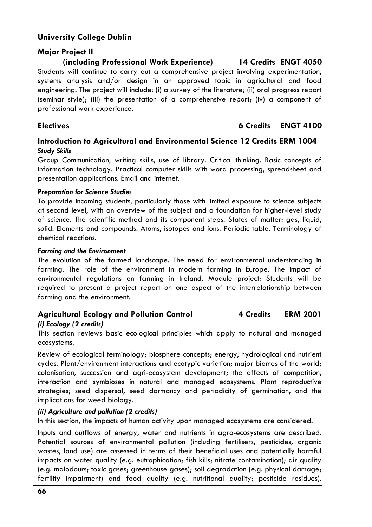# **Major Project II**

# **(including Professional Work Experience) 14 Credits ENGT 4050**

Students will continue to carry out a comprehensive project involving experimentation, systems analysis and/or design in an approved topic in agricultural and food engineering. The project will include: (i) a survey of the literature; (ii) oral progress report (seminar style); (iii) the presentation of a comprehensive report; (iv) a component of professional work experience.

# **Electives 6 Credits ENGT 4100**

# **Introduction to Agricultural and Environmental Science 12 Credits ERM 1004**  *Study Skills*

Group Communication, writing skills, use of library. Critical thinking. Basic concepts of information technology. Practical computer skills with word processing, spreadsheet and presentation applications. Email and internet.

### *Preparation for Science Studies*

To provide incoming students, particularly those with limited exposure to science subjects at second level, with an overview of the subject and a foundation for higher-level study of science. The scientific method and its component steps. States of matter: gas, liquid, solid. Elements and compounds. Atoms, isotopes and ions. Periodic table. Terminology of chemical reactions.

### *Farming and the Environment*

The evolution of the farmed landscape. The need for environmental understanding in farming. The role of the environment in modern farming in Europe. The impact of environmental regulations on farming in Ireland. Module project: Students will be required to present a project report on one aspect of the interrelationship between farming and the environment.

### **Agricultural Ecology and Pollution Control 4 Credits ERM 2001**  *(i) Ecology (2 credits)*

This section reviews basic ecological principles which apply to natural and managed ecosystems.

Review of ecological terminology; biosphere concepts; energy, hydrological and nutrient cycles. Plant/environment interactions and ecotypic variation; major biomes of the world; colonisation, succession and agri-ecosystem development; the effects of competition, interaction and symbioses in natural and managed ecosystems. Plant reproductive strategies; seed dispersal, seed dormancy and periodicity of germination, and the implications for weed biology.

### *(ii) Agriculture and pollution (2 credits)*

In this section, the impacts of human activity upon managed ecosystems are considered.

Inputs and outflows of energy, water and nutrients in agro-ecosystems are described. Potential sources of environmental pollution (including fertilisers, pesticides, organic wastes, land use) are assessed in terms of their beneficial uses and potentially harmful impacts on water quality (e.g. eutrophication; fish kills; nitrate contamination); air quality (e.g. malodours; toxic gases; greenhouse gases); soil degradation (e.g. physical damage; fertility impairment) and food quality (e.g. nutritional quality; pesticide residues).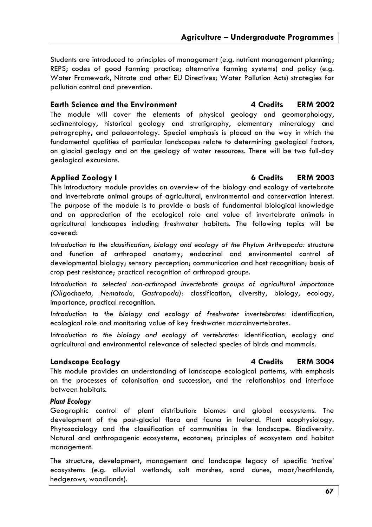Students are introduced to principles of management (e.g. nutrient management planning; REPS; codes of good farming practice; alternative farming systems) and policy (e.g. Water Framework, Nitrate and other EU Directives; Water Pollution Acts) strategies for pollution control and prevention.

### **Earth Science and the Environment 4 Credits 4 Credits 4 Credits**

The module will cover the elements of physical geology and geomorphology, sedimentology, historical geology and stratigraphy, elementary mineralogy and petrography, and palaeontology. Special emphasis is placed on the way in which the fundamental qualities of particular landscapes relate to determining geological factors, on glacial geology and on the geology of water resources. There will be two full-day geological excursions.

This introductory module provides an overview of the biology and ecology of vertebrate and invertebrate animal groups of agricultural, environmental and conservation interest. The purpose of the module is to provide a basis of fundamental biological knowledge and an appreciation of the ecological role and value of invertebrate animals in agricultural landscapes including freshwater habitats. The following topics will be covered:

*Introduction to the classification, biology and ecology of the Phylum Arthropoda:* structure and function of arthropod anatomy; endocrinal and environmental control of developmental biology; sensory perception; communication and host recognition; basis of crop pest resistance; practical recognition of arthropod groups.

*Introduction to selected non-arthropod invertebrate groups of agricultural importance (Oligochaeta, Nematoda, Gastropoda):* classification, diversity, biology, ecology, importance, practical recognition.

*Introduction to the biology and ecology of freshwater invertebrates:* identification, ecological role and monitoring value of key freshwater macroinvertebrates.

*Introduction to the biology and ecology of vertebrates:* identification, ecology and agricultural and environmental relevance of selected species of birds and mammals.

### **Landscape Ecology 4 Credits ERM 3004**

This module provides an understanding of landscape ecological patterns, with emphasis on the processes of colonisation and succession, and the relationships and interface between habitats.

### *Plant Ecology*

Geographic control of plant distribution: biomes and global ecosystems. The development of the post-glacial flora and fauna in Ireland. Plant ecophysiology. Phytosociology and the classification of communities in the landscape. Biodiversity. Natural and anthropogenic ecosystems, ecotones; principles of ecosystem and habitat management.

The structure, development, management and landscape legacy of specific 'native' ecosystems (e.g. alluvial wetlands, salt marshes, sand dunes, moor/heathlands, hedgerows, woodlands).

### **Applied Zoology I 6 Credits ERM 2003**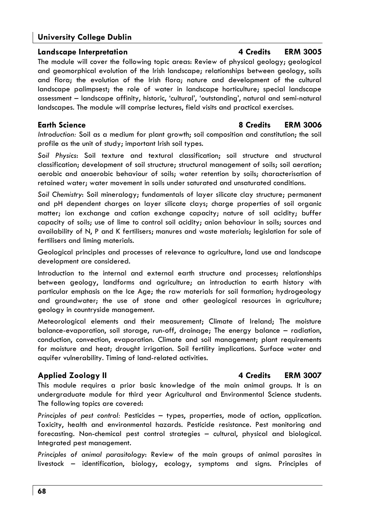### **Landscape Interpretation 4 Credits ERM 3005**

The module will cover the following topic areas: Review of physical geology; geological and geomorphical evolution of the Irish landscape; relationships between geology, soils and flora; the evolution of the Irish flora; nature and development of the cultural landscape palimpsest; the role of water in landscape horticulture; special landscape assessment – landscape affinity, historic, 'cultural', 'outstanding', natural and semi-natural landscapes. The module will comprise lectures, field visits and practical exercises.

# **Earth Science 8 Credits ERM 3006**

*Introduction:* Soil as a medium for plant growth; soil composition and constitution; the soil profile as the unit of study; important Irish soil types.

*Soil Physics*: Soil texture and textural classification; soil structure and structural classification; development of soil structure; structural management of soils; soil aeration; aerobic and anaerobic behaviour of soils; water retention by soils; characterisation of retained water; water movement in soils under saturated and unsaturated conditions.

*Soil Chemistry*: Soil mineralogy; fundamentals of layer silicate clay structure; permanent and pH dependent charges on layer silicate clays; charge properties of soil organic matter; ion exchange and cation exchange capacity; nature of soil acidity; buffer capacity of soils; use of lime to control soil acidity; anion behaviour in soils; sources and availability of N, P and K fertilisers; manures and waste materials; legislation for sale of fertilisers and liming materials.

Geological principles and processes of relevance to agriculture, land use and landscape development are considered.

Introduction to the internal and external earth structure and processes; relationships between geology, landforms and agriculture; an introduction to earth history with particular emphasis on the Ice Age; the raw materials for soil formation; hydrogeology and groundwater; the use of stone and other geological resources in agriculture; geology in countryside management.

Meteorological elements and their measurement; Climate of Ireland; The moisture balance-evaporation, soil storage, run-off, drainage; The energy balance – radiation, conduction, convection, evaporation. Climate and soil management; plant requirements for moisture and heat; drought irrigation. Soil fertility implications. Surface water and aquifer vulnerability. Timing of land-related activities.

### **Applied Zoology II 4 Credits ERM 3007**

This module requires a prior basic knowledge of the main animal groups. It is an undergraduate module for third year Agricultural and Environmental Science students. The following topics are covered:

*Principles of pest control:* Pesticides – types, properties, mode of action, application. Toxicity, health and environmental hazards. Pesticide resistance. Pest monitoring and forecasting. Non-chemical pest control strategies – cultural, physical and biological. Integrated pest management.

*Principles of animal parasitology*: Review of the main groups of animal parasites in livestock – identification, biology, ecology, symptoms and signs. Principles of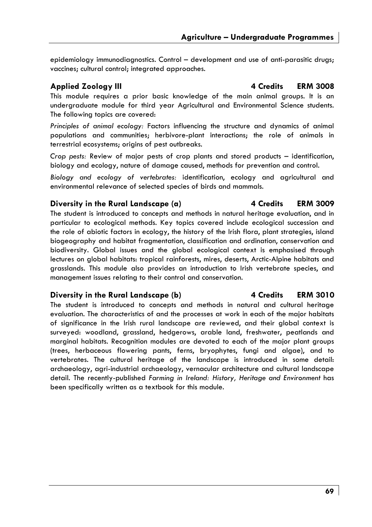epidemiology immunodiagnostics. Control – development and use of anti-parasitic drugs; vaccines; cultural control; integrated approaches.

### **Applied Zoology III 4 Credits ERM 3008**

This module requires a prior basic knowledge of the main animal groups. It is an undergraduate module for third year Agricultural and Environmental Science students. The following topics are covered:

*Principles of animal ecology:* Factors influencing the structure and dynamics of animal populations and communities; herbivore-plant interactions; the role of animals in terrestrial ecosystems; origins of pest outbreaks.

*Crop pests:* Review of major pests of crop plants and stored products – identification, biology and ecology, nature of damage caused, methods for prevention and control.

*Biology and ecology of vertebrates:* identification, ecology and agricultural and environmental relevance of selected species of birds and mammals.

# **Diversity in the Rural Landscape (a) 4 Credits ERM 3009**

The student is introduced to concepts and methods in natural heritage evaluation, and in particular to ecological methods. Key topics covered include ecological succession and the role of abiotic factors in ecology, the history of the Irish flora, plant strategies, island biogeography and habitat fragmentation, classification and ordination, conservation and biodiversity. Global issues and the global ecological context is emphasised through lectures on global habitats: tropical rainforests, mires, deserts, Arctic-Alpine habitats and grasslands. This module also provides an introduction to Irish vertebrate species, and management issues relating to their control and conservation.

# **Diversity in the Rural Landscape (b) 4 Credits ERM 3010**

The student is introduced to concepts and methods in natural and cultural heritage evaluation. The characteristics of and the processes at work in each of the major habitats of significance in the Irish rural landscape are reviewed, and their global context is surveyed: woodland, grassland, hedgerows, arable land, freshwater, peatlands and marginal habitats. Recognition modules are devoted to each of the major plant groups (trees, herbaceous flowering pants, ferns, bryophytes, fungi and algae), and to vertebrates. The cultural heritage of the landscape is introduced in some detail: archaeology, agri-industrial archaeology, vernacular architecture and cultural landscape detail. The recently-published *Farming in Ireland: History, Heritage and Environment* has been specifically written as a textbook for this module.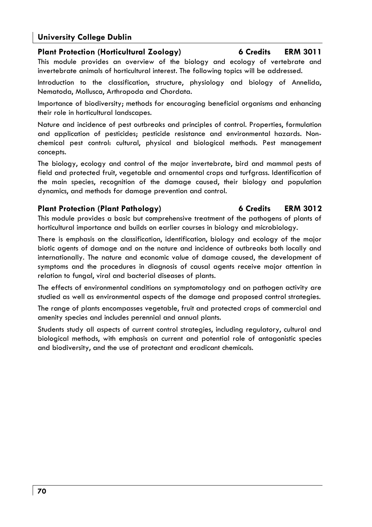# **Plant Protection (Horticultural Zoology) 6 Credits ERM 3011**

This module provides an overview of the biology and ecology of vertebrate and invertebrate animals of horticultural interest. The following topics will be addressed.

Introduction to the classification, structure, physiology and biology of Annelida, Nematoda, Mollusca, Arthropoda and Chordata.

Importance of biodiversity; methods for encouraging beneficial organisms and enhancing their role in horticultural landscapes.

Nature and incidence of pest outbreaks and principles of control. Properties, formulation and application of pesticides; pesticide resistance and environmental hazards. Nonchemical pest control: cultural, physical and biological methods. Pest management concepts.

The biology, ecology and control of the major invertebrate, bird and mammal pests of field and protected fruit, vegetable and ornamental crops and turfgrass. Identification of the main species, recognition of the damage caused, their biology and population dynamics, and methods for damage prevention and control.

### **Plant Protection (Plant Pathology) 6 Credits ERM 3012**

This module provides a basic but comprehensive treatment of the pathogens of plants of horticultural importance and builds on earlier courses in biology and microbiology.

There is emphasis on the classification, identification, biology and ecology of the major biotic agents of damage and on the nature and incidence of outbreaks both locally and internationally. The nature and economic value of damage caused, the development of symptoms and the procedures in diagnosis of causal agents receive major attention in relation to fungal, viral and bacterial diseases of plants.

The effects of environmental conditions on symptomatology and on pathogen activity are studied as well as environmental aspects of the damage and proposed control strategies.

The range of plants encompasses vegetable, fruit and protected crops of commercial and amenity species and includes perennial and annual plants.

Students study all aspects of current control strategies, including regulatory, cultural and biological methods, with emphasis on current and potential role of antagonistic species and biodiversity, and the use of protectant and eradicant chemicals.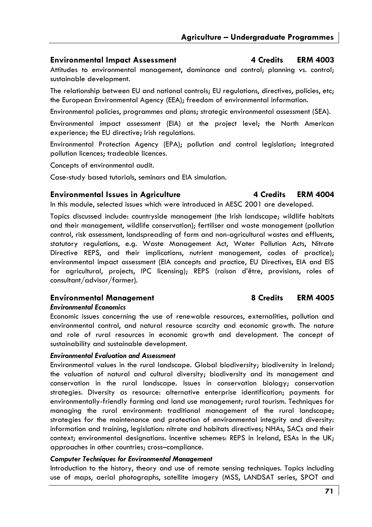### **Environmental Impact Assessment 4 Credits ERM 4003**

Attitudes to environmental management, dominance and control; planning vs. control; sustainable development.

The relationship between EU and national controls; EU regulations, directives, policies, etc; the European Environmental Agency (EEA); freedom of environmental information.

Environmental policies, programmes and plans; strategic environmental assessment (SEA).

Environmental impact assessment (EIA) at the project level; the North American experience; the EU directive; Irish regulations.

Environmental Protection Agency (EPA); pollution and control legislation; integrated pollution licences; tradeable licences.

Concepts of environmental audit.

Case-study based tutorials, seminars and EIA simulation.

## Environmental Issues in Agriculture **4 Credits** ERM 4004

In this module, selected issues which were introduced in AESC 2001 are developed.

Topics discussed include: countryside management (the Irish landscape; wildlife habitats and their management, wildlife conservation); fertiliser and waste management (pollution control, risk assessment, landspreading of farm and non-agricultural wastes and effluents, statutory regulations, e.g. Waste Management Act, Water Pollution Acts, Nitrate Directive REPS, and their implications, nutrient management, codes of practice); environmental impact assessment (EIA concepts and practice, EU Directives, EIA and EIS for agricultural, projects, IPC licensing); REPS (raison d'être, provisions, roles of consultant/advisor/farmer).

# **Environmental Management 8 Credits ERM 4005**

### *Environmental Economics*

Economic issues concerning the use of renewable resources, externalities, pollution and environmental control, and natural resource scarcity and economic growth. The nature and role of rural resources in economic growth and development. The concept of sustainability and sustainable development.

### *Environmental Evaluation and Assessment*

Environmental values in the rural landscape. Global biodiversity; biodiversity in Ireland; the valuation of natural and cultural diversity; biodiversity and its management and conservation in the rural landscape. Issues in conservation biology; conservation strategies. Diversity as resource: alternative enterprise identification; payments for environmentally-friendly farming and land use management; rural tourism. Techniques for managing the rural environment: traditional management of the rural landscape; strategies for the maintenance and protection of environmental integrity and diversity: information and training, legislation: nitrate and habitats directives; NHAs, SACs and their context; environmental designations. Incentive schemes: REPS in Ireland, ESAs in the UK; approaches in other countries; cross–compliance.

### *Computer Techniques for Environmental Management*

Introduction to the history, theory and use of remote sensing techniques. Topics including use of maps, aerial photographs, satellite imagery (MSS, LANDSAT series, SPOT and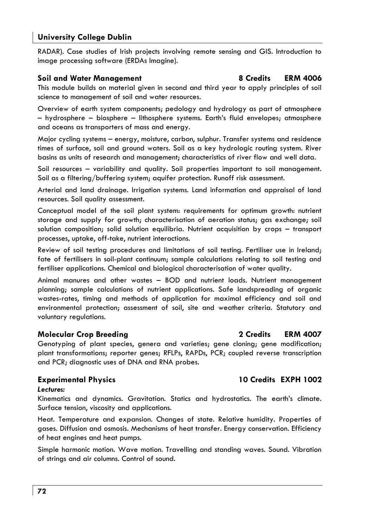RADAR). Case studies of Irish projects involving remote sensing and GIS. Introduction to image processing software (ERDAs Imagine).

### **Soil and Water Management 8 Credits ERM 4006**

This module builds on material given in second and third year to apply principles of soil science to management of soil and water resources.

Overview of earth system components; pedology and hydrology as part of atmosphere – hydrosphere – biosphere – lithosphere systems. Earth's fluid envelopes; atmosphere and oceans as transporters of mass and energy.

Major cycling systems – energy, moisture, carbon, sulphur. Transfer systems and residence times of surface, soil and ground waters. Soil as a key hydrologic routing system. River basins as units of research and management; characteristics of river flow and well data.

Soil resources – variability and quality. Soil properties important to soil management. Soil as a filtering/buffering system; aquifer protection. Runoff risk assessment.

Arterial and land drainage. Irrigation systems. Land information and appraisal of land resources. Soil quality assessment.

Conceptual model of the soil plant system: requirements for optimum growth: nutrient storage and supply for growth; characterisation of aeration status; gas exchange; soil solution composition; solid solution equilibria. Nutrient acquisition by crops – transport processes, uptake, off-take, nutrient interactions.

Review of soil testing procedures and limitations of soil testing. Fertiliser use in Ireland; fate of fertilisers in soil-plant continuum; sample calculations relating to soil testing and fertiliser applications. Chemical and biological characterisation of water quality.

Animal manures and other wastes – BOD and nutrient loads. Nutrient management planning; sample calculations of nutrient applications. Safe landspreading of organic wastes-rates, timing and methods of application for maximal efficiency and soil and environmental protection; assessment of soil, site and weather criteria. Statutory and voluntary regulations.

# **Molecular Crop Breeding 2 Credits ERM 4007**

Genotyping of plant species, genera and varieties; gene cloning; gene modification; plant transformations; reporter genes; RFLPs, RAPDs, PCR; coupled reverse transcription and PCR; diagnostic uses of DNA and RNA probes.

# **Experimental Physics 10 Credits EXPH 1002**

### *Lectures:*

Kinematics and dynamics. Gravitation. Statics and hydrostatics. The earth's climate. Surface tension, viscosity and applications.

Heat. Temperature and expansion. Changes of state. Relative humidity. Properties of gases. Diffusion and osmosis. Mechanisms of heat transfer. Energy conservation. Efficiency of heat engines and heat pumps.

Simple harmonic motion. Wave motion. Travelling and standing waves. Sound. Vibration of strings and air columns. Control of sound.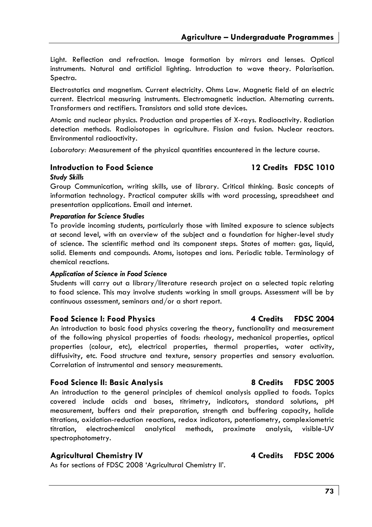Light. Reflection and refraction. Image formation by mirrors and lenses. Optical instruments. Natural and artificial lighting. Introduction to wave theory. Polarisation. Spectra.

Electrostatics and magnetism. Current electricity. Ohms Law. Magnetic field of an electric current. Electrical measuring instruments. Electromagnetic induction. Alternating currents. Transformers and rectifiers. Transistors and solid state devices.

Atomic and nuclear physics. Production and properties of X-rays. Radioactivity. Radiation detection methods. Radioisotopes in agriculture. Fission and fusion. Nuclear reactors. Environmental radioactivity.

*Laboratory:* Measurement of the physical quantities encountered in the lecture course.

# **Introduction to Food Science 12 Credits FDSC 1010**

#### *Study Skills*

Group Communication, writing skills, use of library. Critical thinking. Basic concepts of information technology. Practical computer skills with word processing, spreadsheet and presentation applications. Email and internet.

#### *Preparation for Science Studies*

To provide incoming students, particularly those with limited exposure to science subjects at second level, with an overview of the subject and a foundation for higher-level study of science. The scientific method and its component steps. States of matter: gas, liquid, solid. Elements and compounds. Atoms, isotopes and ions. Periodic table. Terminology of chemical reactions.

#### *Application of Science in Food Science*

Students will carry out a library/literature research project on a selected topic relating to food science. This may involve students working in small groups. Assessment will be by continuous assessment, seminars and/or a short report.

#### **Food Science I: Food Physics 4 Credits FDSC 2004**

An introduction to basic food physics covering the theory, functionality and measurement of the following physical properties of foods: rheology, mechanical properties, optical properties (colour, etc), electrical properties, thermal properties, water activity, diffusivity, etc. Food structure and texture, sensory properties and sensory evaluation. Correlation of instrumental and sensory measurements.

### **Food Science II: Basic Analysis 8 Credits FDSC 2005**

An introduction to the general principles of chemical analysis applied to foods. Topics covered include acids and bases, titrimetry, indicators, standard solutions, pH measurement, buffers and their preparation, strength and buffering capacity, halide titrations, oxidation-reduction reactions, redox indicators, potentiometry, complexiometric titration, electrochemical analytical methods, proximate analysis, visible-UV spectrophotometry.

### Agricultural Chemistry IV **4 Credits** FDSC 2006

As for sections of FDSC 2008 'Agricultural Chemistry II'.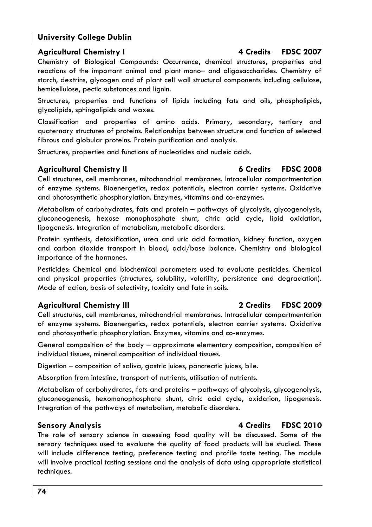techniques.

# **University College Dublin**

# Agricultural Chemistry I **4 Credits** FDSC 2007

Chemistry of Biological Compounds: Occurrence, chemical structures, properties and reactions of the important animal and plant mono– and oligosaccharides. Chemistry of starch, dextrins, glycogen and of plant cell wall structural components including cellulose, hemicellulose, pectic substances and lignin.

Structures, properties and functions of lipids including fats and oils, phospholipids, glycolipids, sphingolipids and waxes.

Classification and properties of amino acids. Primary, secondary, tertiary and quaternary structures of proteins. Relationships between structure and function of selected fibrous and globular proteins. Protein purification and analysis.

Structures, properties and functions of nucleotides and nucleic acids.

### **Agricultural Chemistry II 6 Credits FDSC 2008**

Cell structures, cell membranes, mitochondrial membranes. Intracellular compartmentation of enzyme systems. Bioenergetics, redox potentials, electron carrier systems. Oxidative and photosynthetic phosphorylation. Enzymes, vitamins and co-enzymes.

Metabolism of carbohydrates, fats and protein – pathways of glycolysis, glycogenolysis, gluconeogenesis, hexose monophosphate shunt, citric acid cycle, lipid oxidation, lipogenesis. Integration of metabolism, metabolic disorders.

Protein synthesis, detoxification, urea and uric acid formation, kidney function, oxygen and carbon dioxide transport in blood, acid/base balance. Chemistry and biological importance of the hormones.

Pesticides: Chemical and biochemical parameters used to evaluate pesticides. Chemical and physical properties (structures, solubility, volatility, persistence and degradation). Mode of action, basis of selectivity, toxicity and fate in soils.

### **Agricultural Chemistry III 2 Credits FDSC 2009**

Cell structures, cell membranes, mitochondrial membranes. Intracellular compartmentation of enzyme systems. Bioenergetics, redox potentials, electron carrier systems. Oxidative and photosynthetic phosphorylation. Enzymes, vitamins and co-enzymes.

General composition of the body – approximate elementary composition, composition of individual tissues, mineral composition of individual tissues.

Digestion – composition of saliva, gastric juices, pancreatic juices, bile.

Absorption from intestine, transport of nutrients, utilisation of nutrients.

Metabolism of carbohydrates, fats and proteins – pathways of glycolysis, glycogenolysis, gluconeogenesis, hexomonophosphate shunt, citric acid cycle, oxidation, lipogenesis. Integration of the pathways of metabolism, metabolic disorders.

sensory techniques used to evaluate the quality of food products will be studied. These will include difference testing, preference testing and profile taste testing. The module will involve practical tasting sessions and the analysis of data using appropriate statistical

**Sensory Analysis 4 Credits FDSC 2010** 

# The role of sensory science in assessing food quality will be discussed. Some of the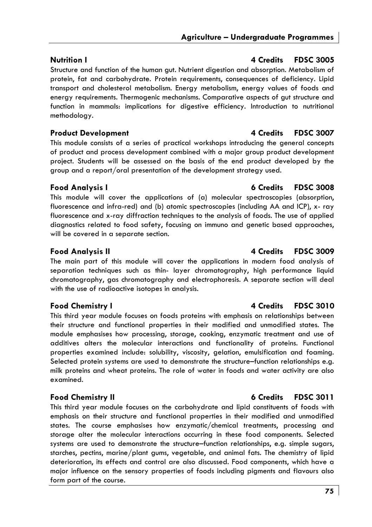#### transport and cholesterol metabolism. Energy metabolism, energy values of foods and energy requirements. Thermogenic mechanisms. Comparative aspects of gut structure and

#### **Product Development 4 Credits FDSC 3007**

This module consists of a series of practical workshops introducing the general concepts of product and process development combined with a major group product development project. Students will be assessed on the basis of the end product developed by the group and a report/oral presentation of the development strategy used.

**Nutrition I** 4 Credits **FDSC 3005** Structure and function of the human gut. Nutrient digestion and absorption. Metabolism of protein, fat and carbohydrate. Protein requirements, consequences of deficiency. Lipid

function in mammals: implications for digestive efficiency. Introduction to nutritional

#### **Food Analysis I 6 Credits FDSC 3008**

methodology.

This module will cover the applications of (a) molecular spectroscopies (absorption, fluorescence and infra-red) and (b) atomic spectroscopies (including AA and ICP), x- ray fluorescence and x-ray diffraction techniques to the analysis of foods. The use of applied diagnostics related to food safety, focusing on immuno and genetic based approaches, will be covered in a separate section.

The main part of this module will cover the applications in modern food analysis of separation techniques such as thin- layer chromatography, high performance liquid chromatography, gas chromatography and electrophoresis. A separate section will deal with the use of radioactive isotopes in analysis.

This third year module focuses on foods proteins with emphasis on relationships between their structure and functional properties in their modified and unmodified states. The module emphasises how processing, storage, cooking, enzymatic treatment and use of additives alters the molecular interactions and functionality of proteins. Functional properties examined include: solubility, viscosity, gelation, emulsification and foaming. Selected protein systems are used to demonstrate the structure–function relationships e.g. milk proteins and wheat proteins. The role of water in foods and water activity are also examined.

This third year module focuses on the carbohydrate and lipid constituents of foods with emphasis on their structure and functional properties in their modified and unmodified states. The course emphasises how enzymatic/chemical treatments, processing and storage alter the molecular interactions occurring in these food components. Selected systems are used to demonstrate the structure–function relationships, e.g. simple sugars, starches, pectins, marine/plant gums, vegetable, and animal fats. The chemistry of lipid deterioration, its effects and control are also discussed. Food components, which have a major influence on the sensory properties of foods including pigments and flavours also form part of the course.

#### **Food Analysis II 1998 1998 12:33 14 Credits FDSC 3009**

### **Food Chemistry I 12 Credits FDSC 3010**

# **Food Chemistry II 6 Credits FDSC 3011**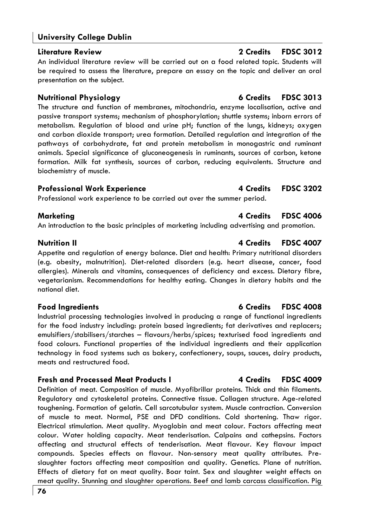#### **Literature Review 2 Credits FDSC 3012**

An individual literature review will be carried out on a food related topic. Students will be required to assess the literature, prepare an essay on the topic and deliver an oral presentation on the subject.

The structure and function of membranes, mitochondria, enzyme localisation, active and passive transport systems; mechanism of phosphorylation; shuttle systems; inborn errors of metabolism. Regulation of blood and urine pH; function of the lungs, kidneys; oxygen and carbon dioxide transport; urea formation. Detailed regulation and integration of the pathways of carbohydrate, fat and protein metabolism in monogastric and ruminant animals. Special significance of gluconeogenesis in ruminants, sources of carbon, ketone formation. Milk fat synthesis, sources of carbon, reducing equivalents. Structure and biochemistry of muscle.

#### **Professional Work Experience 4 Credits FDSC 3202**

Professional work experience to be carried out over the summer period.

An introduction to the basic principles of marketing including advertising and promotion.

### **Nutrition II 4 Credits FDSC 4007**

Appetite and regulation of energy balance. Diet and health: Primary nutritional disorders (e.g. obesity, malnutrition). Diet-related disorders (e.g. heart disease, cancer, food allergies). Minerals and vitamins, consequences of deficiency and excess. Dietary fibre, vegetarianism. Recommendations for healthy eating. Changes in dietary habits and the national diet.

### **Food Ingredients 6 Credits FDSC 4008**

Industrial processing technologies involved in producing a range of functional ingredients for the food industry including: protein based ingredients; fat derivatives and replacers; emulsifiers/stabilisers/starches – flavours/herbs/spices; texturised food ingredients and food colours. Functional properties of the individual ingredients and their application technology in food systems such as bakery, confectionery, soups, sauces, dairy products, meats and restructured food.

### **Fresh and Processed Meat Products I 4 Credits FDSC 4009**

Definition of meat. Composition of muscle. Myofibrillar proteins. Thick and thin filaments. Regulatory and cytoskeletal proteins. Connective tissue. Collagen structure. Age-related toughening. Formation of gelatin. Cell sarcotubular system. Muscle contraction. Conversion of muscle to meat. Normal, PSE and DFD conditions. Cold shortening. Thaw rigor. Electrical stimulation. Meat quality. Myoglobin and meat colour. Factors affecting meat colour. Water holding capacity. Meat tenderisation. Calpains and cathepsins. Factors affecting and structural effects of tenderisation. Meat flavour. Key flavour impact compounds. Species effects on flavour. Non-sensory meat quality attributes. Preslaughter factors affecting meat composition and quality. Genetics. Plane of nutrition. Effects of dietary fat on meat quality. Boar taint. Sex and slaughter weight effects on meat quality. Stunning and slaughter operations. Beef and lamb carcass classification. Pig

# **Nutritional Physiology 6 Credits FDSC 3013**

# **Marketing 4 Credits FDSC 4006**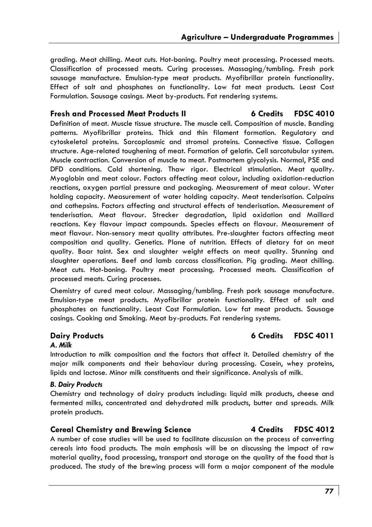grading. Meat chilling. Meat cuts. Hot-boning. Poultry meat processing. Processed meats. Classification of processed meats. Curing processes. Massaging/tumbling. Fresh pork sausage manufacture. Emulsion-type meat products. Myofibrillar protein functionality. Effect of salt and phosphates on functionality. Low fat meat products. Least Cost Formulation. Sausage casings. Meat by-products. Fat rendering systems.

#### **Fresh and Processed Meat Products II 6 Credits FDSC 4010**

Definition of meat. Muscle tissue structure. The muscle cell. Composition of muscle. Banding patterns. Myofibrillar proteins. Thick and thin filament formation. Regulatory and cytoskeletal proteins. Sarcoplasmic and stromal proteins. Connective tissue. Collagen structure. Age-related toughening of meat. Formation of gelatin. Cell sarcotubular system. Muscle contraction. Conversion of muscle to meat. Postmortem glycolysis. Normal, PSE and DFD conditions. Cold shortening. Thaw rigor. Electrical stimulation. Meat quality. Myoglobin and meat colour. Factors affecting meat colour, including oxidation-reduction reactions, oxygen partial pressure and packaging. Measurement of meat colour. Water holding capacity. Measurement of water holding capacity. Meat tenderisation. Calpains and cathepsins. Factors affecting and structural effects of tenderisation. Measurement of tenderisation. Meat flavour. Strecker degradation, lipid oxidation and Maillard reactions. Key flavour impact compounds. Species effects on flavour. Measurement of meat flavour. Non-sensory meat quality attributes. Pre-slaughter factors affecting meat composition and quality. Genetics. Plane of nutrition. Effects of dietary fat on meat quality. Boar taint. Sex and slaughter weight effects on meat quality. Stunning and slaughter operations. Beef and lamb carcass classification. Pig grading. Meat chilling. Meat cuts. Hot-boning. Poultry meat processing. Processed meats. Classification of processed meats. Curing processes.

Chemistry of cured meat colour. Massaging/tumbling. Fresh pork sausage manufacture. Emulsion-type meat products. Myofibrillar protein functionality. Effect of salt and phosphates on functionality. Least Cost Formulation. Low fat meat products. Sausage casings. Cooking and Smoking. Meat by-products. Fat rendering systems.

#### *A. Milk*

Introduction to milk composition and the factors that affect it. Detailed chemistry of the major milk components and their behaviour during processing. Casein, whey proteins, lipids and lactose. Minor milk constituents and their significance. Analysis of milk.

#### *B. Dairy Products*

Chemistry and technology of dairy products including: liquid milk products, cheese and fermented milks, concentrated and dehydrated milk products, butter and spreads. Milk protein products.

#### **Cereal Chemistry and Brewing Science 4 Credits FDSC 4012**

A number of case studies will be used to facilitate discussion on the process of converting cereals into food products. The main emphasis will be on discussing the impact of raw material quality, food processing, transport and storage on the quality of the food that is produced. The study of the brewing process will form a major component of the module

### **Dairy Products 6 Credits FDSC 4011**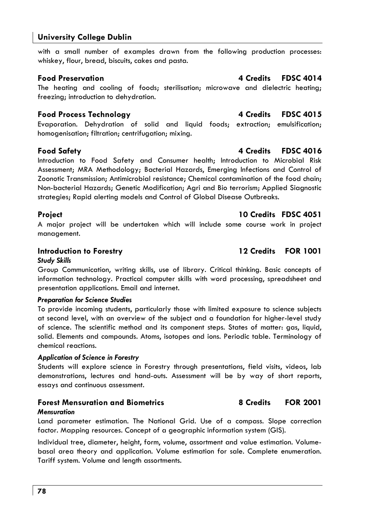with a small number of examples drawn from the following production processes: whiskey, flour, bread, biscuits, cakes and pasta.

The heating and cooling of foods; sterilisation; microwave and dielectric heating; freezing; introduction to dehydration.

# **Food Process Technology 4 Credits FDSC 4015**

Evaporation. Dehydration of solid and liquid foods; extraction; emulsification; homogenisation; filtration; centrifugation; mixing.

# **Food Safety 4 Credits FDSC 4016**

Introduction to Food Safety and Consumer health; Introduction to Microbial Risk Assessment; MRA Methodology; Bacterial Hazards, Emerging Infections and Control of Zoonotic Transmission; Antimicrobial resistance; Chemical contamination of the food chain; Non-bacterial Hazards; Genetic Modification; Agri and Bio terrorism; Applied Siagnostic strategies; Rapid alerting models and Control of Global Disease Outbreaks.

A major project will be undertaken which will include some course work in project management.

### **Introduction to Forestry 2001 22 Credits FOR 1001**

### *Study Skills*

Group Communication, writing skills, use of library. Critical thinking. Basic concepts of information technology. Practical computer skills with word processing, spreadsheet and presentation applications. Email and internet.

#### *Preparation for Science Studies*

To provide incoming students, particularly those with limited exposure to science subjects at second level, with an overview of the subject and a foundation for higher-level study of science. The scientific method and its component steps. States of matter: gas, liquid, solid. Elements and compounds. Atoms, isotopes and ions. Periodic table. Terminology of chemical reactions.

### *Application of Science in Forestry*

Students will explore science in Forestry through presentations, field visits, videos, lab demonstrations, lectures and hand-outs. Assessment will be by way of short reports, essays and continuous assessment.

### **Forest Mensuration and Biometrics 8 Credits FOR 2001**

#### *Mensuration*

Land parameter estimation. The National Grid. Use of a compass. Slope correction factor. Mapping resources. Concept of a geographic information system (GIS).

Individual tree, diameter, height, form, volume, assortment and value estimation. Volumebasal area theory and application. Volume estimation for sale. Complete enumeration. Tariff system. Volume and length assortments.

### **Project 10 Credits FDSC 4051**

### **Food Preservation 4 Credits FDSC 4014**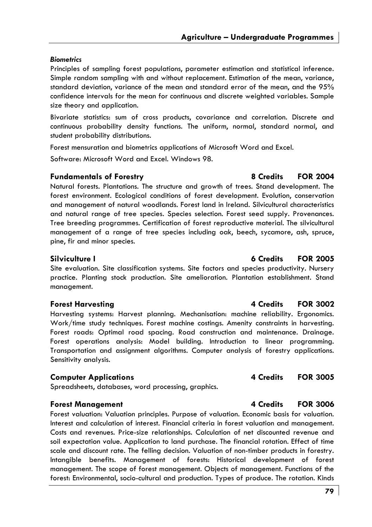### *Biometrics*

Principles of sampling forest populations, parameter estimation and statistical inference. Simple random sampling with and without replacement. Estimation of the mean, variance, standard deviation, variance of the mean and standard error of the mean, and the 95% confidence intervals for the mean for continuous and discrete weighted variables. Sample size theory and application.

Bivariate statistics: sum of cross products, covariance and correlation. Discrete and continuous probability density functions. The uniform, normal, standard normal, and student probability distributions.

Forest mensuration and biometrics applications of Microsoft Word and Excel.

Software: Microsoft Word and Excel. Windows 98.

### **Fundamentals of Forestry 8 Credits FOR 2004**

Natural forests. Plantations. The structure and growth of trees. Stand development. The forest environment. Ecological conditions of forest development. Evolution, conservation and management of natural woodlands. Forest land in Ireland. Silvicultural characteristics and natural range of tree species. Species selection. Forest seed supply. Provenances. Tree breeding programmes. Certification of forest reproductive material. The silvicultural management of a range of tree species including oak, beech, sycamore, ash, spruce, pine, fir and minor species.

### **Silviculture I 6 Credits FOR 2005**

Site evaluation. Site classification systems. Site factors and species productivity. Nursery practice. Planting stock production. Site amelioration. Plantation establishment. Stand management.

Harvesting systems: Harvest planning. Mechanisation: machine reliability. Ergonomics. Work/time study techniques. Forest machine costings. Amenity constraints in harvesting. Forest roads: Optimal road spacing. Road construction and maintenance. Drainage. Forest operations analysis: Model building. Introduction to linear programming. Transportation and assignment algorithms. Computer analysis of forestry applications. Sensitivity analysis.

### **Computer Applications 6 2005 4 Credits FOR 3005**

Spreadsheets, databases, word processing, graphics.

### **Forest Management 4 Credits FOR 3006**

Forest valuation: Valuation principles. Purpose of valuation. Economic basis for valuation. Interest and calculation of interest. Financial criteria in forest valuation and management. Costs and revenues. Price-size relationships. Calculation of net discounted revenue and soil expectation value. Application to land purchase. The financial rotation. Effect of time scale and discount rate. The felling decision. Valuation of non-timber products in forestry. Intangible benefits. Management of forests: Historical development of forest management. The scope of forest management. Objects of management. Functions of the forest: Environmental, socio-cultural and production. Types of produce. The rotation. Kinds

### **Forest Harvesting 4 Credits FOR 3002**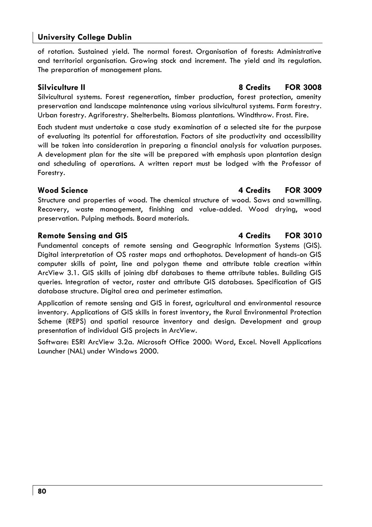of rotation. Sustained yield. The normal forest. Organisation of forests: Administrative and territorial organisation. Growing stock and increment. The yield and its regulation. The preparation of management plans.

Silvicultural systems. Forest regeneration, timber production, forest protection, amenity preservation and landscape maintenance using various silvicultural systems. Farm forestry. Urban forestry. Agriforestry. Shelterbelts. Biomass plantations. Windthrow. Frost. Fire.

Each student must undertake a case study examination of a selected site for the purpose of evaluating its potential for afforestation. Factors of site productivity and accessibility will be taken into consideration in preparing a financial analysis for valuation purposes. A development plan for the site will be prepared with emphasis upon plantation design and scheduling of operations. A written report must be lodged with the Professor of Forestry.

### **Wood Science 4 Credits FOR 3009**

Structure and properties of wood. The chemical structure of wood. Saws and sawmilling. Recovery, waste management, finishing and value-added. Wood drying, wood preservation. Pulping methods. Board materials.

### **Remote Sensing and GIS 4 Credits FOR 3010**

Fundamental concepts of remote sensing and Geographic Information Systems (GIS). Digital interpretation of OS raster maps and orthophotos. Development of hands-on GIS computer skills of point, line and polygon theme and attribute table creation within ArcView 3.1. GIS skills of joining dbf databases to theme attribute tables. Building GIS queries. Integration of vector, raster and attribute GIS databases. Specification of GIS database structure. Digital area and perimeter estimation.

Application of remote sensing and GIS in forest, agricultural and environmental resource inventory. Applications of GIS skills in forest inventory, the Rural Environmental Protection Scheme (REPS) and spatial resource inventory and design. Development and group presentation of individual GIS projects in ArcView.

Software: ESRI ArcView 3.2a. Microsoft Office 2000: Word, Excel. Novell Applications Launcher (NAL) under Windows 2000.

### **Silviculture II 8 Credits FOR 3008**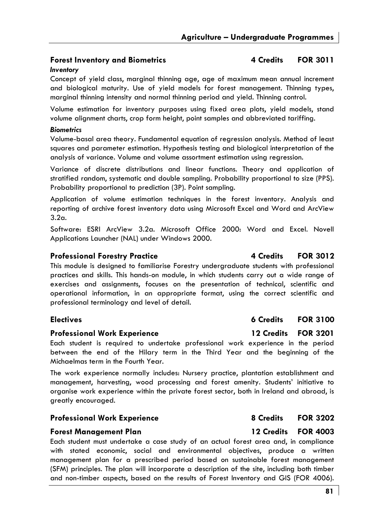### **Forest Inventory and Biometrics 4 Credits FOR 3011**

#### *Inventory*

Concept of yield class, marginal thinning age, age of maximum mean annual increment and biological maturity. Use of yield models for forest management. Thinning types, marginal thinning intensity and normal thinning period and yield. Thinning control.

Volume estimation for inventory purposes using fixed area plots, yield models, stand volume alignment charts, crop form height, point samples and abbreviated tariffing.

#### *Biometrics*

Volume-basal area theory. Fundamental equation of regression analysis. Method of least squares and parameter estimation. Hypothesis testing and biological interpretation of the analysis of variance. Volume and volume assortment estimation using regression.

Variance of discrete distributions and linear functions. Theory and application of stratified random, systematic and double sampling. Probability proportional to size (PPS). Probability proportional to prediction (3P). Point sampling.

Application of volume estimation techniques in the forest inventory. Analysis and reporting of archive forest inventory data using Microsoft Excel and Word and ArcView 3.2a.

Software: ESRI ArcView 3.2a. Microsoft Office 2000: Word and Excel. Novell Applications Launcher (NAL) under Windows 2000.

### **Professional Forestry Practice**  4 Credits 4 Credits 4 Credits 4 Credits 4 Credits 4 Credits 4 OR 3012

This module is designed to familiarise Forestry undergraduate students with professional practices and skills. This hands-on module, in which students carry out a wide range of exercises and assignments, focuses on the presentation of technical, scientific and operational information, in an appropriate format, using the correct scientific and professional terminology and level of detail.

### **Electives** 6 Credits **FOR 3100**

#### **Professional Work Experience 12 Credits FOR 3201**

Each student is required to undertake professional work experience in the period between the end of the Hilary term in the Third Year and the beginning of the Michaelmas term in the Fourth Year.

The work experience normally includes: Nursery practice, plantation establishment and management, harvesting, wood processing and forest amenity. Students' initiative to organise work experience within the private forest sector, both in Ireland and abroad, is greatly encouraged.

#### **Professional Work Experience** 8 Credits 8 Apr 202

#### **Forest Management Plan 12 Credits FOR 4003**

Each student must undertake a case study of an actual forest area and, in compliance with stated economic, social and environmental objectives, produce a written management plan for a prescribed period based on sustainable forest management (SFM) principles. The plan will incorporate a description of the site, including both timber and non-timber aspects, based on the results of Forest Inventory and GIS (FOR 4006).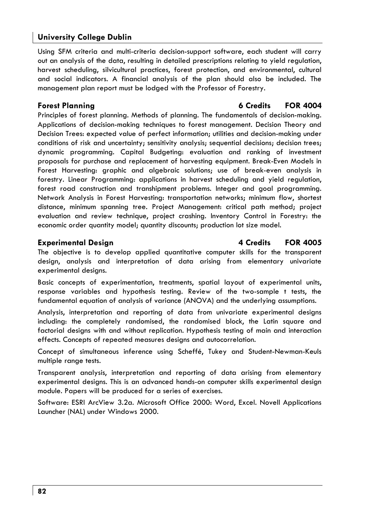Using SFM criteria and multi-criteria decision-support software, each student will carry out an analysis of the data, resulting in detailed prescriptions relating to yield regulation, harvest scheduling, silvicultural practices, forest protection, and environmental, cultural and social indicators. A financial analysis of the plan should also be included. The management plan report must be lodged with the Professor of Forestry.

### **Forest Planning 6 Credits FOR 4004**

Principles of forest planning. Methods of planning. The fundamentals of decision-making. Applications of decision-making techniques to forest management. Decision Theory and Decision Trees: expected value of perfect information; utilities and decision-making under conditions of risk and uncertainty; sensitivity analysis; sequential decisions; decision trees; dynamic programming. Capital Budgeting: evaluation and ranking of investment proposals for purchase and replacement of harvesting equipment. Break-Even Models in Forest Harvesting: graphic and algebraic solutions; use of break-even analysis in forestry. Linear Programming: applications in harvest scheduling and yield regulation, forest road construction and transhipment problems. Integer and goal programming. Network Analysis in Forest Harvesting: transportation networks; minimum flow, shortest distance, minimum spanning tree. Project Management: critical path method; project evaluation and review technique, project crashing. Inventory Control in Forestry: the economic order quantity model; quantity discounts; production lot size model.

### **Experimental Design 10 Credits 14 Credits 14 Credits FOR 4005**

The objective is to develop applied quantitative computer skills for the transparent design, analysis and interpretation of data arising from elementary univariate experimental designs.

Basic concepts of experimentation, treatments, spatial layout of experimental units, response variables and hypothesis testing. Review of the two-sample t tests, the fundamental equation of analysis of variance (ANOVA) and the underlying assumptions.

Analysis, interpretation and reporting of data from univariate experimental designs including: the completely randomised, the randomised block, the Latin square and factorial designs with and without replication. Hypothesis testing of main and interaction effects. Concepts of repeated measures designs and autocorrelation.

Concept of simultaneous inference using Scheffé, Tukey and Student-Newman-Keuls multiple range tests.

Transparent analysis, interpretation and reporting of data arising from elementary experimental designs. This is an advanced hands-on computer skills experimental design module. Papers will be produced for a series of exercises.

Software: ESRI ArcView 3.2a. Microsoft Office 2000: Word, Excel. Novell Applications Launcher (NAL) under Windows 2000.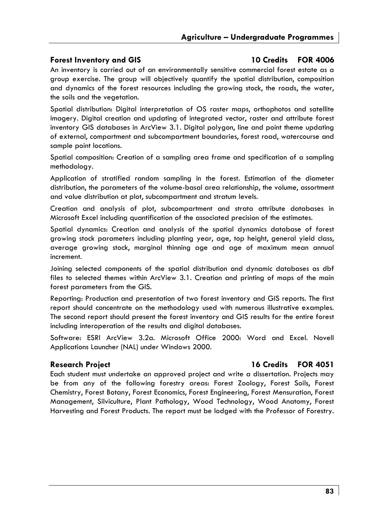### **Forest Inventory and GIS 10 Credits FOR 4006**

An inventory is carried out of an environmentally sensitive commercial forest estate as a group exercise. The group will objectively quantify the spatial distribution, composition and dynamics of the forest resources including the growing stock, the roads, the water, the soils and the vegetation.

Spatial distribution: Digital interpretation of OS raster maps, orthophotos and satellite imagery. Digital creation and updating of integrated vector, raster and attribute forest inventory GIS databases in ArcView 3.1. Digital polygon, line and point theme updating of external, compartment and subcompartment boundaries, forest road, watercourse and sample point locations.

Spatial composition: Creation of a sampling area frame and specification of a sampling methodology.

Application of stratified random sampling in the forest. Estimation of the diameter distribution, the parameters of the volume-basal area relationship, the volume, assortment and value distribution at plot, subcompartment and stratum levels.

Creation and analysis of plot, subcompartment and strata attribute databases in Microsoft Excel including quantification of the associated precision of the estimates.

Spatial dynamics: Creation and analysis of the spatial dynamics database of forest growing stock parameters including planting year, age, top height, general yield class, average growing stock, marginal thinning age and age of maximum mean annual increment.

Joining selected components of the spatial distribution and dynamic databases as dbf files to selected themes within ArcView 3.1. Creation and printing of maps of the main forest parameters from the GIS.

Reporting: Production and presentation of two forest inventory and GIS reports. The first report should concentrate on the methodology used with numerous illustrative examples. The second report should present the forest inventory and GIS results for the entire forest including interoperation of the results and digital databases.

Software: ESRI ArcView 3.2a. Microsoft Office 2000: Word and Excel. Novell Applications Launcher (NAL) under Windows 2000.

### **Research Project 16 Credits FOR 4051**

Each student must undertake an approved project and write a dissertation. Projects may be from any of the following forestry areas: Forest Zoology, Forest Soils, Forest Chemistry, Forest Botany, Forest Economics, Forest Engineering, Forest Mensuration, Forest Management, Silviculture, Plant Pathology, Wood Technology, Wood Anatomy, Forest Harvesting and Forest Products. The report must be lodged with the Professor of Forestry.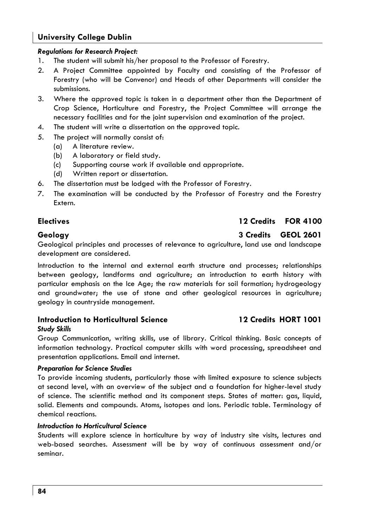### *Regulations for Research Project:*

- 1. The student will submit his/her proposal to the Professor of Forestry.
- 2. A Project Committee appointed by Faculty and consisting of the Professor of Forestry (who will be Convenor) and Heads of other Departments will consider the submissions.
- 3. Where the approved topic is taken in a department other than the Department of Crop Science, Horticulture and Forestry, the Project Committee will arrange the necessary facilities and for the joint supervision and examination of the project.
- 4. The student will write a dissertation on the approved topic.
- 5. The project will normally consist of:
	- (a) A literature review.
	- (b) A laboratory or field study.
	- (c) Supporting course work if available and appropriate.
	- (d) Written report or dissertation.
- 6. The dissertation must be lodged with the Professor of Forestry.
- 7. The examination will be conducted by the Professor of Forestry and the Forestry Extern.

# **Electives 12 Credits FOR 4100**

### **Geology 3 Credits GEOL 2601**

Geological principles and processes of relevance to agriculture, land use and landscape development are considered.

Introduction to the internal and external earth structure and processes; relationships between geology, landforms and agriculture; an introduction to earth history with particular emphasis on the Ice Age; the raw materials for soil formation; hydrogeology and groundwater; the use of stone and other geological resources in agriculture; geology in countryside management.

#### **Introduction to Horticultural Science 12 Credits HORT 1001**  *Study Skills*

Group Communication, writing skills, use of library. Critical thinking. Basic concepts of information technology. Practical computer skills with word processing, spreadsheet and presentation applications. Email and internet.

#### *Preparation for Science Studies*

To provide incoming students, particularly those with limited exposure to science subjects at second level, with an overview of the subject and a foundation for higher-level study of science. The scientific method and its component steps. States of matter: gas, liquid, solid. Elements and compounds. Atoms, isotopes and ions. Periodic table. Terminology of chemical reactions.

#### *Introduction to Horticultural Science*

Students will explore science in horticulture by way of industry site visits, lectures and web-based searches. Assessment will be by way of continuous assessment and/or seminar.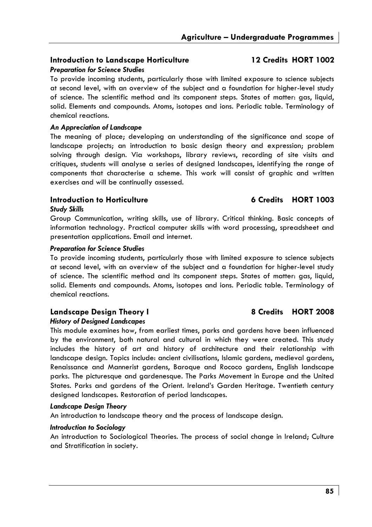#### **Introduction to Landscape Horticulture 12 Credits HORT 1002**  *Preparation for Science Studies*

To provide incoming students, particularly those with limited exposure to science subjects at second level, with an overview of the subject and a foundation for higher-level study of science. The scientific method and its component steps. States of matter: gas, liquid, solid. Elements and compounds. Atoms, isotopes and ions. Periodic table. Terminology of chemical reactions.

#### *An Appreciation of Landscape*

The meaning of place; developing an understanding of the significance and scope of landscape projects; an introduction to basic design theory and expression; problem solving through design. Via workshops, library reviews, recording of site visits and critiques, students will analyse a series of designed landscapes, identifying the range of components that characterise a scheme. This work will consist of graphic and written exercises and will be continually assessed.

### **Introduction to Horticulture 6 Credits HORT 1003**

#### *Study Skills*

Group Communication, writing skills, use of library. Critical thinking. Basic concepts of information technology. Practical computer skills with word processing, spreadsheet and presentation applications. Email and internet.

#### *Preparation for Science Studies*

To provide incoming students, particularly those with limited exposure to science subjects at second level, with an overview of the subject and a foundation for higher-level study of science. The scientific method and its component steps. States of matter: gas, liquid, solid. Elements and compounds. Atoms, isotopes and ions. Periodic table. Terminology of chemical reactions.

# Landscape Design Theory I 8 Credits HORT 2008

#### *History of Designed Landscapes*

This module examines how, from earliest times, parks and gardens have been influenced by the environment, both natural and cultural in which they were created. This study includes the history of art and history of architecture and their relationship with landscape design. Topics include: ancient civilisations, Islamic gardens, medieval gardens, Renaissance and Mannerist gardens, Baroque and Rococo gardens, English landscape parks. The picturesque and gardenesque. The Parks Movement in Europe and the United States. Parks and gardens of the Orient. Ireland's Garden Heritage. Twentieth century designed landscapes. Restoration of period landscapes.

#### *Landscape Design Theory*

An introduction to landscape theory and the process of landscape design.

#### *Introduction to Sociology*

An introduction to Sociological Theories. The process of social change in Ireland; Culture and Stratification in society.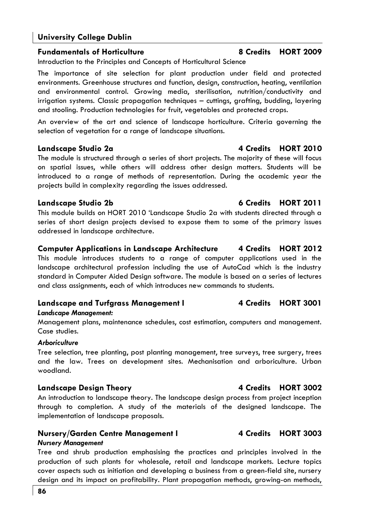### **Fundamentals of Horticulture 8 Credits HORT 2009**

Introduction to the Principles and Concepts of Horticultural Science

The importance of site selection for plant production under field and protected environments. Greenhouse structures and function, design, construction, heating, ventilation and environmental control. Growing media, sterilisation, nutrition/conductivity and irrigation systems. Classic propagation techniques – cuttings, grafting, budding, layering and stooling. Production technologies for fruit, vegetables and protected crops.

An overview of the art and science of landscape horticulture. Criteria governing the selection of vegetation for a range of landscape situations.

The module is structured through a series of short projects. The majority of these will focus on spatial issues, while others will address other design matters. Students will be introduced to a range of methods of representation. During the academic year the projects build in complexity regarding the issues addressed.

This module builds on HORT 2010 'Landscape Studio 2a with students directed through a series of short design projects devised to expose them to some of the primary issues addressed in landscape architecture.

## **Computer Applications in Landscape Architecture 4 Credits HORT 2012**

This module introduces students to a range of computer applications used in the landscape architectural profession including the use of AutoCad which is the industry standard in Computer Aided Design software. The module is based on a series of lectures and class assignments, each of which introduces new commands to students.

### Landscape and Turfgrass Management I **4 Credits HORT 3001**

### *Landscape Management:*

Management plans, maintenance schedules, cost estimation, computers and management. Case studies.

### *Arboriculture*

Tree selection, tree planting, post planting management, tree surveys, tree surgery, trees and the law. Trees on development sites. Mechanisation and arboriculture. Urban woodland.

### **Landscape Design Theory 4 Credits HORT 3002**

An introduction to landscape theory. The landscape design process from project inception through to completion. A study of the materials of the designed landscape. The implementation of landscape proposals.

# **Nursery/Garden Centre Management I 4 Credits HORT 3003**

### *Nursery Management*

Tree and shrub production emphasising the practices and principles involved in the production of such plants for wholesale, retail and landscape markets. Lecture topics cover aspects such as initiation and developing a business from a green-field site, nursery design and its impact on profitability. Plant propagation methods, growing-on methods,

# **Landscape Studio 2b 6 Credits HORT 2011**

# **Landscape Studio 2a 12 Credits HORT 2010**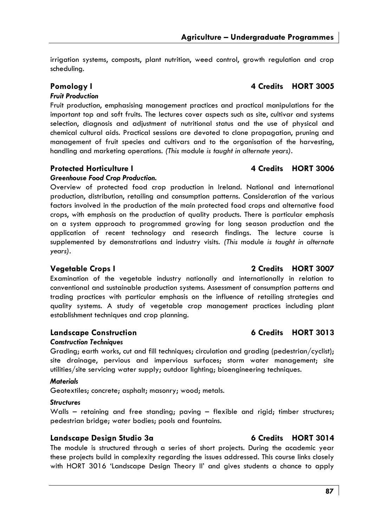irrigation systems, composts, plant nutrition, weed control, growth regulation and crop scheduling.

# **Pomology I 4 Credits HORT 3005**

### *Fruit Production*

Fruit production, emphasising management practices and practical manipulations for the important top and soft fruits. The lectures cover aspects such as site, cultivar and systems selection, diagnosis and adjustment of nutritional status and the use of physical and chemical cultural aids. Practical sessions are devoted to clone propagation, pruning and management of fruit species and cultivars and to the organisation of the harvesting, handling and marketing operations*. (This* module *is taught in alternate years).* 

### **Protected Horticulture I 4 Credits HORT 3006**

### *Greenhouse Food Crop Production.*

Overview of protected food crop production in Ireland. National and international production, distribution, retailing and consumption patterns. Consideration of the various factors involved in the production of the main protected food crops and alternative food crops, with emphasis on the production of quality products. There is particular emphasis on a system approach to programmed growing for long season production and the application of recent technology and research findings. The lecture course is supplemented by demonstrations and industry visits. *(This* module *is taught in alternate years).* 

### **Vegetable Crops I 2 Credits HORT 3007**

Examination of the vegetable industry nationally and internationally in relation to conventional and sustainable production systems. Assessment of consumption patterns and trading practices with particular emphasis on the influence of retailing strategies and quality systems. A study of vegetable crop management practices including plant establishment techniques and crop planning.

### **Landscape Construction 6 Credits HORT 3013**

#### *Construction Techniques*

Grading; earth works, cut and fill techniques; circulation and grading (pedestrian/cyclist); site drainage, pervious and impervious surfaces; storm water management; site utilities/site servicing water supply; outdoor lighting; bioengineering techniques.

#### *Materials*

Geotextiles; concrete; asphalt; masonry; wood; metals.

#### *Structures*

Walls – retaining and free standing; paving – flexible and rigid; timber structures; pedestrian bridge; water bodies; pools and fountains.

### Landscape Design Studio 3a **6 Credits HORT 3014**

The module is structured through a series of short projects. During the academic year these projects build in complexity regarding the issues addressed. This course links closely with HORT 3016 'Landscape Design Theory II' and gives students a chance to apply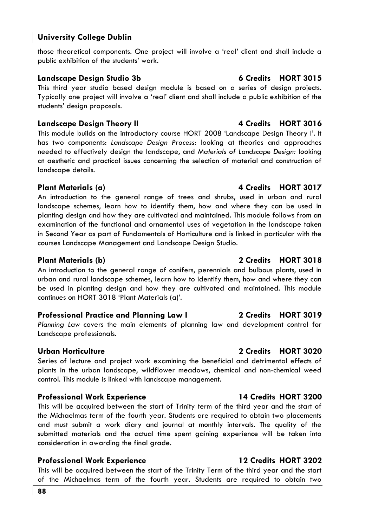those theoretical components. One project will involve a 'real' client and shall include a public exhibition of the students' work.

### **Landscape Design Studio 3b 6 Credits HORT 3015**

This third year studio based design module is based on a series of design projects. Typically one project will involve a 'real' client and shall include a public exhibition of the students' design proposals.

### **Landscape Design Theory II 4 Credits HORT 3016**

This module builds on the introductory course HORT 2008 'Landscape Design Theory I'. It has two components: *Landscape Design Process:* looking at theories and approaches needed to effectively design the landscape, and *Materials of Landscape Design:* looking at aesthetic and practical issues concerning the selection of material and construction of landscape details.

### **Plant Materials (a) 4 Credits HORT 3017**

An introduction to the general range of trees and shrubs, used in urban and rural landscape schemes, learn how to identify them, how and where they can be used in planting design and how they are cultivated and maintained. This module follows from an examination of the functional and ornamental uses of vegetation in the landscape taken in Second Year as part of Fundamentals of Horticulture and is linked in particular with the courses Landscape Management and Landscape Design Studio.

### **Plant Materials (b) 2 Credits HORT 3018**

An introduction to the general range of conifers, perennials and bulbous plants, used in urban and rural landscape schemes, learn how to identify them, how and where they can be used in planting design and how they are cultivated and maintained. This module continues on HORT 3018 'Plant Materials (a)'.

### **Professional Practice and Planning Law I 2 Credits HORT 3019**

*Planning Law* covers the main elements of planning law and development control for Landscape professionals.

### **Urban Horticulture 2 Credits HORT 3020**

Series of lecture and project work examining the beneficial and detrimental effects of plants in the urban landscape, wildflower meadows, chemical and non-chemical weed control. This module is linked with landscape management.

### **Professional Work Experience 14 Credits HORT 3200**

This will be acquired between the start of Trinity term of the third year and the start of the Michaelmas term of the fourth year. Students are required to obtain two placements and must submit a work diary and journal at monthly intervals. The quality of the submitted materials and the actual time spent gaining experience will be taken into consideration in awarding the final grade.

### **Professional Work Experience 12 Credits HORT 3202**

This will be acquired between the start of the Trinity Term of the third year and the start of the Michaelmas term of the fourth year. Students are required to obtain two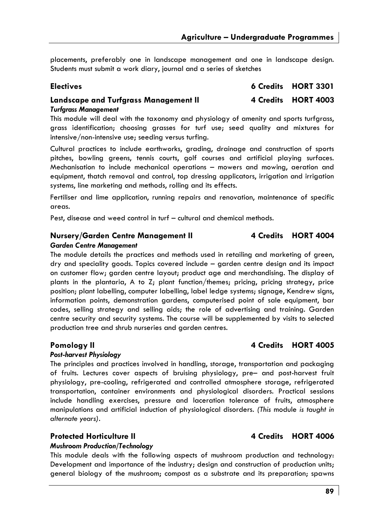placements, preferably one in landscape management and one in landscape design. Students must submit a work diary, journal and a series of sketches

| <b>Electives</b>                      | 6 Credits HORT 3301 |
|---------------------------------------|---------------------|
| Landscape and Turfgrass Management II | 4 Credits HORT 4003 |
| Turfgrass Management                  |                     |

This module will deal with the taxonomy and physiology of amenity and sports turfgrass, grass identification; choosing grasses for turf use; seed quality and mixtures for intensive/non-intensive use; seeding versus turfing.

Cultural practices to include earthworks, grading, drainage and construction of sports pitches, bowling greens, tennis courts, golf courses and artificial playing surfaces. Mechanisation to include mechanical operations – mowers and mowing, aeration and equipment, thatch removal and control, top dressing applicators, irrigation and irrigation systems, line marketing and methods, rolling and its effects.

Fertiliser and lime application, running repairs and renovation, maintenance of specific areas.

Pest, disease and weed control in turf – cultural and chemical methods.

#### **Nursery/Garden Centre Management II 4 Credits HORT 4004**

#### *Garden Centre Management*

The module details the practices and methods used in retailing and marketing of green, dry and speciality goods. Topics covered include – garden centre design and its impact on customer flow; garden centre layout; product age and merchandising. The display of plants in the plantaria, A to Z; plant function/themes; pricing, pricing strategy, price position; plant labelling, computer labelling, label ledge systems; signage, Kendrew signs, information points, demonstration gardens, computerised point of sale equipment, bar codes, selling strategy and selling aids; the role of advertising and training. Garden centre security and security systems. The course will be supplemented by visits to selected production tree and shrub nurseries and garden centres.

#### *Post-harvest Physiology*

The principles and practices involved in handling, storage, transportation and packaging of fruits. Lectures cover aspects of bruising physiology, pre– and post-harvest fruit physiology, pre-cooling, refrigerated and controlled atmosphere storage, refrigerated transportation, container environments and physiological disorders. Practical sessions include handling exercises, pressure and laceration tolerance of fruits, atmosphere manipulations and artificial induction of physiological disorders*. (This* module *is taught in alternate years).* 

### Protected Horticulture II **4 Credits HORT 4006**

#### *Mushroom Production/Technology*

This module deals with the following aspects of mushroom production and technology: Development and importance of the industry; design and construction of production units; general biology of the mushroom; compost as a substrate and its preparation; spawns

### Pomology II **4 Credits** HORT 4005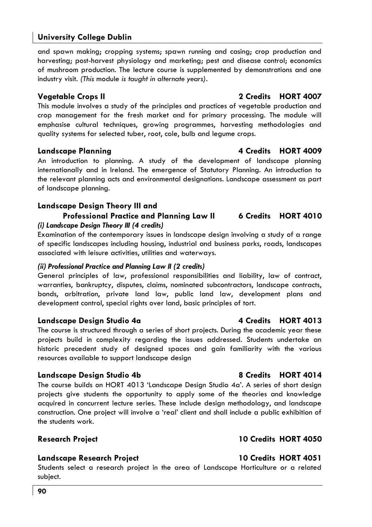and spawn making; cropping systems; spawn running and casing; crop production and harvesting; post-harvest physiology and marketing; pest and disease control; economics of mushroom production. The lecture course is supplemented by demonstrations and one industry visit. *(This* module *is taught in alternate years).* 

### **Vegetable Crops II 2 Credits HORT 4007**

This module involves a study of the principles and practices of vegetable production and crop management for the fresh market and for primary processing. The module will emphasise cultural techniques, growing programmes, harvesting methodologies and quality systems for selected tuber, root, cole, bulb and legume crops.

### **Landscape Planning 4 Credits HORT 4009**

An introduction to planning. A study of the development of landscape planning internationally and in Ireland. The emergence of Statutory Planning. An introduction to the relevant planning acts and environmental designations. Landscape assessment as part of landscape planning.

### **Landscape Design Theory III and**

### **Professional Practice and Planning Law II 6 Credits HORT 4010**  *(i) Landscape Design Theory III (4 credits)*

Examination of the contemporary issues in landscape design involving a study of a range of specific landscapes including housing, industrial and business parks, roads, landscapes associated with leisure activities, utilities and waterways.

#### *(ii) Professional Practice and Planning Law II (2 credits)*

General principles of law, professional responsibilities and liability, law of contract, warranties, bankruptcy, disputes, claims, nominated subcontractors, landscape contracts, bonds, arbitration, private land law, public land law, development plans and development control, special rights over land, basic principles of tort.

### Landscape Design Studio 4a **4 Credits** 4 Credits HORT 4013

The course is structured through a series of short projects. During the academic year these projects build in complexity regarding the issues addressed. Students undertake an historic precedent study of designed spaces and gain familiarity with the various resources available to support landscape design

### Landscape Design Studio 4b **8 Credits HORT 4014**

The course builds on HORT 4013 'Landscape Design Studio 4a'. A series of short design projects give students the opportunity to apply some of the theories and knowledge acquired in concurrent lecture series. These include design methodology, and landscape construction. One project will involve a 'real' client and shall include a public exhibition of the students work.

### **Research Project 10 Credits HORT 4050**

### Landscape Research Project **10 Credits HORT 4051**

Students select a research project in the area of Landscape Horticulture or a related subject.

### **90**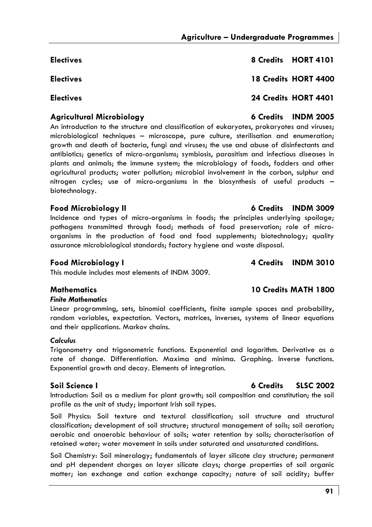**Electives 8 Credits HORT 4101 Electives 18 Credits HORT 4400 Electives 24 Credits HORT 4401 Agricultural Microbiology 6 Credits INDM 2005** 

An introduction to the structure and classification of eukaryotes, prokaryotes and viruses; microbiological techniques – microscope, pure culture, sterilisation and enumeration; growth and death of bacteria, fungi and viruses; the use and abuse of disinfectants and antibiotics; genetics of micro-organisms; symbiosis, parasitism and infectious diseases in plants and animals; the immune system; the microbiology of foods, fodders and other agricultural products; water pollution; microbial involvement in the carbon, sulphur and nitrogen cycles; use of micro-organisms in the biosynthesis of useful products – biotechnology.

### **Food Microbiology II 6 Credits INDM 3009**

Incidence and types of micro-organisms in foods; the principles underlying spoilage; pathogens transmitted through food; methods of food preservation; role of microorganisms in the production of food and food supplements; biotechnology; quality assurance microbiological standards; factory hygiene and waste disposal.

### **Food Microbiology I 4 Credits INDM 3010**

This module includes most elements of INDM 3009.

### **Mathematics 10 Credits MATH 1800**

### *Finite Mathematics*

Linear programming, sets, binomial coefficients, finite sample spaces and probability, random variables, expectation. Vectors, matrices, inverses, systems of linear equations and their applications. Markov chains.

### *Calculus*

Trigonometry and trigonometric functions. Exponential and logarithm. Derivative as a rate of change. Differentiation. Maxima and minima. Graphing. Inverse functions. Exponential growth and decay. Elements of integration.

Introduction: Soil as a medium for plant growth; soil composition and constitution; the soil profile as the unit of study; important Irish soil types.

Soil Physics: Soil texture and textural classification; soil structure and structural classification; development of soil structure; structural management of soils; soil aeration; aerobic and anaerobic behaviour of soils; water retention by soils; characterisation of retained water; water movement in soils under saturated and unsaturated conditions.

Soil Chemistry: Soil mineralogy; fundamentals of layer silicate clay structure; permanent and pH dependent charges on layer silicate clays; charge properties of soil organic matter; ion exchange and cation exchange capacity; nature of soil acidity; buffer

### **Soil Science I 6 Credits SLSC 2002**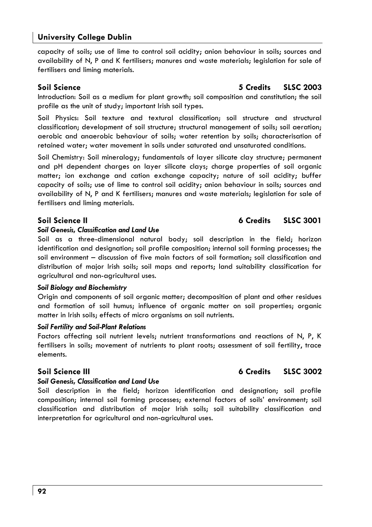capacity of soils; use of lime to control soil acidity; anion behaviour in soils; sources and availability of N, P and K fertilisers; manures and waste materials; legislation for sale of fertilisers and liming materials.

Introduction: Soil as a medium for plant growth; soil composition and constitution; the soil profile as the unit of study; important Irish soil types.

Soil Physics: Soil texture and textural classification; soil structure and structural classification; development of soil structure; structural management of soils; soil aeration; aerobic and anaerobic behaviour of soils; water retention by soils; characterisation of retained water; water movement in soils under saturated and unsaturated conditions.

Soil Chemistry: Soil mineralogy; fundamentals of layer silicate clay structure; permanent and pH dependent charges on layer silicate clays; charge properties of soil organic matter; ion exchange and cation exchange capacity; nature of soil acidity; buffer capacity of soils; use of lime to control soil acidity; anion behaviour in soils; sources and availability of N, P and K fertilisers; manures and waste materials; legislation for sale of fertilisers and liming materials.

#### *Soil Genesis, Classification and Land Use*

Soil as a three-dimensional natural body; soil description in the field; horizon identification and designation; soil profile composition; internal soil forming processes; the soil environment – discussion of five main factors of soil formation; soil classification and distribution of major Irish soils; soil maps and reports; land suitability classification for agricultural and non-agricultural uses.

#### *Soil Biology and Biochemistry*

Origin and components of soil organic matter; decomposition of plant and other residues and formation of soil humus; influence of organic matter on soil properties; organic matter in Irish soils; effects of micro organisms on soil nutrients.

#### *Soil Fertility and Soil-Plant Relations*

Factors affecting soil nutrient levels; nutrient transformations and reactions of N, P, K fertilisers in soils; movement of nutrients to plant roots; assessment of soil fertility, trace elements.

#### *Soil Genesis, Classification and Land Use*

Soil description in the field; horizon identification and designation; soil profile composition; internal soil forming processes; external factors of soils' environment; soil classification and distribution of major Irish soils; soil suitability classification and interpretation for agricultural and non-agricultural uses.

#### **Soil Science II 6 Credits SLSC 3001**

# **Soil Science III 6 Credits SLSC 3002**

**Soil Science 5 Credits SLSC 2003**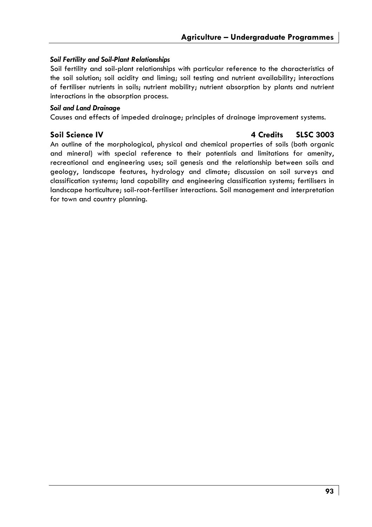### *Soil Fertility and Soil-Plant Relationships*

Soil fertility and soil-plant relationships with particular reference to the characteristics of the soil solution; soil acidity and liming; soil testing and nutrient availability; interactions of fertiliser nutrients in soils; nutrient mobility; nutrient absorption by plants and nutrient interactions in the absorption process.

#### *Soil and Land Drainage*

Causes and effects of impeded drainage; principles of drainage improvement systems.

### **Soil Science IV 4 Credits SLSC 3003**

An outline of the morphological, physical and chemical properties of soils (both organic and mineral) with special reference to their potentials and limitations for amenity, recreational and engineering uses; soil genesis and the relationship between soils and geology, landscape features, hydrology and climate; discussion on soil surveys and classification systems; land capability and engineering classification systems; fertilisers in landscape horticulture; soil-root-fertiliser interactions. Soil management and interpretation for town and country planning.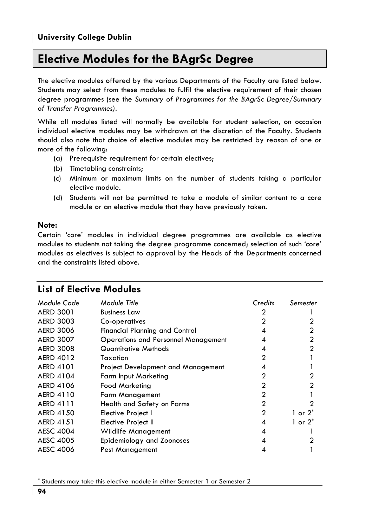# **Elective Modules for the BAgrSc Degree**

The elective modules offered by the various Departments of the Faculty are listed below. Students may select from these modules to fulfil the elective requirement of their chosen degree programmes (see the *Summary of Programmes for the BAgrSc Degree/Summary of Transfer Programmes).*

While all modules listed will normally be available for student selection, on occasion individual elective modules may be withdrawn at the discretion of the Faculty. Students should also note that choice of elective modules may be restricted by reason of one or more of the following:

- (a) Prerequisite requirement for certain electives;
- (b) Timetabling constraints;
- (c) Minimum or maximum limits on the number of students taking a particular elective module.
- (d) Students will not be permitted to take a module of similar content to a core module or an elective module that they have previously taken.

#### **Note:**

Certain 'core' modules in individual degree programmes are available as elective modules to students not taking the degree programme concerned; selection of such 'core' modules as electives is subject to approval by the Heads of the Departments concerned and the constraints listed above.

# **List of Elective Modules**

| Module Code      | Module Title                               | Credits | Semester   |
|------------------|--------------------------------------------|---------|------------|
| <b>AERD 3001</b> | <b>Business Law</b>                        | 2       |            |
| <b>AERD 3003</b> | Co-operatives                              | 2       |            |
| <b>AERD 3006</b> | <b>Financial Planning and Control</b>      | 4       |            |
| <b>AERD 3007</b> | <b>Operations and Personnel Management</b> | 4       |            |
| <b>AERD 3008</b> | Quantitative Methods                       | 4       |            |
| <b>AERD 4012</b> | Taxation                                   | 2       |            |
| <b>AERD 4101</b> | Project Development and Management         | 4       |            |
| <b>AERD 4104</b> | <b>Farm Input Marketing</b>                | 2       |            |
| <b>AERD 4106</b> | <b>Food Marketing</b>                      | 2       | 2          |
| AERD 4110        | <b>Farm Management</b>                     | 2       |            |
| <b>AERD 4111</b> | Health and Safety on Farms                 | 2       |            |
| <b>AERD 4150</b> | Elective Project I                         | 2       | 1 or $2^*$ |
| <b>AERD 4151</b> | Elective Project II                        | 4       | 1 or $2^*$ |
| <b>AESC 4004</b> | <b>Wildlife Management</b>                 | 4       |            |
| <b>AESC 4005</b> | Epidemiology and Zoonoses                  | 4       |            |
| <b>AESC 4006</b> | Pest Management                            | 4       |            |

<sup>\*</sup> Students may take this elective module in either Semester 1 or Semester 2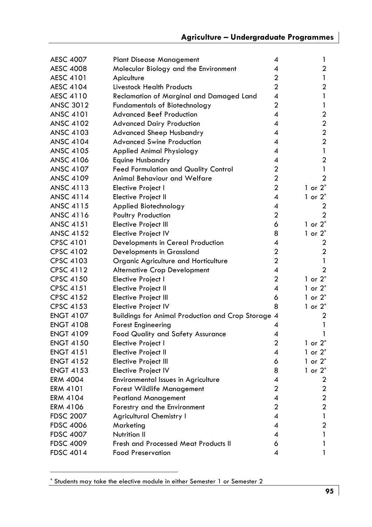| <b>AESC 4007</b> | <b>Plant Disease Management</b>                         | 4                       | 1                       |
|------------------|---------------------------------------------------------|-------------------------|-------------------------|
| <b>AESC 4008</b> | Molecular Biology and the Environment                   | 4                       | 2                       |
| <b>AESC 4101</b> | Apiculture                                              | $\overline{\mathbf{c}}$ | 1                       |
| <b>AESC 4104</b> | Livestock Health Products                               | $\overline{a}$          | 2                       |
| AESC 4110        | Reclamation of Marginal and Damaged Land                | 4                       | 1                       |
| <b>ANSC 3012</b> | <b>Fundamentals of Biotechnology</b>                    | 2                       | 1                       |
| <b>ANSC 4101</b> | <b>Advanced Beef Production</b>                         | 4                       | $\overline{2}$          |
| <b>ANSC 4102</b> | <b>Advanced Dairy Production</b>                        | 4                       | $\mathbf{2}$            |
| <b>ANSC 4103</b> | <b>Advanced Sheep Husbandry</b>                         | 4                       | $\overline{2}$          |
| <b>ANSC 4104</b> | <b>Advanced Swine Production</b>                        | 4                       | $\overline{2}$          |
| <b>ANSC 4105</b> | Applied Animal Physiology                               | 4                       | 1                       |
| <b>ANSC 4106</b> | Equine Husbandry                                        | 4                       | $\overline{2}$          |
| <b>ANSC 4107</b> | <b>Feed Formulation and Quality Control</b>             | 2                       | 1                       |
| <b>ANSC 4109</b> | Animal Behaviour and Welfare                            | $\overline{a}$          | $\mathfrak{p}$          |
| <b>ANSC 4113</b> | Elective Project I                                      | 2                       | 1 or $2^*$              |
| <b>ANSC 4114</b> | Elective Project II                                     | 4                       | 1 or $2^*$              |
| <b>ANSC 4115</b> | Applied Biotechnology                                   | 4                       | 2                       |
| ANSC 4116        | Poultry Production                                      | $\mathbf{c}$            | $\mathbf{2}$            |
| <b>ANSC 4151</b> | Elective Project III                                    | 6                       | 1 or $2^*$              |
| <b>ANSC 4152</b> | Elective Project IV                                     | 8                       | 1 or $2^*$              |
| <b>CPSC 4101</b> | Developments in Cereal Production                       | 4                       | 2                       |
| CPSC 4102        | Developments in Grassland                               | $\overline{a}$          | 2                       |
| CPSC 4103        | Organic Agriculture and Horticulture                    | $\overline{2}$          | 1                       |
| CPSC 4112        | <b>Alternative Crop Development</b>                     | 4                       | $\overline{a}$          |
| CPSC 4150        | Elective Project I                                      | 2                       | 1 or $2^*$              |
| CPSC 4151        | Elective Project II                                     | 4                       | 1 or $2^*$              |
| <b>CPSC 4152</b> | Elective Project III                                    | 6                       | 1 or $2^*$              |
| <b>CPSC 4153</b> | <b>Elective Project IV</b>                              | 8                       | 1 or $2^*$              |
| <b>ENGT 4107</b> | <b>Buildings for Animal Production and Crop Storage</b> | $\overline{A}$          | 2                       |
| <b>ENGT 4108</b> | Forest Engineering                                      | 4                       | 1                       |
| <b>ENGT 4109</b> | Food Quality and Safety Assurance                       | 4                       | 1                       |
| <b>ENGT 4150</b> | Elective Project I                                      | 2                       | 1 or $2^*$              |
| <b>ENGT 4151</b> | Elective Project II                                     | 4                       | 1 or $2^*$              |
| <b>ENGT 4152</b> | Elective Project III                                    | 6                       | 1 or $2^*$              |
| <b>ENGT 4153</b> | Elective Project IV                                     | 8                       | 1 or $2^*$              |
| <b>ERM 4004</b>  | Environmental Issues in Agriculture                     | 4                       | 2                       |
| <b>ERM 4101</b>  | Forest Wildlife Management                              | $\overline{a}$          | $\mathbf{2}$            |
| ERM 4104         | <b>Peatland Management</b>                              | 4                       | $\overline{\mathbf{c}}$ |
| ERM 4106         | Forestry and the Environment                            | 2                       | $\overline{2}$          |
| <b>FDSC 2007</b> | <b>Agricultural Chemistry I</b>                         | 4                       | 1                       |
| <b>FDSC 4006</b> | Marketing                                               | 4                       | 2                       |
| <b>FDSC 4007</b> | Nutrition II                                            | 4                       | 1                       |
| <b>FDSC 4009</b> | Fresh and Processed Meat Products II                    | 6                       | 1                       |
| <b>FDSC 4014</b> | <b>Food Preservation</b>                                | 4                       | 1                       |
|                  |                                                         |                         |                         |

<sup>\*</sup> Students may take the elective module in either Semester 1 or Semester 2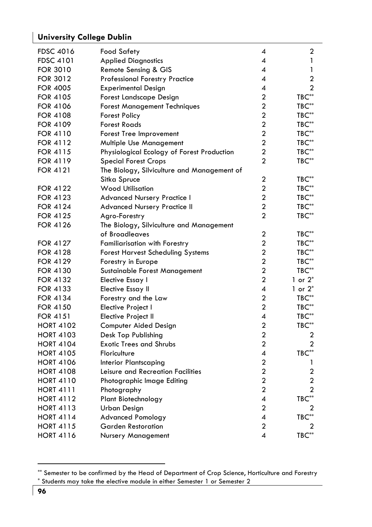| <b>FDSC 4016</b> | <b>Food Safety</b>                          | 4                       | 2                            |
|------------------|---------------------------------------------|-------------------------|------------------------------|
| <b>FDSC 4101</b> | <b>Applied Diagnostics</b>                  | 4                       | 1                            |
| <b>FOR 3010</b>  | Remote Sensing & GIS                        | 4                       | 1                            |
| <b>FOR 3012</b>  | <b>Professional Forestry Practice</b>       | 4                       | 2                            |
| <b>FOR 4005</b>  | <b>Experimental Design</b>                  | 4                       | $\overline{2}$               |
| <b>FOR 4105</b>  | Forest Landscape Design                     | $\overline{c}$          | $TBC^{**}$                   |
| <b>FOR 4106</b>  | <b>Forest Management Techniques</b>         | $\overline{\mathbf{c}}$ | $TBC**$                      |
| FOR 4108         | <b>Forest Policy</b>                        | 2                       | $TBC**$                      |
| <b>FOR 4109</b>  | <b>Forest Roads</b>                         | $\overline{2}$          | $\mathsf{T}\mathsf{BC}^{**}$ |
| <b>FOR 4110</b>  | Forest Tree Improvement                     | $\overline{a}$          | $TBC**$                      |
| <b>FOR 4112</b>  | Multiple Use Management                     | $\overline{a}$          | $TBC**$                      |
| <b>FOR 4115</b>  | Physiological Ecology of Forest Production  | 2                       | $TBC**$                      |
| <b>FOR 4119</b>  | <b>Special Forest Crops</b>                 | $\overline{2}$          | $TBC**$                      |
| <b>FOR 4121</b>  | The Biology, Silviculture and Management of |                         |                              |
|                  | Sitka Spruce                                | 2                       | $TBC**$                      |
| FOR 4122         | <b>Wood Utilisation</b>                     | 2                       | $TBC**$                      |
| <b>FOR 4123</b>  | Advanced Nursery Practice I                 | $\overline{a}$          | $TBC**$                      |
| <b>FOR 4124</b>  | Advanced Nursery Practice II                | 2                       | TBC**                        |
| <b>FOR 4125</b>  | Agro-Forestry                               | $\overline{2}$          | $TBC**$                      |
| FOR 4126         | The Biology, Silviculture and Management    |                         |                              |
|                  | of Broadleaves                              | 2                       | $TBC**$                      |
| FOR 4127         | Familiarisation with Forestry               | $\mathbf{c}$            | $TBC**$                      |
| FOR 4128         | <b>Forest Harvest Scheduling Systems</b>    | $\overline{c}$          | TBC**                        |
| <b>FOR 4129</b>  | Forestry in Europe                          | $\overline{2}$          | $TBC**$                      |
| <b>FOR 4130</b>  | Sustainable Forest Management               | $\overline{a}$          | $TBC**$                      |
| <b>FOR 4132</b>  | Elective Essay I                            | $\mathbf{c}$            | 1 or $2^*$                   |
| <b>FOR 4133</b>  | <b>Elective Essay II</b>                    | 4                       | 1 or $2^*$                   |
| <b>FOR 4134</b>  | Forestry and the Law                        | $\overline{2}$          | $TBC**$                      |
| <b>FOR 4150</b>  | Elective Project I                          | $\overline{\mathbf{c}}$ | $TBC**$                      |
| <b>FOR 4151</b>  | Elective Project II                         | 4                       | $TBC**$                      |
| <b>HORT 4102</b> | Computer Aided Design                       | $\overline{2}$          | $TBC**$                      |
| <b>HORT 4103</b> | Desk Top Publishing                         | $\overline{a}$          | 2                            |
| <b>HORT 4104</b> | <b>Exotic Trees and Shrubs</b>              | $\overline{a}$          | $\overline{2}$               |
| <b>HORT 4105</b> | Floriculture                                | 4                       | $TBC^{**}$                   |
| <b>HORT 4106</b> | <b>Interior Plantscaping</b>                | $\overline{2}$          | 1                            |
| <b>HORT 4108</b> | Leisure and Recreation Facilities           | $\overline{a}$          | $\mathbf{2}$                 |
| <b>HORT 4110</b> | Photographic Image Editing                  | $\overline{a}$          | $\overline{\mathbf{c}}$      |
| <b>HORT 4111</b> | Photography                                 | 2                       | 2                            |
| <b>HORT 4112</b> | Plant Biotechnology                         | 4                       | TBC**                        |
| <b>HORT 4113</b> | Urban Design                                | $\overline{a}$          | 2                            |
| <b>HORT 4114</b> | <b>Advanced Pomology</b>                    | 4                       | $TBC**$                      |
| <b>HORT 4115</b> | <b>Garden Restoration</b>                   | $\overline{c}$          | 2                            |
| <b>HORT 4116</b> | Nursery Management                          | 4                       | $TBC**$                      |

<sup>\*\*</sup> Semester to be confirmed by the Head of Department of Crop Science, Horticulture and Forestry \* Students may take the elective module in either Semester 1 or Semester 2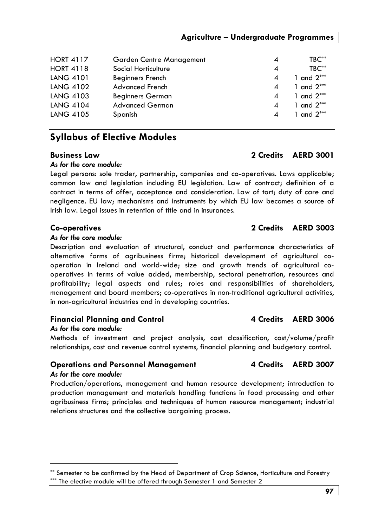| <b>HORT 4117</b> | Garden Centre Management | $\overline{A}$         | $TBC**$      |
|------------------|--------------------------|------------------------|--------------|
| <b>HORT 4118</b> | Social Horticulture      | $\overline{A}$         | $TBC**$      |
| <b>LANG 4101</b> | <b>Beginners French</b>  | 4                      | 1 and $2***$ |
| LANG 4102        | <b>Advanced French</b>   | 4                      | 1 and $2***$ |
| LANG 4103        | <b>Beginners German</b>  | 4                      | 1 and $2***$ |
| <b>LANG 4104</b> | <b>Advanced German</b>   | 4                      | 1 and $2***$ |
| <b>LANG 4105</b> | Spanish                  | $\boldsymbol{\Lambda}$ | 1 and $2***$ |

# **Syllabus of Elective Modules**

### *As for the core module:*

Legal persons: sole trader, partnership, companies and co-operatives. Laws applicable; common law and legislation including EU legislation. Law of contract; definition of a contract in terms of offer, acceptance and consideration. Law of tort; duty of care and negligence. EU law; mechanisms and instruments by which EU law becomes a source of Irish law. Legal issues in retention of title and in insurances.

### **Co-operatives 2 Credits AERD 3003**

#### *As for the core module:*

Description and evaluation of structural, conduct and performance characteristics of alternative forms of agribusiness firms; historical development of agricultural cooperation in Ireland and world-wide; size and growth trends of agricultural cooperatives in terms of value added, membership, sectoral penetration, resources and profitability; legal aspects and rules; roles and responsibilities of shareholders, management and board members; co-operatives in non-traditional agricultural activities, in non-agricultural industries and in developing countries.

### **Financial Planning and Control 4 Credits AERD 3006**

### *As for the core module:*

Methods of investment and project analysis, cost classification, cost/volume/profit relationships, cost and revenue control systems, financial planning and budgetary control.

### **Operations and Personnel Management 4 Credits AERD 3007**

#### *As for the core module:*

Production/operations, management and human resource development; introduction to production management and materials handling functions in food processing and other agribusiness firms; principles and techniques of human resource management; industrial relations structures and the collective bargaining process.

# **Business Law 2 Credits AERD 3001**

<sup>\*\*</sup> Semester to be confirmed by the Head of Department of Crop Science, Horticulture and Forestry \*\*\* The elective module will be offered through Semester 1 and Semester 2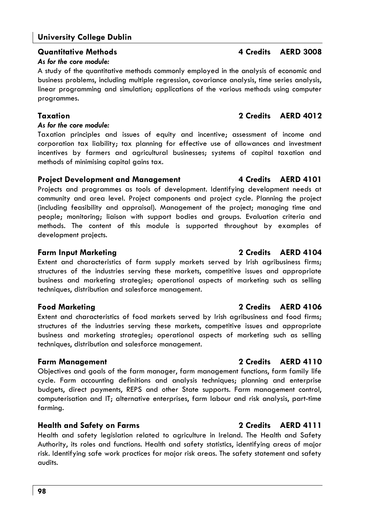### *As for the core module:*

A study of the quantitative methods commonly employed in the analysis of economic and business problems, including multiple regression, covariance analysis, time series analysis, linear programming and simulation; applications of the various methods using computer programmes.

### *As for the core module:*

Taxation principles and issues of equity and incentive; assessment of income and corporation tax liability; tax planning for effective use of allowances and investment incentives by farmers and agricultural businesses; systems of capital taxation and methods of minimising capital gains tax.

### **Project Development and Management 4 Credits AERD 4101**

Projects and programmes as tools of development. Identifying development needs at community and area level. Project components and project cycle. Planning the project (including feasibility and appraisal). Management of the project; managing time and people; monitoring; liaison with support bodies and groups. Evaluation criteria and methods. The content of this module is supported throughout by examples of development projects.

Extent and characteristics of farm supply markets served by Irish agribusiness firms; structures of the industries serving these markets, competitive issues and appropriate business and marketing strategies; operational aspects of marketing such as selling techniques, distribution and salesforce management.

# **Food Marketing 2 Credits AERD 4106**

Extent and characteristics of food markets served by Irish agribusiness and food firms; structures of the industries serving these markets, competitive issues and appropriate business and marketing strategies; operational aspects of marketing such as selling techniques, distribution and salesforce management.

# **Farm Management 2 Credits AERD 4110**

Objectives and goals of the farm manager, farm management functions, farm family life cycle. Farm accounting definitions and analysis techniques; planning and enterprise budgets, direct payments, REPS and other State supports. Farm management control, computerisation and IT; alternative enterprises, farm labour and risk analysis, part-time farming.

# **Health and Safety on Farms 2 Credits AERD 4111**

Health and safety legislation related to agriculture in Ireland. The Health and Safety Authority, its roles and functions. Health and safety statistics, identifying areas of major risk. Identifying safe work practices for major risk areas. The safety statement and safety audits.

# **Taxation 2 Credits AERD 4012**

# **Quantitative Methods 4 Credits AERD 3008**

# **Farm Input Marketing 2 Credits AERD 4104**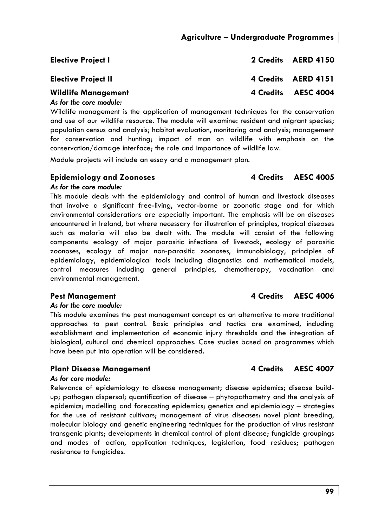| <b>Elective Project I</b>                               | 2 Credits AERD 4150 |
|---------------------------------------------------------|---------------------|
| <b>Elective Project II</b>                              | 4 Credits AERD 4151 |
| <b>Wildlife Management</b><br>As families and according | 4 Credits AESC 4004 |

#### *As for the core module:*

Wildlife management is the application of management techniques for the conservation and use of our wildlife resource. The module will examine: resident and migrant species; population census and analysis; habitat evaluation, monitoring and analysis; management for conservation and hunting; impact of man on wildlife with emphasis on the conservation/damage interface; the role and importance of wildlife law.

Module projects will include an essay and a management plan.

#### **Epidemiology and Zoonoses 4 Credits AESC 4005**

### *As for the core module:*  This module deals with the epidemiology and control of human and livestock diseases that involve a significant free-living, vector-borne or zoonotic stage and for which environmental considerations are especially important. The emphasis will be on diseases encountered in Ireland, but where necessary for illustration of principles, tropical diseases such as malaria will also be dealt with. The module will consist of the following components: ecology of major parasitic infections of livestock, ecology of parasitic zoonoses, ecology of major non-parasitic zoonoses, immunobiology, principles of epidemiology, epidemiological tools including diagnostics and mathematical models, control measures including general principles, chemotherapy, vaccination and environmental management.

#### *As for the core module:*

This module examines the pest management concept as an alternative to more traditional approaches to pest control. Basic principles and tactics are examined, including establishment and implementation of economic injury thresholds and the integration of biological, cultural and chemical approaches. Case studies based on programmes which have been put into operation will be considered.

### Plant Disease Management **4 Credits AESC 4007**

#### *As for core module:*

Relevance of epidemiology to disease management; disease epidemics; disease buildup; pathogen dispersal; quantification of disease – phytopathometry and the analysis of epidemics; modelling and forecasting epidemics; genetics and epidemiology – strategies for the use of resistant cultivars; management of virus diseases: novel plant breeding, molecular biology and genetic engineering techniques for the production of virus resistant transgenic plants; developments in chemical control of plant disease; fungicide groupings and modes of action, application techniques, legislation, food residues; pathogen resistance to fungicides.

### Pest Management **ALC 2006 4 Credits** AESC 4006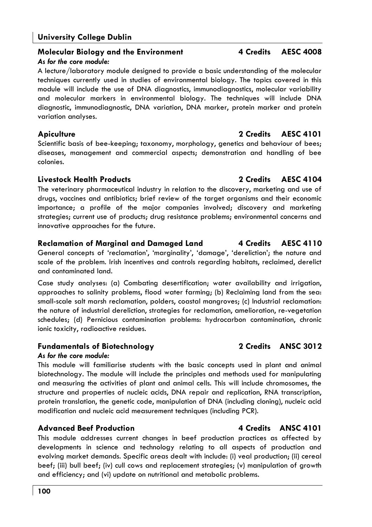#### **Molecular Biology and the Environment 4 Credits AESC 4008** *As for the core module:*

A lecture/laboratory module designed to provide a basic understanding of the molecular techniques currently used in studies of environmental biology. The topics covered in this module will include the use of DNA diagnostics, immunodiagnostics, molecular variability and molecular markers in environmental biology. The techniques will include DNA diagnostic, immunodiagnostic, DNA variation, DNA marker, protein marker and protein variation analyses.

### **Apiculture 2 Credits AESC 4101**

Scientific basis of bee-keeping; taxonomy, morphology, genetics and behaviour of bees; diseases, management and commercial aspects; demonstration and handling of bee colonies.

### **Livestock Health Products 2 Credits AESC 4104**

The veterinary pharmaceutical industry in relation to the discovery, marketing and use of drugs, vaccines and antibiotics; brief review of the target organisms and their economic importance; a profile of the major companies involved; discovery and marketing strategies; current use of products; drug resistance problems; environmental concerns and innovative approaches for the future.

### **Reclamation of Marginal and Damaged Land 4 Credits AESC 4110**

General concepts of 'reclamation', 'marginality', 'damage', 'dereliction'; the nature and scale of the problem. Irish incentives and controls regarding habitats, reclaimed, derelict and contaminated land.

Case study analyses: (a) Combating desertification; water availability and irrigation, approaches to salinity problems, flood water farming; (b) Reclaiming land from the sea: small-scale salt marsh reclamation, polders, coastal mangroves; (c) Industrial reclamation: the nature of industrial dereliction, strategies for reclamation, amelioration, re-vegetation schedules; (d) Pernicious contamination problems: hydrocarbon contamination, chronic ionic toxicity, radioactive residues.

# **Fundamentals of Biotechnology 2 Credits ANSC 3012**

### *As for the core module:*

This module will familiarise students with the basic concepts used in plant and animal biotechnology. The module will include the principles and methods used for manipulating and measuring the activities of plant and animal cells. This will include chromosomes, the structure and properties of nucleic acids, DNA repair and replication, RNA transcription, protein translation, the genetic code, manipulation of DNA (including cloning), nucleic acid modification and nucleic acid measurement techniques (including PCR).

### **Advanced Beef Production 4 Credits ANSC 4101**

This module addresses current changes in beef production practices as affected by developments in science and technology relating to all aspects of production and evolving market demands. Specific areas dealt with include: (i) veal production; (ii) cereal beef; (iii) bull beef; (iv) cull cows and replacement strategies; (v) manipulation of growth and efficiency; and (vi) update on nutritional and metabolic problems.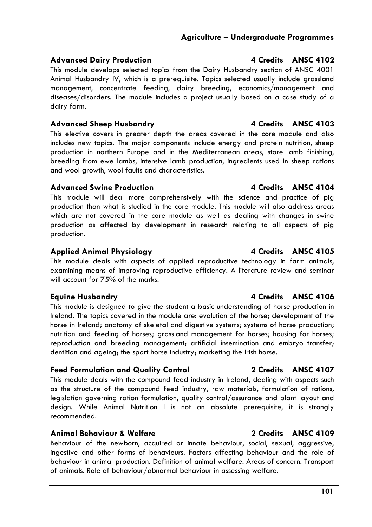# **Advanced Dairy Production 4 Credits ANSC 4102**

This module develops selected topics from the Dairy Husbandry section of ANSC 4001 Animal Husbandry IV, which is a prerequisite. Topics selected usually include grassland management, concentrate feeding, dairy breeding, economics/management and diseases/disorders. The module includes a project usually based on a case study of a dairy farm.

# Advanced Sheep Husbandry **4 Credits** ANSC 4103

This elective covers in greater depth the areas covered in the core module and also includes new topics. The major components include energy and protein nutrition, sheep production in northern Europe and in the Mediterranean areas, store lamb finishing, breeding from ewe lambs, intensive lamb production, ingredients used in sheep rations and wool growth, wool faults and characteristics.

# **Advanced Swine Production 4 Credits ANSC 4104**

This module will deal more comprehensively with the science and practice of pig production than what is studied in the core module. This module will also address areas which are not covered in the core module as well as dealing with changes in swine production as affected by development in research relating to all aspects of pig production.

# **Applied Animal Physiology 4 Credits ANSC 4105**

This module deals with aspects of applied reproductive technology in farm animals, examining means of improving reproductive efficiency. A literature review and seminar will account for 75% of the marks.

This module is designed to give the student a basic understanding of horse production in Ireland. The topics covered in the module are: evolution of the horse; development of the horse in Ireland; anatomy of skeletal and digestive systems; systems of horse production; nutrition and feeding of horses; grassland management for horses; housing for horses; reproduction and breeding management; artificial insemination and embryo transfer; dentition and ageing; the sport horse industry; marketing the Irish horse.

# **Feed Formulation and Quality Control 2 Credits ANSC 4107**

This module deals with the compound feed industry in Ireland, dealing with aspects such as the structure of the compound feed industry, raw materials, formulation of rations, legislation governing ration formulation, quality control/assurance and plant layout and design. While Animal Nutrition I is not an absolute prerequisite, it is strongly recommended.

# **Animal Behaviour & Welfare 2 Credits ANSC 4109**

Behaviour of the newborn, acquired or innate behaviour, social, sexual, aggressive, ingestive and other forms of behaviours. Factors affecting behaviour and the role of behaviour in animal production. Definition of animal welfare. Areas of concern. Transport of animals. Role of behaviour/abnormal behaviour in assessing welfare.

# **Equine Husbandry Alternative Structure 4 Credits ANSC 4106**

# **101**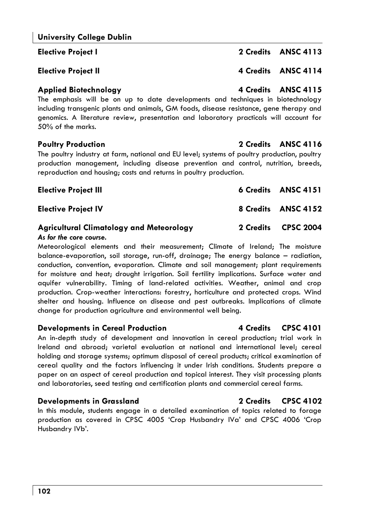**Elective Project I 2 Credits ANSC 4113** 

### **Applied Biotechnology 4 Credits ANSC 4115**

The emphasis will be on up to date developments and techniques in biotechnology including transgenic plants and animals, GM foods, disease resistance, gene therapy and genomics. A literature review, presentation and laboratory practicals will account for 50% of the marks.

The poultry industry at farm, national and EU level; systems of poultry production, poultry production management, including disease prevention and control, nutrition, breeds, reproduction and housing; costs and returns in poultry production.

# **Elective Project III** 6 Credits ANSC 4151

**Elective Project IV** 8 Credits ANSC 4152

#### **Agricultural Climatology and Meteorology 2 Credits CPSC 2004**  *As for the core course.*

Meteorological elements and their measurement; Climate of Ireland; The moisture balance-evaporation, soil storage, run-off, drainage; The energy balance – radiation, conduction, convention, evaporation. Climate and soil management; plant requirements for moisture and heat; drought irrigation. Soil fertility implications. Surface water and aquifer vulnerability. Timing of land-related activities. Weather, animal and crop production. Crop-weather interactions: forestry, horticulture and protected crops. Wind shelter and housing. Influence on disease and pest outbreaks. Implications of climate change for production agriculture and environmental well being.

### **Developments in Cereal Production** 4 Credits CPSC 4101

An in-depth study of development and innovation in cereal production; trial work in Ireland and abroad; varietal evaluation at national and international level; cereal holding and storage systems; optimum disposal of cereal products; critical examination of cereal quality and the factors influencing it under Irish conditions. Students prepare a paper on an aspect of cereal production and topical interest. They visit processing plants and laboratories, seed testing and certification plants and commercial cereal farms.

### **Developments in Grassland 2 Credits CPSC 4102**

In this module, students engage in a detailed examination of topics related to forage production as covered in CPSC 4005 'Crop Husbandry IVa' and CPSC 4006 'Crop Husbandry IVb'.

### **Poultry Production 2 Credits ANSC 4116**

# **Elective Project II** 4 Credits ANSC 4114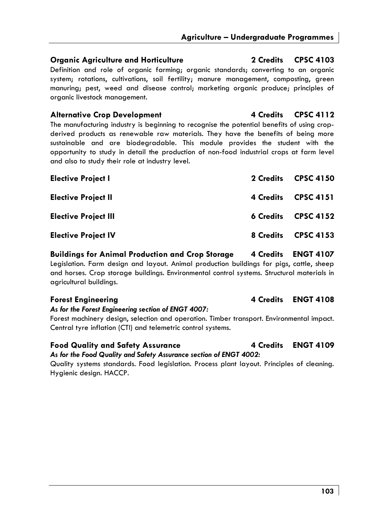### **Organic Agriculture and Horticulture 2 Credits CPSC 4103**

Definition and role of organic farming; organic standards; converting to an organic system; rotations, cultivations, soil fertility; manure management, composting, green manuring; pest, weed and disease control; marketing organic produce; principles of organic livestock management.

### Alternative Crop Development **4 Credits** CPSC 4112

The manufacturing industry is beginning to recognise the potential benefits of using cropderived products as renewable raw materials. They have the benefits of being more sustainable and are biodegradable. This module provides the student with the opportunity to study in detail the production of non-food industrial crops at farm level and also to study their role at industry level.

| <b>Elective Project I</b>   |                  | 2 Credits CPSC 4150 |
|-----------------------------|------------------|---------------------|
| <b>Elective Project II</b>  | 4 Credits        | <b>CPSC 4151</b>    |
| <b>Elective Project III</b> | <b>6 Credits</b> | <b>CPSC 4152</b>    |
| <b>Elective Project IV</b>  | 8 Credits        | <b>CPSC 4153</b>    |

**Buildings for Animal Production and Crop Storage 4 Credits ENGT 4107**  Legislation. Farm design and layout. Animal production buildings for pigs, cattle, sheep and horses. Crop storage buildings. Environmental control systems. Structural materials in agricultural buildings.

#### *As for the Forest Engineering section of ENGT 4007:*

Forest machinery design, selection and operation. Timber transport. Environmental impact. Central tyre inflation (CTI) and telemetric control systems.

### Food Quality and Safety Assurance **4 Credits** ENGT 4109

*As for the Food Quality and Safety Assurance section of ENGT 4002:* 

Quality systems standards. Food legislation. Process plant layout. Principles of cleaning. Hygienic design. HACCP.

# Forest Engineering **Access 2 12 Times 2 12 Times 2 12 Times 2 14 Credits ENGT 4108**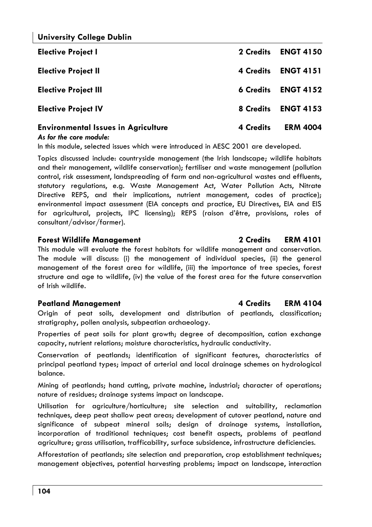| <b>Elective Project I</b>                  | 2 Credits        | <b>ENGT 4150</b> |
|--------------------------------------------|------------------|------------------|
| <b>Elective Project II</b>                 | 4 Credits        | <b>ENGT 4151</b> |
| <b>Elective Project III</b>                | <b>6 Credits</b> | <b>ENGT 4152</b> |
| <b>Elective Project IV</b>                 | 8 Credits        | <b>ENGT 4153</b> |
| <b>Environmental Issues in Agriculture</b> | 4 Credits        | <b>ERM 4004</b>  |

#### *As for the core module:*

In this module, selected issues which were introduced in AESC 2001 are developed.

Topics discussed include: countryside management (the Irish landscape; wildlife habitats and their management, wildlife conservation); fertiliser and waste management (pollution control, risk assessment, landspreading of farm and non-agricultural wastes and effluents, statutory regulations, e.g. Waste Management Act, Water Pollution Acts, Nitrate Directive REPS, and their implications, nutrient management, codes of practice); environmental impact assessment (EIA concepts and practice, EU Directives, EIA and EIS for agricultural, projects, IPC licensing); REPS (raison d'être, provisions, roles of consultant/advisor/farmer).

#### **Forest Wildlife Management 2 Credits ERM 4101**

This module will evaluate the forest habitats for wildlife management and conservation. The module will discuss: (i) the management of individual species, (ii) the general management of the forest area for wildlife, (iii) the importance of tree species, forest structure and age to wildlife, (iv) the value of the forest area for the future conservation of Irish wildlife.

#### **Peatland Management 4 Credits ERM 4104**

Origin of peat soils, development and distribution of peatlands, classification; stratigraphy, pollen analysis, subpeatian archaeology.

Properties of peat soils for plant growth; degree of decomposition, cation exchange capacity, nutrient relations; moisture characteristics, hydraulic conductivity.

Conservation of peatlands; identification of significant features, characteristics of principal peatland types; impact of arterial and local drainage schemes on hydrological balance.

Mining of peatlands; hand cutting, private machine, industrial; character of operations; nature of residues; drainage systems impact on landscape.

Utilisation for agriculture/horticulture; site selection and suitability, reclamation techniques, deep peat shallow peat areas; development of cutover peatland, nature and significance of subpeat mineral soils; design of drainage systems, installation, incorporation of traditional techniques; cost benefit aspects, problems of peatland agriculture; grass utilisation, trafficability, surface subsidence, infrastructure deficiencies.

Afforestation of peatlands; site selection and preparation, crop establishment techniques; management objectives, potential harvesting problems; impact on landscape, interaction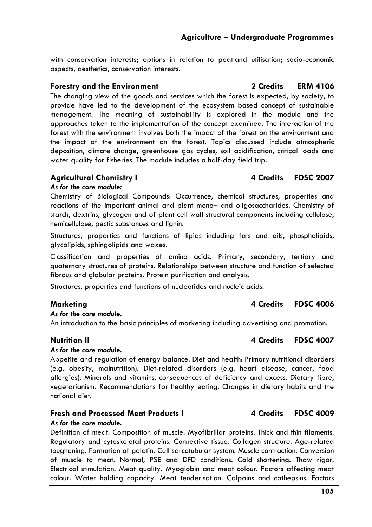with conservation interests; options in relation to peatland utilisation; socio-economic aspects, aesthetics, conservation interests.

### **Forestry and the Environment 2 Credits ERM 4106**

The changing view of the goods and services which the forest is expected, by society, to provide have led to the development of the ecosystem based concept of sustainable management. The meaning of sustainability is explored in the module and the approaches taken to the implementation of the concept examined. The interaction of the forest with the environment involves both the impact of the forest on the environment and the impact of the environment on the forest. Topics discussed include atmospheric deposition, climate change, greenhouse gas cycles, soil acidification, critical loads and water quality for fisheries. The module includes a half-day field trip.

#### **Agricultural Chemistry I 4 Credits FDSC 2007**

#### *As for the core module:*

Chemistry of Biological Compounds: Occurrence, chemical structures, properties and reactions of the important animal and plant mono– and oligosaccharides. Chemistry of starch, dextrins, glycogen and of plant cell wall structural components including cellulose, hemicellulose, pectic substances and lignin.

Structures, properties and functions of lipids including fats and oils, phospholipids, glycolipids, sphingolipids and waxes.

Classification and properties of amino acids. Primary, secondary, tertiary and quaternary structures of proteins. Relationships between structure and function of selected fibrous and globular proteins. Protein purification and analysis.

Structures, properties and functions of nucleotides and nucleic acids.

#### **Marketing 4 Credits FDSC 4006**

#### *As for the core module.*

An introduction to the basic principles of marketing including advertising and promotion.

#### *As for the core module.*

Appetite and regulation of energy balance. Diet and health: Primary nutritional disorders (e.g. obesity, malnutrition). Diet-related disorders (e.g. heart disease, cancer, food allergies). Minerals and vitamins, consequences of deficiency and excess. Dietary fibre, vegetarianism. Recommendations for healthy eating. Changes in dietary habits and the national diet.

### **Fresh and Processed Meat Products I 4 Credits FDSC 4009**

#### *As for the core module.*

Definition of meat. Composition of muscle. Myofibrillar proteins. Thick and thin filaments. Regulatory and cytoskeletal proteins. Connective tissue. Collagen structure. Age-related toughening. Formation of gelatin. Cell sarcotubular system. Muscle contraction. Conversion of muscle to meat. Normal, PSE and DFD conditions. Cold shortening. Thaw rigor. Electrical stimulation. Meat quality. Myoglobin and meat colour. Factors affecting meat colour. Water holding capacity. Meat tenderisation. Calpains and cathepsins. Factors

# **Nutrition II 4 Credits FDSC 4007**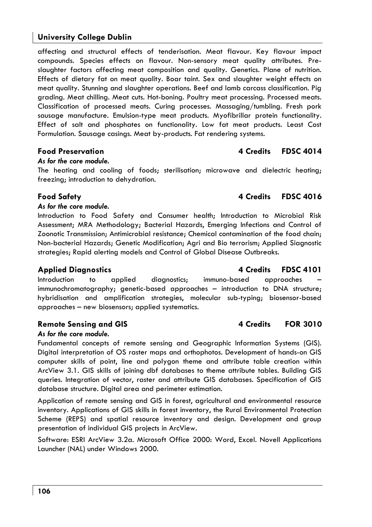affecting and structural effects of tenderisation. Meat flavour. Key flavour impact compounds. Species effects on flavour. Non-sensory meat quality attributes. Preslaughter factors affecting meat composition and quality. Genetics. Plane of nutrition. Effects of dietary fat on meat quality. Boar taint. Sex and slaughter weight effects on meat quality. Stunning and slaughter operations. Beef and lamb carcass classification. Pig grading. Meat chilling. Meat cuts. Hot-boning. Poultry meat processing. Processed meats. Classification of processed meats. Curing processes. Massaging/tumbling. Fresh pork sausage manufacture. Emulsion-type meat products. Myofibrillar protein functionality. Effect of salt and phosphates on functionality. Low fat meat products. Least Cost Formulation. Sausage casings. Meat by-products. Fat rendering systems.

#### **Food Preservation 4 Credits FDSC 4014**

#### *As for the core module.*

The heating and cooling of foods; sterilisation; microwave and dielectric heating; freezing; introduction to dehydration.

#### *As for the core module.*

Introduction to Food Safety and Consumer health; Introduction to Microbial Risk Assessment; MRA Methodology; Bacterial Hazards, Emerging Infections and Control of Zoonotic Transmission; Antimicrobial resistance; Chemical contamination of the food chain; Non-bacterial Hazards; Genetic Modification; Agri and Bio terrorism; Applied Siagnostic strategies; Rapid alerting models and Control of Global Disease Outbreaks.

Introduction to applied diagnostics; immuno-based approaches immunochromatography; genetic-based approaches – introduction to DNA structure; hybridisation and amplification strategies, molecular sub-typing; biosensor-based approaches – new biosensors; applied systematics.

### Remote Sensing and GIS **4 Credits FOR 3010**

#### *As for the core module.*

Fundamental concepts of remote sensing and Geographic Information Systems (GIS). Digital interpretation of OS raster maps and orthophotos. Development of hands-on GIS computer skills of point, line and polygon theme and attribute table creation within ArcView 3.1. GIS skills of joining dbf databases to theme attribute tables. Building GIS queries. Integration of vector, raster and attribute GIS databases. Specification of GIS database structure. Digital area and perimeter estimation.

Application of remote sensing and GIS in forest, agricultural and environmental resource inventory. Applications of GIS skills in forest inventory, the Rural Environmental Protection Scheme (REPS) and spatial resource inventory and design. Development and group presentation of individual GIS projects in ArcView.

Software: ESRI ArcView 3.2a. Microsoft Office 2000: Word, Excel. Novell Applications Launcher (NAL) under Windows 2000.

# Applied Diagnostics **4 Credits** FDSC 4101

**Food Safety 4 Credits FDSC 4016**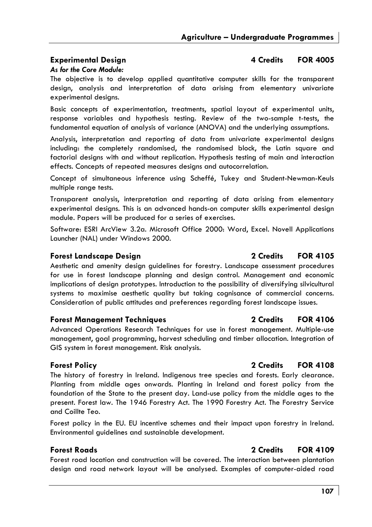### **Experimental Design A Credits** FOR 4005

#### *As for the Core Module:*

The objective is to develop applied quantitative computer skills for the transparent design, analysis and interpretation of data arising from elementary univariate experimental designs.

Basic concepts of experimentation, treatments, spatial layout of experimental units, response variables and hypothesis testing. Review of the two-sample t-tests, the fundamental equation of analysis of variance (ANOVA) and the underlying assumptions.

Analysis, interpretation and reporting of data from univariate experimental designs including: the completely randomised, the randomised block, the Latin square and factorial designs with and without replication. Hypothesis testing of main and interaction effects. Concepts of repeated measures designs and autocorrelation.

Concept of simultaneous inference using Scheffé, Tukey and Student-Newman-Keuls multiple range tests.

Transparent analysis, interpretation and reporting of data arising from elementary experimental designs. This is an advanced hands-on computer skills experimental design module. Papers will be produced for a series of exercises.

Software: ESRI ArcView 3.2a. Microsoft Office 2000: Word, Excel. Novell Applications Launcher (NAL) under Windows 2000.

#### **Forest Landscape Design 2 Credits FOR 4105**

Aesthetic and amenity design guidelines for forestry. Landscape assessment procedures for use in forest landscape planning and design control. Management and economic implications of design prototypes. Introduction to the possibility of diversifying silvicultural systems to maximise aesthetic quality but taking cognisance of commercial concerns. Consideration of public attitudes and preferences regarding forest landscape issues.

#### **Forest Management Techniques 2 Credits FOR 4106**

Advanced Operations Research Techniques for use in forest management. Multiple-use management, goal programming, harvest scheduling and timber allocation. Integration of GIS system in forest management. Risk analysis.

#### **Forest Policy 2 Credits FOR 4108**

The history of forestry in Ireland. Indigenous tree species and forests. Early clearance. Planting from middle ages onwards. Planting in Ireland and forest policy from the foundation of the State to the present day. Land-use policy from the middle ages to the present. Forest law. The 1946 Forestry Act. The 1990 Forestry Act. The Forestry Service and Coillte Teo.

Forest policy in the EU. EU incentive schemes and their impact upon forestry in Ireland. Environmental guidelines and sustainable development.

### **Forest Roads 2 Credits FOR 4109**

Forest road location and construction will be covered. The interaction between plantation design and road network layout will be analysed. Examples of computer-aided road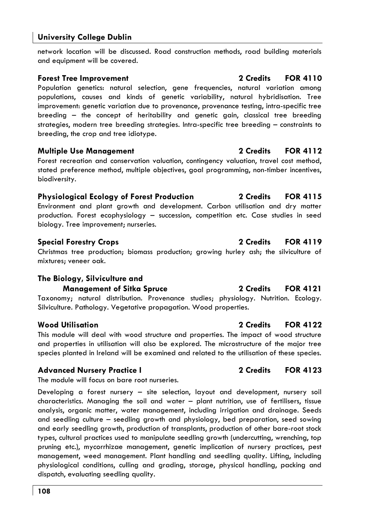network location will be discussed. Road construction methods, road building materials and equipment will be covered.

### **Forest Tree Improvement 2 Credits FOR 4110**

Population genetics: natural selection, gene frequencies, natural variation among populations, causes and kinds of genetic variability, natural hybridisation. Tree improvement: genetic variation due to provenance, provenance testing, intra-specific tree breeding – the concept of heritability and genetic gain, classical tree breeding strategies, modern tree breeding strategies. Intra-specific tree breeding – constraints to breeding, the crop and tree idiotype.

### **Multiple Use Management 2 Credits FOR 4112**

Forest recreation and conservation valuation, contingency valuation, travel cost method, stated preference method, multiple objectives, goal programming, non-timber incentives, biodiversity.

# **Physiological Ecology of Forest Production 2 Credits FOR 4115**

Environment and plant growth and development. Carbon utilisation and dry matter production. Forest ecophysiology – succession, competition etc. Case studies in seed biology. Tree improvement; nurseries.

### **Special Forestry Crops 2 Credits FOR 4119**

Christmas tree production; biomass production; growing hurley ash; the silviculture of mixtures; veneer oak.

# **The Biology, Silviculture and**

**Management of Sitka Spruce 2 Credits FOR 4121**  Taxonomy; natural distribution. Provenance studies; physiology. Nutrition. Ecology. Silviculture. Pathology. Vegetative propagation. Wood properties.

This module will deal with wood structure and properties. The impact of wood structure and properties in utilisation will also be explored. The microstructure of the major tree species planted in Ireland will be examined and related to the utilisation of these species.

### Advanced Nursery Practice I 2 Credits FOR 4123

The module will focus on bare root nurseries.

Developing a forest nursery – site selection, layout and development, nursery soil characteristics. Managing the soil and water – plant nutrition, use of fertilisers, tissue analysis, organic matter, water management, including irrigation and drainage. Seeds and seedling culture – seedling growth and physiology, bed preparation, seed sowing and early seedling growth, production of transplants, production of other bare-root stock types, cultural practices used to manipulate seedling growth (undercutting, wrenching, top pruning etc.), mycorrhizae management, genetic implication of nursery practices, pest management, weed management. Plant handling and seedling quality. Lifting, including physiological conditions, culling and grading, storage, physical handling, packing and dispatch, evaluating seedling quality.

# **Wood Utilisation 2 Credits FOR 4122**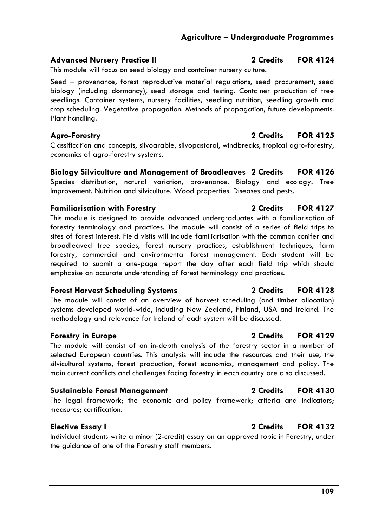# **Advanced Nursery Practice II 2 Credits FOR 4124**

This module will focus on seed biology and container nursery culture.

Seed – provenance, forest reproductive material regulations, seed procurement, seed biology (including dormancy), seed storage and testing. Container production of tree seedlings. Container systems, nursery facilities, seedling nutrition, seedling growth and crop scheduling. Vegetative propagation. Methods of propagation, future developments. Plant handling.

# **Agro-Forestry 2 Credits FOR 4125**

Classification and concepts, silvoarable, silvopastoral, windbreaks, tropical agro-forestry, economics of agro-forestry systems.

**Biology Silviculture and Management of Broadleaves 2 Credits FOR 4126**  Species distribution, natural variation, provenance. Biology and ecology. Tree Improvement. Nutrition and silviculture. Wood properties. Diseases and pests.

# **Familiarisation with Forestry 2 Credits FOR 4127**

This module is designed to provide advanced undergraduates with a familiarisation of forestry terminology and practices. The module will consist of a series of field trips to sites of forest interest. Field visits will include familiarisation with the common conifer and broadleaved tree species, forest nursery practices, establishment techniques, farm forestry, commercial and environmental forest management. Each student will be required to submit a one-page report the day after each field trip which should emphasise an accurate understanding of forest terminology and practices.

### **Forest Harvest Scheduling Systems 2 Credits FOR 4128**

The module will consist of an overview of harvest scheduling (and timber allocation) systems developed world-wide, including New Zealand, Finland, USA and Ireland. The methodology and relevance for Ireland of each system will be discussed.

The module will consist of an in-depth analysis of the forestry sector in a number of selected European countries. This analysis will include the resources and their use, the silvicultural systems, forest production, forest economics, management and policy. The main current conflicts and challenges facing forestry in each country are also discussed.

### **Sustainable Forest Management 2 Credits FOR 4130**

The legal framework; the economic and policy framework; criteria and indicators; measures; certification.

# **Elective Essay I 2 Credits FOR 4132**

Individual students write a minor (2-credit) essay on an approved topic in Forestry, under the guidance of one of the Forestry staff members.

# **Forestry in Europe 2 Credits FOR 4129**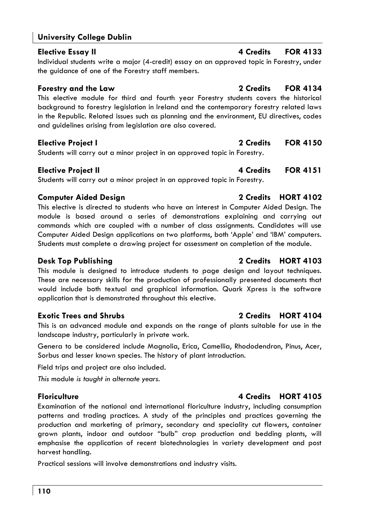# **University College Dublin**

**Elective Essay II 4 Credits FOR 4133** Individual students write a major (4-credit) essay on an approved topic in Forestry, under the guidance of one of the Forestry staff members.

### **Forestry and the Law 2 Credits FOR 4134**

This elective module for third and fourth year Forestry students covers the historical background to forestry legislation in Ireland and the contemporary forestry related laws in the Republic. Related issues such as planning and the environment, EU directives, codes and guidelines arising from legislation are also covered.

# **Elective Project I 2 Credits FOR 4150**

Students will carry out a minor project in an approved topic in Forestry.

Students will carry out a minor project in an approved topic in Forestry.

# **Computer Aided Design 2 Credits HORT 4102**

This elective is directed to students who have an interest in Computer Aided Design. The module is based around a series of demonstrations explaining and carrying out commands which are coupled with a number of class assignments. Candidates will use Computer Aided Design applications on two platforms, both 'Apple' and 'IBM' computers. Students must complete a drawing project for assessment on completion of the module.

# **Desk Top Publishing 2 Credits HORT 4103**

This module is designed to introduce students to page design and layout techniques. These are necessary skills for the production of professionally presented documents that would include both textual and graphical information. Quark Xpress is the software application that is demonstrated throughout this elective.

# **Exotic Trees and Shrubs 2 Credits HORT 4104**

This is an advanced module and expands on the range of plants suitable for use in the landscape industry, particularly in private work.

Genera to be considered include Magnolia, Erica, Camellia, Rhododendron, Pinus, Acer, Sorbus and lesser known species. The history of plant introduction.

Field trips and project are also included.

*This* module *is taught in alternate years.* 

### **Floriculture 4 Credits HORT 4105**

Examination of the national and international floriculture industry, including consumption patterns and trading practices. A study of the principles and practices governing the production and marketing of primary, secondary and speciality cut flowers, container grown plants, indoor and outdoor "bulb" crop production and bedding plants, will emphasise the application of recent biotechnologies in variety development and post harvest handling.

Practical sessions will involve demonstrations and industry visits.

# **Elective Project II All and Secure 21 and All 21 and All 21 and All 21 and All 21 and All 21 and All 21 and All 21 and All 21 and All 21 and All 21 and All 21 and All 21 and All 21 and All 21 and All 21 and All 21 and A**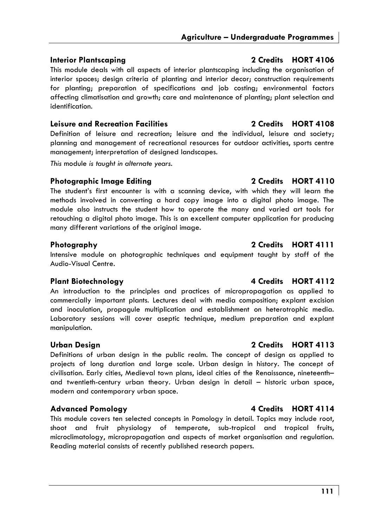This module deals with all aspects of interior plantscaping including the organisation of interior spaces; design criteria of planting and interior decor; construction requirements for planting; preparation of specifications and job costing; environmental factors affecting climatisation and growth; care and maintenance of planting; plant selection and identification.

### **Leisure and Recreation Facilities 2 Credits HORT 4108**

Definition of leisure and recreation; leisure and the individual, leisure and society; planning and management of recreational resources for outdoor activities, sports centre management; interpretation of designed landscapes.

*This* module *is taught in alternate years.* 

### **Photographic Image Editing 2 Credits HORT 4110**

The student's first encounter is with a scanning device, with which they will learn the methods involved in converting a hard copy image into a digital photo image. The module also instructs the student how to operate the many and varied art tools for retouching a digital photo image. This is an excellent computer application for producing many different variations of the original image.

Intensive module on photographic techniques and equipment taught by staff of the Audio-Visual Centre.

An introduction to the principles and practices of micropropagation as applied to commercially important plants. Lectures deal with media composition; explant excision and inoculation, propagule multiplication and establishment on heterotrophic media. Laboratory sessions will cover aseptic technique, medium preparation and explant manipulation.

### **Urban Design 2 Credits HORT 4113**

Definitions of urban design in the public realm. The concept of design as applied to projects of long duration and large scale. Urban design in history. The concept of civilisation. Early cities, Medieval town plans, ideal cities of the Renaissance, nineteenth– and twentieth-century urban theory. Urban design in detail – historic urban space, modern and contemporary urban space.

### **Advanced Pomology 4 Credits HORT 4114**

This module covers ten selected concepts in Pomology in detail. Topics may include root, shoot and fruit physiology of temperate, sub-tropical and tropical fruits, microclimatology, micropropagation and aspects of market organisation and regulation. Reading material consists of recently published research papers.

### **Plant Biotechnology 4 Credits HORT 4112**

# Photography 2 Credits HORT 4111

### **Interior Plantscaping 2 Credits HORT 4106**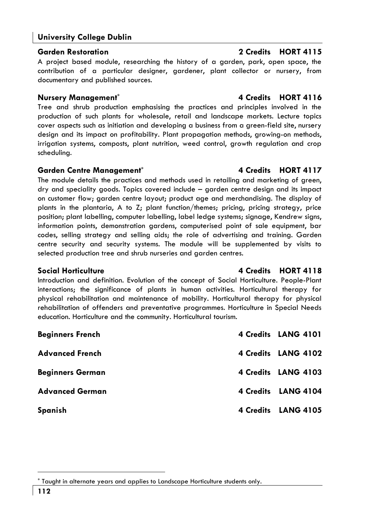# **University College Dublin**

### **Garden Restoration 2 Credits HORT 4115**

A project based module, researching the history of a garden, park, open space, the contribution of a particular designer, gardener, plant collector or nursery, from documentary and published sources.

### **Nursery Management\* 4 Credits HORT 4116**

Tree and shrub production emphasising the practices and principles involved in the production of such plants for wholesale, retail and landscape markets. Lecture topics cover aspects such as initiation and developing a business from a green-field site, nursery design and its impact on profitability. Plant propagation methods, growing-on methods, irrigation systems, composts, plant nutrition, weed control, growth regulation and crop scheduling.

### **Garden Centre Management\* 4 Credits HORT 4117**

The module details the practices and methods used in retailing and marketing of green, dry and speciality goods. Topics covered include – garden centre design and its impact on customer flow; garden centre layout; product age and merchandising. The display of plants in the plantaria, A to Z; plant function/themes; pricing, pricing strategy, price position; plant labelling, computer labelling, label ledge systems; signage, Kendrew signs, information points, demonstration gardens, computerised point of sale equipment, bar codes, selling strategy and selling aids; the role of advertising and training. Garden centre security and security systems. The module will be supplemented by visits to selected production tree and shrub nurseries and garden centres.

Introduction and definition. Evolution of the concept of Social Horticulture. People-Plant interactions; the significance of plants in human activities. Horticultural therapy for physical rehabilitation and maintenance of mobility. Horticultural therapy for physical rehabilitation of offenders and preventative programmes. Horticulture in Special Needs education. Horticulture and the community. Horticultural tourism.

| <b>Beginners French</b> | 4 Credits LANG 4101 |
|-------------------------|---------------------|
| <b>Advanced French</b>  | 4 Credits LANG 4102 |
| <b>Beginners German</b> | 4 Credits LANG 4103 |
| <b>Advanced German</b>  | 4 Credits LANG 4104 |
| Spanish                 | 4 Credits LANG 4105 |

# **Social Horticulture 4 Credits HORT 4118**

<sup>\*</sup> Taught in alternate years and applies to Landscape Horticulture students only.